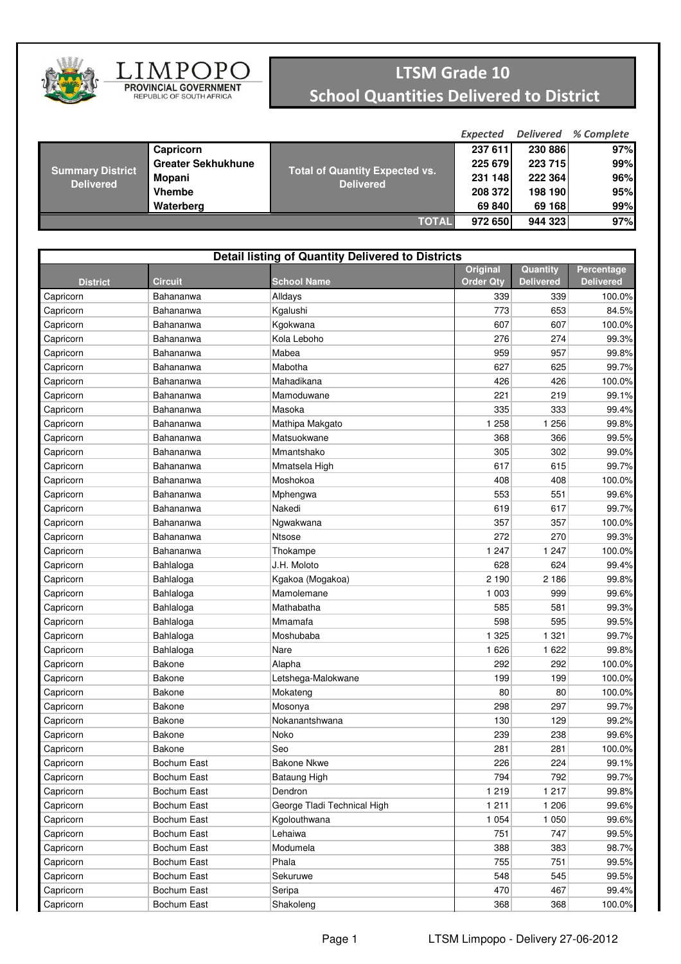

## $\underset{\substack{\text{PROVINCIAL GOVERMMENT} \\ \text{REPUBLIC OF SOUTH AFRICA}}}{\coprod \underset{\substack{\text{O}}{\text{D}}{\text{LO}}{\text{D}}{\text{O}}{\text{L}}{\text{O}}{\text{L}}{\text{O}}}$

## LTSM Grade 10 School Quantities Delivered to District

|                                             |                           |                                                           | <b>Expected</b> | <b>Delivered</b> | % Complete |
|---------------------------------------------|---------------------------|-----------------------------------------------------------|-----------------|------------------|------------|
| <b>Summary District</b><br><b>Delivered</b> | Capricorn                 |                                                           | 237 611         | 230 886          | 97%        |
|                                             | <b>Greater Sekhukhune</b> |                                                           | 225 679         | 223 715          | 99%        |
|                                             | Mopani                    | <b>Total of Quantity Expected vs.</b><br><b>Delivered</b> | 231 148         | 222 364          | 96%        |
|                                             | <b>Vhembe</b>             |                                                           | 208 372         | 198 190          | 95%        |
|                                             | Waterberg                 |                                                           | 69 840          | 69 168           | 99%        |
| <b>TOTAL</b>                                |                           |                                                           | 972 650         | 944 323          | 97%        |

| Quantity<br>Percentage<br><b>School Name</b><br><b>Order Qty</b><br><b>Delivered</b><br><b>Delivered</b><br><b>District</b><br><b>Circuit</b><br>339<br>Capricorn<br>Alldays<br>339<br>100.0%<br>Bahananwa<br>773<br>653<br>Kgalushi<br>84.5%<br>Capricorn<br>Bahananwa<br>607<br>Capricorn<br>Bahananwa<br>Kgokwana<br>607<br>100.0%<br>276<br>274<br>Capricorn<br>Bahananwa<br>Kola Leboho<br>99.3%<br>Mabea<br>959<br>957<br>Capricorn<br>Bahananwa<br>99.8%<br>627<br>625<br>Capricorn<br>Bahananwa<br>Mabotha<br>99.7%<br>Capricorn<br>Bahananwa<br>Mahadikana<br>426<br>426<br>100.0%<br>221<br>99.1%<br>Capricorn<br>Bahananwa<br>Mamoduwane<br>219<br>335<br>333<br>99.4%<br>Capricorn<br>Bahananwa<br>Masoka<br>1 2 5 8<br>1 2 5 6<br>99.8%<br>Capricorn<br>Bahananwa<br>Mathipa Makgato<br>Matsuokwane<br>366<br>99.5%<br>Capricorn<br>Bahananwa<br>368<br>Mmantshako<br>302<br>99.0%<br>Capricorn<br>Bahananwa<br>305<br>617<br>615<br>99.7%<br>Capricorn<br>Bahananwa<br>Mmatsela High<br>408<br>408<br>100.0%<br>Capricorn<br>Bahananwa<br>Moshokoa<br>553<br>551<br>99.6%<br>Bahananwa<br>Capricorn<br>Mphengwa<br>Nakedi<br>617<br>99.7%<br>Bahananwa<br>619<br>Capricorn<br>357<br>357<br>100.0%<br>Capricorn<br>Bahananwa<br>Ngwakwana<br>272<br>270<br>99.3%<br><b>Ntsose</b><br>Capricorn<br>Bahananwa<br>1 2 4 7<br>1 247<br>Capricorn<br>Thokampe<br>100.0%<br>Bahananwa<br>J.H. Moloto<br>628<br>624<br>Capricorn<br>Bahlaloga<br>99.4%<br>2 1 9 0<br>2 1 8 6<br>Capricorn<br>Bahlaloga<br>Kgakoa (Mogakoa)<br>99.8%<br>Mamolemane<br>1 0 0 3<br>999<br>99.6%<br>Capricorn<br>Bahlaloga<br>585<br>581<br>Capricorn<br>Bahlaloga<br>Mathabatha<br>99.3%<br>598<br>Capricorn<br>Bahlaloga<br>Mmamafa<br>595<br>99.5%<br>1 3 2 5<br>1 3 2 1<br>99.7%<br>Capricorn<br>Bahlaloga<br>Moshubaba<br>1 6 2 6<br>1 6 2 2<br>99.8%<br>Capricorn<br>Bahlaloga<br>Nare<br>Bakone<br>292<br>292<br>100.0%<br>Capricorn<br>Alapha<br>Bakone<br>199<br>199<br>100.0%<br>Capricorn<br>Letshega-Malokwane<br>Bakone<br>80<br>80<br>100.0%<br>Capricorn<br>Mokateng<br>297<br>Bakone<br>298<br>99.7%<br>Mosonya<br>Capricorn<br>129<br>99.2%<br><b>Bakone</b><br>Nokanantshwana<br>130<br>Capricorn<br>Bakone<br>Noko<br>238<br>99.6%<br>239<br>Capricorn<br>281<br><b>Bakone</b><br>Seo<br>281<br>100.0%<br>Capricorn<br>226<br>224<br>Bochum East<br><b>Bakone Nkwe</b><br>99.1%<br>Capricorn<br>792<br>794<br>99.7%<br>Capricorn<br>Bochum East<br>Bataung High<br>Capricorn<br>Bochum East<br>Dendron<br>1 2 1 9<br>1 2 1 7<br>99.8%<br>1 2 1 1<br>Bochum East<br>George Tladi Technical High<br>1 206<br>99.6%<br>Capricorn<br>Bochum East<br>1 0 5 4<br>1 0 5 0<br>99.6%<br>Capricorn<br>Kgolouthwana<br>Bochum East<br>751<br>747<br>Capricorn<br>Lehaiwa<br>99.5%<br>Capricorn<br>Bochum East<br>Modumela<br>388<br>383<br>98.7%<br>Bochum East<br>Phala<br>755<br>751<br>99.5%<br>Capricorn<br>545<br>Bochum East<br>Sekuruwe<br>548<br>99.5%<br>Capricorn<br>470<br>467<br>Capricorn<br>Bochum East<br>99.4%<br>Seripa | <b>Detail listing of Quantity Delivered to Districts</b> |  |                 |  |  |  |  |  |
|-------------------------------------------------------------------------------------------------------------------------------------------------------------------------------------------------------------------------------------------------------------------------------------------------------------------------------------------------------------------------------------------------------------------------------------------------------------------------------------------------------------------------------------------------------------------------------------------------------------------------------------------------------------------------------------------------------------------------------------------------------------------------------------------------------------------------------------------------------------------------------------------------------------------------------------------------------------------------------------------------------------------------------------------------------------------------------------------------------------------------------------------------------------------------------------------------------------------------------------------------------------------------------------------------------------------------------------------------------------------------------------------------------------------------------------------------------------------------------------------------------------------------------------------------------------------------------------------------------------------------------------------------------------------------------------------------------------------------------------------------------------------------------------------------------------------------------------------------------------------------------------------------------------------------------------------------------------------------------------------------------------------------------------------------------------------------------------------------------------------------------------------------------------------------------------------------------------------------------------------------------------------------------------------------------------------------------------------------------------------------------------------------------------------------------------------------------------------------------------------------------------------------------------------------------------------------------------------------------------------------------------------------------------------------------------------------------------------------------------------------------------------------------------------------------------------------------------------------------------------------------------------------------------------------------------------------------------------------------------------------------------------------------------|----------------------------------------------------------|--|-----------------|--|--|--|--|--|
|                                                                                                                                                                                                                                                                                                                                                                                                                                                                                                                                                                                                                                                                                                                                                                                                                                                                                                                                                                                                                                                                                                                                                                                                                                                                                                                                                                                                                                                                                                                                                                                                                                                                                                                                                                                                                                                                                                                                                                                                                                                                                                                                                                                                                                                                                                                                                                                                                                                                                                                                                                                                                                                                                                                                                                                                                                                                                                                                                                                                                                     |                                                          |  | <b>Original</b> |  |  |  |  |  |
|                                                                                                                                                                                                                                                                                                                                                                                                                                                                                                                                                                                                                                                                                                                                                                                                                                                                                                                                                                                                                                                                                                                                                                                                                                                                                                                                                                                                                                                                                                                                                                                                                                                                                                                                                                                                                                                                                                                                                                                                                                                                                                                                                                                                                                                                                                                                                                                                                                                                                                                                                                                                                                                                                                                                                                                                                                                                                                                                                                                                                                     |                                                          |  |                 |  |  |  |  |  |
|                                                                                                                                                                                                                                                                                                                                                                                                                                                                                                                                                                                                                                                                                                                                                                                                                                                                                                                                                                                                                                                                                                                                                                                                                                                                                                                                                                                                                                                                                                                                                                                                                                                                                                                                                                                                                                                                                                                                                                                                                                                                                                                                                                                                                                                                                                                                                                                                                                                                                                                                                                                                                                                                                                                                                                                                                                                                                                                                                                                                                                     |                                                          |  |                 |  |  |  |  |  |
|                                                                                                                                                                                                                                                                                                                                                                                                                                                                                                                                                                                                                                                                                                                                                                                                                                                                                                                                                                                                                                                                                                                                                                                                                                                                                                                                                                                                                                                                                                                                                                                                                                                                                                                                                                                                                                                                                                                                                                                                                                                                                                                                                                                                                                                                                                                                                                                                                                                                                                                                                                                                                                                                                                                                                                                                                                                                                                                                                                                                                                     |                                                          |  |                 |  |  |  |  |  |
|                                                                                                                                                                                                                                                                                                                                                                                                                                                                                                                                                                                                                                                                                                                                                                                                                                                                                                                                                                                                                                                                                                                                                                                                                                                                                                                                                                                                                                                                                                                                                                                                                                                                                                                                                                                                                                                                                                                                                                                                                                                                                                                                                                                                                                                                                                                                                                                                                                                                                                                                                                                                                                                                                                                                                                                                                                                                                                                                                                                                                                     |                                                          |  |                 |  |  |  |  |  |
|                                                                                                                                                                                                                                                                                                                                                                                                                                                                                                                                                                                                                                                                                                                                                                                                                                                                                                                                                                                                                                                                                                                                                                                                                                                                                                                                                                                                                                                                                                                                                                                                                                                                                                                                                                                                                                                                                                                                                                                                                                                                                                                                                                                                                                                                                                                                                                                                                                                                                                                                                                                                                                                                                                                                                                                                                                                                                                                                                                                                                                     |                                                          |  |                 |  |  |  |  |  |
|                                                                                                                                                                                                                                                                                                                                                                                                                                                                                                                                                                                                                                                                                                                                                                                                                                                                                                                                                                                                                                                                                                                                                                                                                                                                                                                                                                                                                                                                                                                                                                                                                                                                                                                                                                                                                                                                                                                                                                                                                                                                                                                                                                                                                                                                                                                                                                                                                                                                                                                                                                                                                                                                                                                                                                                                                                                                                                                                                                                                                                     |                                                          |  |                 |  |  |  |  |  |
|                                                                                                                                                                                                                                                                                                                                                                                                                                                                                                                                                                                                                                                                                                                                                                                                                                                                                                                                                                                                                                                                                                                                                                                                                                                                                                                                                                                                                                                                                                                                                                                                                                                                                                                                                                                                                                                                                                                                                                                                                                                                                                                                                                                                                                                                                                                                                                                                                                                                                                                                                                                                                                                                                                                                                                                                                                                                                                                                                                                                                                     |                                                          |  |                 |  |  |  |  |  |
|                                                                                                                                                                                                                                                                                                                                                                                                                                                                                                                                                                                                                                                                                                                                                                                                                                                                                                                                                                                                                                                                                                                                                                                                                                                                                                                                                                                                                                                                                                                                                                                                                                                                                                                                                                                                                                                                                                                                                                                                                                                                                                                                                                                                                                                                                                                                                                                                                                                                                                                                                                                                                                                                                                                                                                                                                                                                                                                                                                                                                                     |                                                          |  |                 |  |  |  |  |  |
|                                                                                                                                                                                                                                                                                                                                                                                                                                                                                                                                                                                                                                                                                                                                                                                                                                                                                                                                                                                                                                                                                                                                                                                                                                                                                                                                                                                                                                                                                                                                                                                                                                                                                                                                                                                                                                                                                                                                                                                                                                                                                                                                                                                                                                                                                                                                                                                                                                                                                                                                                                                                                                                                                                                                                                                                                                                                                                                                                                                                                                     |                                                          |  |                 |  |  |  |  |  |
|                                                                                                                                                                                                                                                                                                                                                                                                                                                                                                                                                                                                                                                                                                                                                                                                                                                                                                                                                                                                                                                                                                                                                                                                                                                                                                                                                                                                                                                                                                                                                                                                                                                                                                                                                                                                                                                                                                                                                                                                                                                                                                                                                                                                                                                                                                                                                                                                                                                                                                                                                                                                                                                                                                                                                                                                                                                                                                                                                                                                                                     |                                                          |  |                 |  |  |  |  |  |
|                                                                                                                                                                                                                                                                                                                                                                                                                                                                                                                                                                                                                                                                                                                                                                                                                                                                                                                                                                                                                                                                                                                                                                                                                                                                                                                                                                                                                                                                                                                                                                                                                                                                                                                                                                                                                                                                                                                                                                                                                                                                                                                                                                                                                                                                                                                                                                                                                                                                                                                                                                                                                                                                                                                                                                                                                                                                                                                                                                                                                                     |                                                          |  |                 |  |  |  |  |  |
|                                                                                                                                                                                                                                                                                                                                                                                                                                                                                                                                                                                                                                                                                                                                                                                                                                                                                                                                                                                                                                                                                                                                                                                                                                                                                                                                                                                                                                                                                                                                                                                                                                                                                                                                                                                                                                                                                                                                                                                                                                                                                                                                                                                                                                                                                                                                                                                                                                                                                                                                                                                                                                                                                                                                                                                                                                                                                                                                                                                                                                     |                                                          |  |                 |  |  |  |  |  |
|                                                                                                                                                                                                                                                                                                                                                                                                                                                                                                                                                                                                                                                                                                                                                                                                                                                                                                                                                                                                                                                                                                                                                                                                                                                                                                                                                                                                                                                                                                                                                                                                                                                                                                                                                                                                                                                                                                                                                                                                                                                                                                                                                                                                                                                                                                                                                                                                                                                                                                                                                                                                                                                                                                                                                                                                                                                                                                                                                                                                                                     |                                                          |  |                 |  |  |  |  |  |
|                                                                                                                                                                                                                                                                                                                                                                                                                                                                                                                                                                                                                                                                                                                                                                                                                                                                                                                                                                                                                                                                                                                                                                                                                                                                                                                                                                                                                                                                                                                                                                                                                                                                                                                                                                                                                                                                                                                                                                                                                                                                                                                                                                                                                                                                                                                                                                                                                                                                                                                                                                                                                                                                                                                                                                                                                                                                                                                                                                                                                                     |                                                          |  |                 |  |  |  |  |  |
|                                                                                                                                                                                                                                                                                                                                                                                                                                                                                                                                                                                                                                                                                                                                                                                                                                                                                                                                                                                                                                                                                                                                                                                                                                                                                                                                                                                                                                                                                                                                                                                                                                                                                                                                                                                                                                                                                                                                                                                                                                                                                                                                                                                                                                                                                                                                                                                                                                                                                                                                                                                                                                                                                                                                                                                                                                                                                                                                                                                                                                     |                                                          |  |                 |  |  |  |  |  |
|                                                                                                                                                                                                                                                                                                                                                                                                                                                                                                                                                                                                                                                                                                                                                                                                                                                                                                                                                                                                                                                                                                                                                                                                                                                                                                                                                                                                                                                                                                                                                                                                                                                                                                                                                                                                                                                                                                                                                                                                                                                                                                                                                                                                                                                                                                                                                                                                                                                                                                                                                                                                                                                                                                                                                                                                                                                                                                                                                                                                                                     |                                                          |  |                 |  |  |  |  |  |
|                                                                                                                                                                                                                                                                                                                                                                                                                                                                                                                                                                                                                                                                                                                                                                                                                                                                                                                                                                                                                                                                                                                                                                                                                                                                                                                                                                                                                                                                                                                                                                                                                                                                                                                                                                                                                                                                                                                                                                                                                                                                                                                                                                                                                                                                                                                                                                                                                                                                                                                                                                                                                                                                                                                                                                                                                                                                                                                                                                                                                                     |                                                          |  |                 |  |  |  |  |  |
|                                                                                                                                                                                                                                                                                                                                                                                                                                                                                                                                                                                                                                                                                                                                                                                                                                                                                                                                                                                                                                                                                                                                                                                                                                                                                                                                                                                                                                                                                                                                                                                                                                                                                                                                                                                                                                                                                                                                                                                                                                                                                                                                                                                                                                                                                                                                                                                                                                                                                                                                                                                                                                                                                                                                                                                                                                                                                                                                                                                                                                     |                                                          |  |                 |  |  |  |  |  |
|                                                                                                                                                                                                                                                                                                                                                                                                                                                                                                                                                                                                                                                                                                                                                                                                                                                                                                                                                                                                                                                                                                                                                                                                                                                                                                                                                                                                                                                                                                                                                                                                                                                                                                                                                                                                                                                                                                                                                                                                                                                                                                                                                                                                                                                                                                                                                                                                                                                                                                                                                                                                                                                                                                                                                                                                                                                                                                                                                                                                                                     |                                                          |  |                 |  |  |  |  |  |
|                                                                                                                                                                                                                                                                                                                                                                                                                                                                                                                                                                                                                                                                                                                                                                                                                                                                                                                                                                                                                                                                                                                                                                                                                                                                                                                                                                                                                                                                                                                                                                                                                                                                                                                                                                                                                                                                                                                                                                                                                                                                                                                                                                                                                                                                                                                                                                                                                                                                                                                                                                                                                                                                                                                                                                                                                                                                                                                                                                                                                                     |                                                          |  |                 |  |  |  |  |  |
|                                                                                                                                                                                                                                                                                                                                                                                                                                                                                                                                                                                                                                                                                                                                                                                                                                                                                                                                                                                                                                                                                                                                                                                                                                                                                                                                                                                                                                                                                                                                                                                                                                                                                                                                                                                                                                                                                                                                                                                                                                                                                                                                                                                                                                                                                                                                                                                                                                                                                                                                                                                                                                                                                                                                                                                                                                                                                                                                                                                                                                     |                                                          |  |                 |  |  |  |  |  |
|                                                                                                                                                                                                                                                                                                                                                                                                                                                                                                                                                                                                                                                                                                                                                                                                                                                                                                                                                                                                                                                                                                                                                                                                                                                                                                                                                                                                                                                                                                                                                                                                                                                                                                                                                                                                                                                                                                                                                                                                                                                                                                                                                                                                                                                                                                                                                                                                                                                                                                                                                                                                                                                                                                                                                                                                                                                                                                                                                                                                                                     |                                                          |  |                 |  |  |  |  |  |
|                                                                                                                                                                                                                                                                                                                                                                                                                                                                                                                                                                                                                                                                                                                                                                                                                                                                                                                                                                                                                                                                                                                                                                                                                                                                                                                                                                                                                                                                                                                                                                                                                                                                                                                                                                                                                                                                                                                                                                                                                                                                                                                                                                                                                                                                                                                                                                                                                                                                                                                                                                                                                                                                                                                                                                                                                                                                                                                                                                                                                                     |                                                          |  |                 |  |  |  |  |  |
|                                                                                                                                                                                                                                                                                                                                                                                                                                                                                                                                                                                                                                                                                                                                                                                                                                                                                                                                                                                                                                                                                                                                                                                                                                                                                                                                                                                                                                                                                                                                                                                                                                                                                                                                                                                                                                                                                                                                                                                                                                                                                                                                                                                                                                                                                                                                                                                                                                                                                                                                                                                                                                                                                                                                                                                                                                                                                                                                                                                                                                     |                                                          |  |                 |  |  |  |  |  |
|                                                                                                                                                                                                                                                                                                                                                                                                                                                                                                                                                                                                                                                                                                                                                                                                                                                                                                                                                                                                                                                                                                                                                                                                                                                                                                                                                                                                                                                                                                                                                                                                                                                                                                                                                                                                                                                                                                                                                                                                                                                                                                                                                                                                                                                                                                                                                                                                                                                                                                                                                                                                                                                                                                                                                                                                                                                                                                                                                                                                                                     |                                                          |  |                 |  |  |  |  |  |
|                                                                                                                                                                                                                                                                                                                                                                                                                                                                                                                                                                                                                                                                                                                                                                                                                                                                                                                                                                                                                                                                                                                                                                                                                                                                                                                                                                                                                                                                                                                                                                                                                                                                                                                                                                                                                                                                                                                                                                                                                                                                                                                                                                                                                                                                                                                                                                                                                                                                                                                                                                                                                                                                                                                                                                                                                                                                                                                                                                                                                                     |                                                          |  |                 |  |  |  |  |  |
|                                                                                                                                                                                                                                                                                                                                                                                                                                                                                                                                                                                                                                                                                                                                                                                                                                                                                                                                                                                                                                                                                                                                                                                                                                                                                                                                                                                                                                                                                                                                                                                                                                                                                                                                                                                                                                                                                                                                                                                                                                                                                                                                                                                                                                                                                                                                                                                                                                                                                                                                                                                                                                                                                                                                                                                                                                                                                                                                                                                                                                     |                                                          |  |                 |  |  |  |  |  |
|                                                                                                                                                                                                                                                                                                                                                                                                                                                                                                                                                                                                                                                                                                                                                                                                                                                                                                                                                                                                                                                                                                                                                                                                                                                                                                                                                                                                                                                                                                                                                                                                                                                                                                                                                                                                                                                                                                                                                                                                                                                                                                                                                                                                                                                                                                                                                                                                                                                                                                                                                                                                                                                                                                                                                                                                                                                                                                                                                                                                                                     |                                                          |  |                 |  |  |  |  |  |
|                                                                                                                                                                                                                                                                                                                                                                                                                                                                                                                                                                                                                                                                                                                                                                                                                                                                                                                                                                                                                                                                                                                                                                                                                                                                                                                                                                                                                                                                                                                                                                                                                                                                                                                                                                                                                                                                                                                                                                                                                                                                                                                                                                                                                                                                                                                                                                                                                                                                                                                                                                                                                                                                                                                                                                                                                                                                                                                                                                                                                                     |                                                          |  |                 |  |  |  |  |  |
|                                                                                                                                                                                                                                                                                                                                                                                                                                                                                                                                                                                                                                                                                                                                                                                                                                                                                                                                                                                                                                                                                                                                                                                                                                                                                                                                                                                                                                                                                                                                                                                                                                                                                                                                                                                                                                                                                                                                                                                                                                                                                                                                                                                                                                                                                                                                                                                                                                                                                                                                                                                                                                                                                                                                                                                                                                                                                                                                                                                                                                     |                                                          |  |                 |  |  |  |  |  |
|                                                                                                                                                                                                                                                                                                                                                                                                                                                                                                                                                                                                                                                                                                                                                                                                                                                                                                                                                                                                                                                                                                                                                                                                                                                                                                                                                                                                                                                                                                                                                                                                                                                                                                                                                                                                                                                                                                                                                                                                                                                                                                                                                                                                                                                                                                                                                                                                                                                                                                                                                                                                                                                                                                                                                                                                                                                                                                                                                                                                                                     |                                                          |  |                 |  |  |  |  |  |
|                                                                                                                                                                                                                                                                                                                                                                                                                                                                                                                                                                                                                                                                                                                                                                                                                                                                                                                                                                                                                                                                                                                                                                                                                                                                                                                                                                                                                                                                                                                                                                                                                                                                                                                                                                                                                                                                                                                                                                                                                                                                                                                                                                                                                                                                                                                                                                                                                                                                                                                                                                                                                                                                                                                                                                                                                                                                                                                                                                                                                                     |                                                          |  |                 |  |  |  |  |  |
|                                                                                                                                                                                                                                                                                                                                                                                                                                                                                                                                                                                                                                                                                                                                                                                                                                                                                                                                                                                                                                                                                                                                                                                                                                                                                                                                                                                                                                                                                                                                                                                                                                                                                                                                                                                                                                                                                                                                                                                                                                                                                                                                                                                                                                                                                                                                                                                                                                                                                                                                                                                                                                                                                                                                                                                                                                                                                                                                                                                                                                     |                                                          |  |                 |  |  |  |  |  |
|                                                                                                                                                                                                                                                                                                                                                                                                                                                                                                                                                                                                                                                                                                                                                                                                                                                                                                                                                                                                                                                                                                                                                                                                                                                                                                                                                                                                                                                                                                                                                                                                                                                                                                                                                                                                                                                                                                                                                                                                                                                                                                                                                                                                                                                                                                                                                                                                                                                                                                                                                                                                                                                                                                                                                                                                                                                                                                                                                                                                                                     |                                                          |  |                 |  |  |  |  |  |
|                                                                                                                                                                                                                                                                                                                                                                                                                                                                                                                                                                                                                                                                                                                                                                                                                                                                                                                                                                                                                                                                                                                                                                                                                                                                                                                                                                                                                                                                                                                                                                                                                                                                                                                                                                                                                                                                                                                                                                                                                                                                                                                                                                                                                                                                                                                                                                                                                                                                                                                                                                                                                                                                                                                                                                                                                                                                                                                                                                                                                                     |                                                          |  |                 |  |  |  |  |  |
|                                                                                                                                                                                                                                                                                                                                                                                                                                                                                                                                                                                                                                                                                                                                                                                                                                                                                                                                                                                                                                                                                                                                                                                                                                                                                                                                                                                                                                                                                                                                                                                                                                                                                                                                                                                                                                                                                                                                                                                                                                                                                                                                                                                                                                                                                                                                                                                                                                                                                                                                                                                                                                                                                                                                                                                                                                                                                                                                                                                                                                     |                                                          |  |                 |  |  |  |  |  |
|                                                                                                                                                                                                                                                                                                                                                                                                                                                                                                                                                                                                                                                                                                                                                                                                                                                                                                                                                                                                                                                                                                                                                                                                                                                                                                                                                                                                                                                                                                                                                                                                                                                                                                                                                                                                                                                                                                                                                                                                                                                                                                                                                                                                                                                                                                                                                                                                                                                                                                                                                                                                                                                                                                                                                                                                                                                                                                                                                                                                                                     |                                                          |  |                 |  |  |  |  |  |
|                                                                                                                                                                                                                                                                                                                                                                                                                                                                                                                                                                                                                                                                                                                                                                                                                                                                                                                                                                                                                                                                                                                                                                                                                                                                                                                                                                                                                                                                                                                                                                                                                                                                                                                                                                                                                                                                                                                                                                                                                                                                                                                                                                                                                                                                                                                                                                                                                                                                                                                                                                                                                                                                                                                                                                                                                                                                                                                                                                                                                                     |                                                          |  |                 |  |  |  |  |  |
|                                                                                                                                                                                                                                                                                                                                                                                                                                                                                                                                                                                                                                                                                                                                                                                                                                                                                                                                                                                                                                                                                                                                                                                                                                                                                                                                                                                                                                                                                                                                                                                                                                                                                                                                                                                                                                                                                                                                                                                                                                                                                                                                                                                                                                                                                                                                                                                                                                                                                                                                                                                                                                                                                                                                                                                                                                                                                                                                                                                                                                     |                                                          |  |                 |  |  |  |  |  |
|                                                                                                                                                                                                                                                                                                                                                                                                                                                                                                                                                                                                                                                                                                                                                                                                                                                                                                                                                                                                                                                                                                                                                                                                                                                                                                                                                                                                                                                                                                                                                                                                                                                                                                                                                                                                                                                                                                                                                                                                                                                                                                                                                                                                                                                                                                                                                                                                                                                                                                                                                                                                                                                                                                                                                                                                                                                                                                                                                                                                                                     |                                                          |  |                 |  |  |  |  |  |
|                                                                                                                                                                                                                                                                                                                                                                                                                                                                                                                                                                                                                                                                                                                                                                                                                                                                                                                                                                                                                                                                                                                                                                                                                                                                                                                                                                                                                                                                                                                                                                                                                                                                                                                                                                                                                                                                                                                                                                                                                                                                                                                                                                                                                                                                                                                                                                                                                                                                                                                                                                                                                                                                                                                                                                                                                                                                                                                                                                                                                                     |                                                          |  |                 |  |  |  |  |  |
|                                                                                                                                                                                                                                                                                                                                                                                                                                                                                                                                                                                                                                                                                                                                                                                                                                                                                                                                                                                                                                                                                                                                                                                                                                                                                                                                                                                                                                                                                                                                                                                                                                                                                                                                                                                                                                                                                                                                                                                                                                                                                                                                                                                                                                                                                                                                                                                                                                                                                                                                                                                                                                                                                                                                                                                                                                                                                                                                                                                                                                     |                                                          |  |                 |  |  |  |  |  |
|                                                                                                                                                                                                                                                                                                                                                                                                                                                                                                                                                                                                                                                                                                                                                                                                                                                                                                                                                                                                                                                                                                                                                                                                                                                                                                                                                                                                                                                                                                                                                                                                                                                                                                                                                                                                                                                                                                                                                                                                                                                                                                                                                                                                                                                                                                                                                                                                                                                                                                                                                                                                                                                                                                                                                                                                                                                                                                                                                                                                                                     |                                                          |  |                 |  |  |  |  |  |
|                                                                                                                                                                                                                                                                                                                                                                                                                                                                                                                                                                                                                                                                                                                                                                                                                                                                                                                                                                                                                                                                                                                                                                                                                                                                                                                                                                                                                                                                                                                                                                                                                                                                                                                                                                                                                                                                                                                                                                                                                                                                                                                                                                                                                                                                                                                                                                                                                                                                                                                                                                                                                                                                                                                                                                                                                                                                                                                                                                                                                                     |                                                          |  |                 |  |  |  |  |  |
| Capricorn<br>Bochum East<br>Shakoleng<br>368<br>368<br>100.0%                                                                                                                                                                                                                                                                                                                                                                                                                                                                                                                                                                                                                                                                                                                                                                                                                                                                                                                                                                                                                                                                                                                                                                                                                                                                                                                                                                                                                                                                                                                                                                                                                                                                                                                                                                                                                                                                                                                                                                                                                                                                                                                                                                                                                                                                                                                                                                                                                                                                                                                                                                                                                                                                                                                                                                                                                                                                                                                                                                       |                                                          |  |                 |  |  |  |  |  |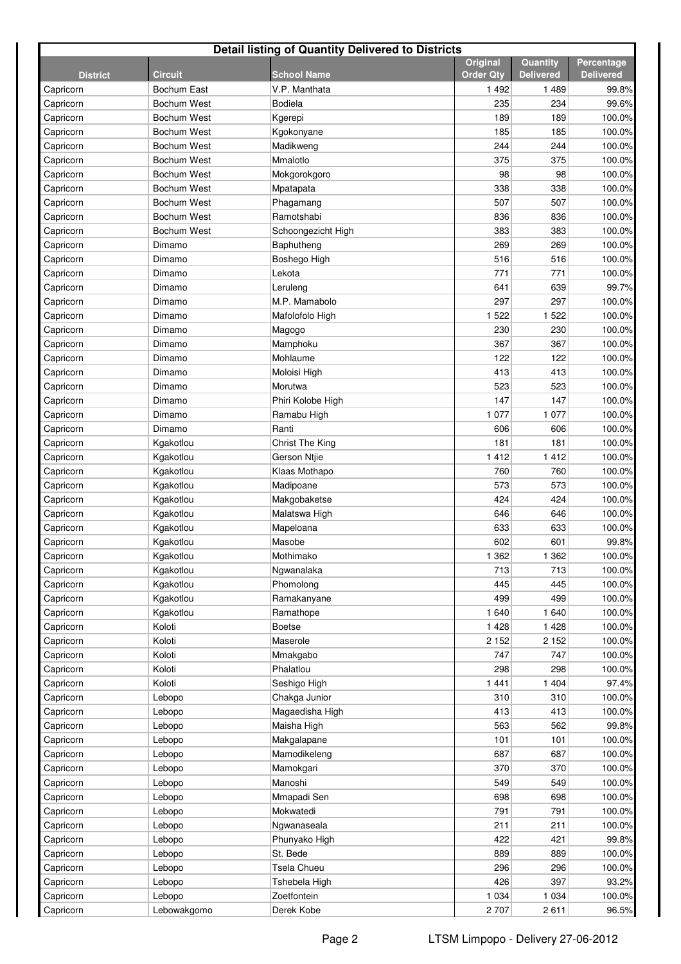| <b>Detail listing of Quantity Delivered to Districts</b> |                |                    |                                     |                              |                                |  |  |
|----------------------------------------------------------|----------------|--------------------|-------------------------------------|------------------------------|--------------------------------|--|--|
| <b>District</b>                                          | <b>Circuit</b> | <b>School Name</b> | <b>Original</b><br><b>Order Qtv</b> | Quantity<br><b>Delivered</b> | Percentage<br><b>Delivered</b> |  |  |
| Capricorn                                                | Bochum East    | V.P. Manthata      | 1 4 9 2                             | 1489                         | 99.8%                          |  |  |
| Capricorn                                                | Bochum West    | <b>Bodiela</b>     | 235                                 | 234                          | 99.6%                          |  |  |
| Capricorn                                                | Bochum West    | Kgerepi            | 189                                 | 189                          | 100.0%                         |  |  |
| Capricorn                                                | Bochum West    | Kgokonyane         | 185                                 | 185                          | 100.0%                         |  |  |
| Capricorn                                                | Bochum West    | Madikweng          | 244                                 | 244                          | 100.0%                         |  |  |
| Capricorn                                                | Bochum West    | Mmalotlo           | 375                                 | 375                          | 100.0%                         |  |  |
| Capricorn                                                | Bochum West    | Mokgorokgoro       | 98                                  | 98                           | 100.0%                         |  |  |
| Capricorn                                                | Bochum West    | Mpatapata          | 338                                 | 338                          | 100.0%                         |  |  |
| Capricorn                                                | Bochum West    | Phagamang          | 507                                 | 507                          | 100.0%                         |  |  |
| Capricorn                                                | Bochum West    | Ramotshabi         | 836                                 | 836                          | 100.0%                         |  |  |
| Capricorn                                                | Bochum West    | Schoongezicht High | 383                                 | 383                          | 100.0%                         |  |  |
| Capricorn                                                | Dimamo         | Baphutheng         | 269                                 | 269                          | 100.0%                         |  |  |
| Capricorn                                                | Dimamo         | Boshego High       | 516                                 | 516                          | 100.0%                         |  |  |
| Capricorn                                                | Dimamo         | Lekota             | 771                                 | 771                          | 100.0%                         |  |  |
| Capricorn                                                | Dimamo         | Leruleng           | 641                                 | 639                          | 99.7%                          |  |  |
| Capricorn                                                | Dimamo         | M.P. Mamabolo      | 297                                 | 297                          | 100.0%                         |  |  |
| Capricorn                                                | Dimamo         | Mafolofolo High    | 1 5 2 2                             | 1 5 2 2                      | 100.0%                         |  |  |
| Capricorn                                                | Dimamo         | Magogo             | 230                                 | 230                          | 100.0%                         |  |  |
| Capricorn                                                | Dimamo         | Mamphoku           | 367                                 | 367                          | 100.0%                         |  |  |
| Capricorn                                                | Dimamo         | Mohlaume           | 122                                 | 122                          | 100.0%                         |  |  |
| Capricorn                                                | Dimamo         | Moloisi High       | 413                                 | 413                          | 100.0%                         |  |  |
| Capricorn                                                | Dimamo         | Morutwa            | 523                                 | 523                          | 100.0%                         |  |  |
| Capricorn                                                | Dimamo         | Phiri Kolobe High  | 147                                 | 147                          | 100.0%                         |  |  |
| Capricorn                                                | Dimamo         | Ramabu High        | 1 0 7 7                             | 1 0 7 7                      | 100.0%                         |  |  |
| Capricorn                                                | Dimamo         | Ranti              | 606                                 | 606                          | 100.0%                         |  |  |
| Capricorn                                                | Kgakotlou      | Christ The King    | 181                                 | 181                          | 100.0%                         |  |  |
| Capricorn                                                | Kgakotlou      | Gerson Ntjie       | 1 4 1 2                             | 1 4 1 2                      | 100.0%                         |  |  |
| Capricorn                                                | Kgakotlou      | Klaas Mothapo      | 760                                 | 760                          | 100.0%                         |  |  |
| Capricorn                                                | Kgakotlou      | Madipoane          | 573                                 | 573                          | 100.0%                         |  |  |
| Capricorn                                                | Kgakotlou      | Makgobaketse       | 424                                 | 424                          | 100.0%                         |  |  |
| Capricorn                                                | Kgakotlou      | Malatswa High      | 646                                 | 646                          | 100.0%                         |  |  |
| Capricorn                                                | Kgakotlou      | Mapeloana          | 633                                 | 633                          | 100.0%                         |  |  |
| Capricorn                                                | Kgakotlou      | Masobe             | 602                                 | 601                          | 99.8%                          |  |  |
| Capricorn                                                | Kgakotlou      | Mothimako          | 1 3 6 2                             | 1 3 6 2                      | 100.0%                         |  |  |
| Capricorn                                                | Kgakotlou      | Ngwanalaka         | 713                                 | 713                          | 100.0%                         |  |  |
| Capricorn                                                | Kgakotlou      | Phomolong          | 445                                 | 445                          | 100.0%                         |  |  |
| Capricorn                                                | Kgakotlou      | Ramakanyane        | 499                                 | 499                          | 100.0%                         |  |  |
| Capricorn                                                | Kgakotlou      | Ramathope          | 1 640                               | 1 640                        | 100.0%                         |  |  |
| Capricorn                                                | Koloti         | Boetse             | 1 4 2 8                             | 1 4 2 8                      | 100.0%                         |  |  |
| Capricorn                                                | Koloti         | Maserole           | 2 1 5 2                             | 2 1 5 2                      | 100.0%                         |  |  |
| Capricorn                                                | Koloti         | Mmakgabo           | 747                                 | 747                          | 100.0%                         |  |  |
| Capricorn                                                | Koloti         | Phalatlou          | 298                                 | 298                          | 100.0%                         |  |  |
| Capricorn                                                | Koloti         | Seshigo High       | 1441                                | 1 4 0 4                      | 97.4%                          |  |  |
| Capricorn                                                | Lebopo         | Chakga Junior      | 310                                 | 310                          | 100.0%                         |  |  |
| Capricorn                                                | Lebopo         | Magaedisha High    | 413                                 | 413                          | 100.0%                         |  |  |
| Capricorn                                                | Lebopo         | Maisha High        | 563                                 | 562                          | 99.8%                          |  |  |
| Capricorn                                                | Lebopo         | Makgalapane        | 101                                 | 101                          | 100.0%                         |  |  |
| Capricorn                                                | Lebopo         | Mamodikeleng       | 687                                 | 687                          | 100.0%                         |  |  |
| Capricorn                                                | Lebopo         | Mamokgari          | 370                                 | 370                          | 100.0%                         |  |  |
| Capricorn                                                | Lebopo         | Manoshi            | 549                                 | 549                          | 100.0%                         |  |  |
| Capricorn                                                | Lebopo         | Mmapadi Sen        | 698                                 | 698                          | 100.0%                         |  |  |
| Capricorn                                                | Lebopo         | Mokwatedi          | 791                                 | 791                          | 100.0%                         |  |  |
| Capricorn                                                | Lebopo         | Ngwanaseala        | 211                                 | 211                          | 100.0%                         |  |  |
| Capricorn                                                | Lebopo         | Phunyako High      | 422<br>889                          | 421                          | 99.8%                          |  |  |
| Capricorn                                                | Lebopo         | St. Bede           |                                     | 889                          | 100.0%                         |  |  |
| Capricorn                                                | Lebopo         | Tsela Chueu        | 296<br>426                          | 296                          | 100.0%                         |  |  |
| Capricorn                                                | Lebopo         | Tshebela High      |                                     | 397                          | 93.2%                          |  |  |
| Capricorn                                                | Lebopo         | Zoetfontein        | 1 0 3 4                             | 1 0 3 4                      | 100.0%                         |  |  |
| Capricorn                                                | Lebowakgomo    | Derek Kobe         | 2707                                | 2611                         | 96.5%                          |  |  |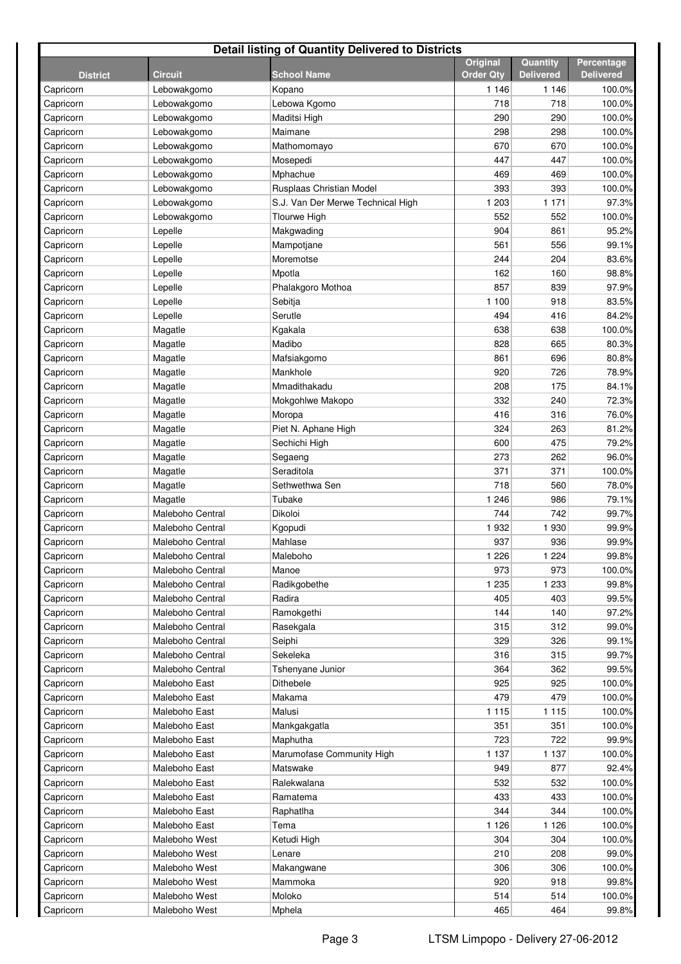| <b>Detail listing of Quantity Delivered to Districts</b> |                  |                                   |                                     |                              |                                |  |  |
|----------------------------------------------------------|------------------|-----------------------------------|-------------------------------------|------------------------------|--------------------------------|--|--|
| <b>District</b>                                          | <b>Circuit</b>   | School Name                       | <b>Original</b><br><b>Order Qty</b> | Quantity<br><b>Delivered</b> | Percentage<br><b>Delivered</b> |  |  |
| Capricorn                                                | Lebowakgomo      | Kopano                            | 1 1 4 6                             | 1 1 4 6                      | 100.0%                         |  |  |
| Capricorn                                                | Lebowakgomo      | Lebowa Kgomo                      | 718                                 | 718                          | 100.0%                         |  |  |
| Capricorn                                                | Lebowakgomo      | Maditsi High                      | 290                                 | 290                          | 100.0%                         |  |  |
| Capricorn                                                | Lebowakgomo      | Maimane                           | 298                                 | 298                          | 100.0%                         |  |  |
| Capricorn                                                | Lebowakgomo      | Mathomomayo                       | 670                                 | 670                          | 100.0%                         |  |  |
| Capricorn                                                | Lebowakgomo      | Mosepedi                          | 447                                 | 447                          | 100.0%                         |  |  |
| Capricorn                                                | Lebowakgomo      | Mphachue                          | 469                                 | 469                          | 100.0%                         |  |  |
| Capricorn                                                | Lebowakgomo      | Rusplaas Christian Model          | 393                                 | 393                          | 100.0%                         |  |  |
| Capricorn                                                | Lebowakgomo      | S.J. Van Der Merwe Technical High | 1 203                               | 1 1 7 1                      | 97.3%                          |  |  |
| Capricorn                                                | Lebowakgomo      | <b>Tlourwe High</b>               | 552                                 | 552                          | 100.0%                         |  |  |
| Capricorn                                                | Lepelle          | Makgwading                        | 904                                 | 861                          | 95.2%                          |  |  |
| Capricorn                                                | Lepelle          | Mampotjane                        | 561                                 | 556                          | 99.1%                          |  |  |
| Capricorn                                                | Lepelle          | Moremotse                         | 244                                 | 204                          | 83.6%                          |  |  |
| Capricorn                                                | Lepelle          | Mpotla                            | 162                                 | 160                          | 98.8%                          |  |  |
| Capricorn                                                | Lepelle          | Phalakgoro Mothoa                 | 857                                 | 839                          | 97.9%                          |  |  |
| Capricorn                                                | Lepelle          | Sebitja                           | 1 100                               | 918                          | 83.5%                          |  |  |
| Capricorn                                                | Lepelle          | Serutle                           | 494                                 | 416                          | 84.2%                          |  |  |
| Capricorn                                                | Magatle          | Kgakala                           | 638                                 | 638                          | 100.0%                         |  |  |
| Capricorn                                                | Magatle          | Madibo                            | 828                                 | 665                          | 80.3%                          |  |  |
| Capricorn                                                | Magatle          | Mafsiakgomo                       | 861                                 | 696                          | 80.8%                          |  |  |
| Capricorn                                                | Magatle          | Mankhole                          | 920                                 | 726                          | 78.9%                          |  |  |
| Capricorn                                                | Magatle          | Mmadithakadu                      | 208                                 | 175                          | 84.1%                          |  |  |
| Capricorn                                                | Magatle          | Mokgohlwe Makopo                  | 332                                 | 240                          | 72.3%                          |  |  |
| Capricorn                                                | Magatle          | Moropa                            | 416                                 | 316                          | 76.0%                          |  |  |
| Capricorn                                                | Magatle          | Piet N. Aphane High               | 324                                 | 263                          | 81.2%                          |  |  |
| Capricorn                                                | Magatle          | Sechichi High                     | 600                                 | 475                          | 79.2%                          |  |  |
| Capricorn                                                | Magatle          | Segaeng                           | 273                                 | 262                          | 96.0%                          |  |  |
| Capricorn                                                | Magatle          | Seraditola                        | 371                                 | 371                          | 100.0%                         |  |  |
| Capricorn                                                | Magatle          | Sethwethwa Sen                    | 718                                 | 560                          | 78.0%                          |  |  |
| Capricorn                                                | Magatle          | Tubake                            | 1 2 4 6                             | 986                          | 79.1%                          |  |  |
| Capricorn                                                | Maleboho Central | Dikoloi                           | 744                                 | 742                          | 99.7%                          |  |  |
| Capricorn                                                | Maleboho Central | Kgopudi                           | 1932                                | 1930                         | 99.9%                          |  |  |
| Capricorn                                                | Maleboho Central | Mahlase                           | 937                                 | 936                          | 99.9%                          |  |  |
| Capricorn                                                | Maleboho Central | Maleboho                          | 1 2 2 6                             | 1 2 2 4                      | 99.8%                          |  |  |
| Capricorn                                                | Maleboho Central | Manoe                             | 973                                 | 973                          | 100.0%                         |  |  |
| Capricorn                                                | Maleboho Central | Radikgobethe                      | 1 2 3 5                             | 1 2 3 3                      | 99.8%                          |  |  |
| Capricorn                                                | Maleboho Central | Radira                            | 405                                 | 403                          | 99.5%                          |  |  |
| Capricorn                                                | Maleboho Central | Ramokgethi                        | 144                                 | 140                          | 97.2%                          |  |  |
| Capricorn                                                | Maleboho Central | Rasekgala                         | 315                                 | 312                          | 99.0%                          |  |  |
| Capricorn                                                | Maleboho Central | Seiphi                            | 329                                 | 326                          | 99.1%                          |  |  |
| Capricorn                                                | Maleboho Central | Sekeleka                          | 316                                 | 315                          | 99.7%                          |  |  |
| Capricorn                                                | Maleboho Central | Tshenyane Junior                  | 364                                 | 362                          | 99.5%                          |  |  |
| Capricorn                                                | Maleboho East    | Dithebele                         | 925                                 | 925                          | 100.0%                         |  |  |
| Capricorn                                                | Maleboho East    | Makama                            | 479                                 | 479                          | 100.0%                         |  |  |
| Capricorn                                                | Maleboho East    | Malusi                            | 1 1 1 5                             | 1 1 1 5                      | 100.0%                         |  |  |
| Capricorn                                                | Maleboho East    | Mankgakgatla                      | 351                                 | 351                          | 100.0%                         |  |  |
| Capricorn                                                | Maleboho East    | Maphutha                          | 723                                 | 722                          | 99.9%                          |  |  |
| Capricorn                                                | Maleboho East    | Marumofase Community High         | 1 1 3 7                             | 1 1 3 7                      | 100.0%                         |  |  |
| Capricorn                                                | Maleboho East    | Matswake                          | 949                                 | 877                          | 92.4%                          |  |  |
| Capricorn                                                | Maleboho East    | Ralekwalana                       | 532                                 | 532                          | 100.0%                         |  |  |
| Capricorn                                                | Maleboho East    | Ramatema                          | 433                                 | 433                          | 100.0%                         |  |  |
| Capricorn                                                | Maleboho East    | Raphatlha                         | 344                                 | 344                          | 100.0%                         |  |  |
| Capricorn                                                | Maleboho East    | Tema                              | 1 1 2 6                             | 1 1 2 6                      | 100.0%                         |  |  |
| Capricorn                                                | Maleboho West    | Ketudi High                       | 304                                 | 304                          | 100.0%                         |  |  |
| Capricorn                                                | Maleboho West    | Lenare                            | 210                                 | 208                          | 99.0%                          |  |  |
| Capricorn                                                | Maleboho West    | Makangwane                        | 306                                 | 306                          | 100.0%                         |  |  |
| Capricorn                                                | Maleboho West    | Mammoka                           | 920                                 | 918                          | 99.8%                          |  |  |
| Capricorn                                                | Maleboho West    | Moloko                            | 514                                 | 514                          | 100.0%                         |  |  |
| Capricorn                                                | Maleboho West    | Mphela                            | 465                                 | 464                          | 99.8%                          |  |  |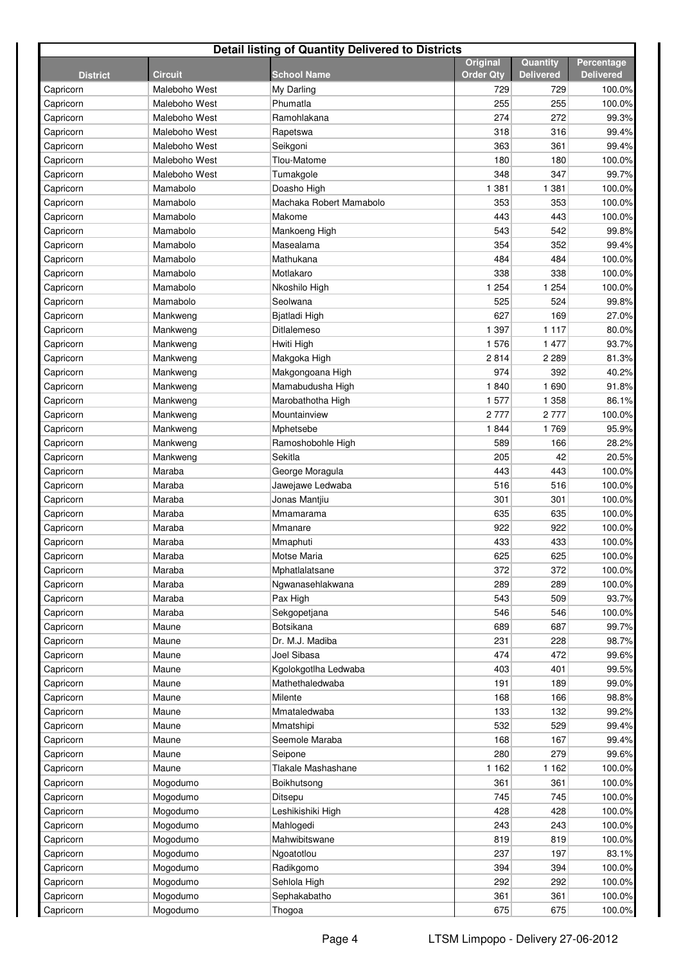| <b>Detail listing of Quantity Delivered to Districts</b> |                |                         |                                     |                              |                                       |  |  |
|----------------------------------------------------------|----------------|-------------------------|-------------------------------------|------------------------------|---------------------------------------|--|--|
| <b>District</b>                                          | <b>Circuit</b> | <b>School Name</b>      | <b>Original</b><br><b>Order Qty</b> | Quantity<br><b>Delivered</b> | <b>Percentage</b><br><b>Delivered</b> |  |  |
| Capricorn                                                | Maleboho West  | My Darling              | 729                                 | 729                          | 100.0%                                |  |  |
| Capricorn                                                | Maleboho West  | Phumatla                | 255                                 | 255                          | 100.0%                                |  |  |
| Capricorn                                                | Maleboho West  | Ramohlakana             | 274                                 | 272                          | 99.3%                                 |  |  |
| Capricorn                                                | Maleboho West  | Rapetswa                | 318                                 | 316                          | 99.4%                                 |  |  |
| Capricorn                                                | Maleboho West  | Seikgoni                | 363                                 | 361                          | 99.4%                                 |  |  |
| Capricorn                                                | Maleboho West  | Tlou-Matome             | 180                                 | 180                          | 100.0%                                |  |  |
| Capricorn                                                | Maleboho West  | Tumakgole               | 348                                 | 347                          | 99.7%                                 |  |  |
| Capricorn                                                | Mamabolo       | Doasho High             | 1 3 8 1                             | 1 3 8 1                      | 100.0%                                |  |  |
| Capricorn                                                | Mamabolo       | Machaka Robert Mamabolo | 353                                 | 353                          | 100.0%                                |  |  |
| Capricorn                                                | Mamabolo       | Makome                  | 443                                 | 443                          | 100.0%                                |  |  |
| Capricorn                                                | Mamabolo       | Mankoeng High           | 543                                 | 542                          | 99.8%                                 |  |  |
| Capricorn                                                | Mamabolo       | Masealama               | 354                                 | 352                          | 99.4%                                 |  |  |
| Capricorn                                                | Mamabolo       | Mathukana               | 484                                 | 484                          | 100.0%                                |  |  |
| Capricorn                                                | Mamabolo       | Motlakaro               | 338                                 | 338                          | 100.0%                                |  |  |
| Capricorn                                                | Mamabolo       | Nkoshilo High           | 1 2 5 4                             | 1 2 5 4                      | 100.0%                                |  |  |
| Capricorn                                                | Mamabolo       | Seolwana                | 525                                 | 524                          | 99.8%                                 |  |  |
| Capricorn                                                | Mankweng       | Bjatladi High           | 627                                 | 169                          | 27.0%                                 |  |  |
| Capricorn                                                | Mankweng       | Ditlalemeso             | 1 3 9 7                             | 1 1 1 7                      | 80.0%                                 |  |  |
| Capricorn                                                | Mankweng       | Hwiti High              | 1576                                | 1 477                        | 93.7%                                 |  |  |
| Capricorn                                                | Mankweng       | Makgoka High            | 2814                                | 2 2 8 9                      | 81.3%                                 |  |  |
| Capricorn                                                | Mankweng       | Makgongoana High        | 974                                 | 392                          | 40.2%                                 |  |  |
| Capricorn                                                | Mankweng       | Mamabudusha High        | 1840                                | 1690                         | 91.8%                                 |  |  |
| Capricorn                                                | Mankweng       | Marobathotha High       | 1577                                | 1 3 5 8                      | 86.1%                                 |  |  |
| Capricorn                                                | Mankweng       | Mountainview            | 2777                                | 2 7 7 7                      | 100.0%                                |  |  |
| Capricorn                                                | Mankweng       | Mphetsebe               | 1844                                | 1769                         | 95.9%                                 |  |  |
| Capricorn                                                | Mankweng       | Ramoshobohle High       | 589                                 | 166                          | 28.2%                                 |  |  |
| Capricorn                                                | Mankweng       | Sekitla                 | 205                                 | 42                           | 20.5%                                 |  |  |
| Capricorn                                                | Maraba         | George Moragula         | 443                                 | 443                          | 100.0%                                |  |  |
| Capricorn                                                | Maraba         | Jawejawe Ledwaba        | 516                                 | 516                          | 100.0%                                |  |  |
| Capricorn                                                | Maraba         | Jonas Mantiiu           | 301                                 | 301                          | 100.0%                                |  |  |
| Capricorn                                                | Maraba         | Mmamarama               | 635                                 | 635                          | 100.0%                                |  |  |
| Capricorn                                                | Maraba         | Mmanare                 | 922                                 | 922                          | 100.0%                                |  |  |
| Capricorn                                                | Maraba         | Mmaphuti                | 433                                 | 433                          | 100.0%                                |  |  |
| Capricorn                                                | Maraba         | Motse Maria             | 625                                 | 625                          | 100.0%                                |  |  |
| Capricorn                                                | Maraba         | Mphatlalatsane          | 372                                 | 372                          | 100.0%                                |  |  |
| Capricorn                                                | Maraba         | Ngwanasehlakwana        | 289                                 | 289                          | 100.0%                                |  |  |
| Capricorn                                                | Maraba         | Pax High                | 543                                 | 509                          | 93.7%                                 |  |  |
| Capricorn                                                | Maraba         | Sekgopetjana            | 546                                 | 546                          | 100.0%                                |  |  |
| Capricorn                                                | Maune          | Botsikana               | 689                                 | 687                          | 99.7%                                 |  |  |
| Capricorn                                                | Maune          | Dr. M.J. Madiba         | 231                                 | 228                          | 98.7%                                 |  |  |
| Capricorn                                                | Maune          | Joel Sibasa             | 474                                 | 472                          | 99.6%                                 |  |  |
| Capricorn                                                | Maune          | Kgolokgotlha Ledwaba    | 403                                 | 401                          | 99.5%                                 |  |  |
| Capricorn                                                | Maune          | Mathethaledwaba         | 191                                 | 189                          | 99.0%                                 |  |  |
| Capricorn                                                | Maune          | Milente                 | 168                                 | 166                          | 98.8%                                 |  |  |
| Capricorn                                                | Maune          | Mmataledwaba            | 133                                 | 132                          | 99.2%                                 |  |  |
| Capricorn                                                | Maune          | Mmatshipi               | 532                                 | 529                          | 99.4%                                 |  |  |
| Capricorn                                                | Maune          | Seemole Maraba          | 168                                 | 167                          | 99.4%                                 |  |  |
| Capricorn                                                | Maune          | Seipone                 | 280                                 | 279                          | 99.6%                                 |  |  |
| Capricorn                                                | Maune          | Tlakale Mashashane      | 1 1 6 2                             | 1 1 6 2                      | 100.0%                                |  |  |
| Capricorn                                                | Mogodumo       | Boikhutsong             | 361                                 | 361                          | 100.0%                                |  |  |
| Capricorn                                                | Mogodumo       | Ditsepu                 | 745                                 | 745                          | 100.0%                                |  |  |
| Capricorn                                                | Mogodumo       | Leshikishiki High       | 428                                 | 428                          | 100.0%                                |  |  |
| Capricorn                                                | Mogodumo       | Mahlogedi               | 243                                 | 243                          | 100.0%                                |  |  |
| Capricorn                                                | Mogodumo       | Mahwibitswane           | 819                                 | 819                          | 100.0%                                |  |  |
| Capricorn                                                | Mogodumo       | Ngoatotlou              | 237                                 | 197                          | 83.1%                                 |  |  |
| Capricorn                                                | Mogodumo       | Radikgomo               | 394                                 | 394                          | 100.0%                                |  |  |
| Capricorn                                                | Mogodumo       | Sehlola High            | 292                                 | 292                          | 100.0%                                |  |  |
| Capricorn                                                | Mogodumo       | Sephakabatho            | 361                                 | 361                          | 100.0%                                |  |  |
| Capricorn                                                | Mogodumo       | Thogoa                  | 675                                 | 675                          | 100.0%                                |  |  |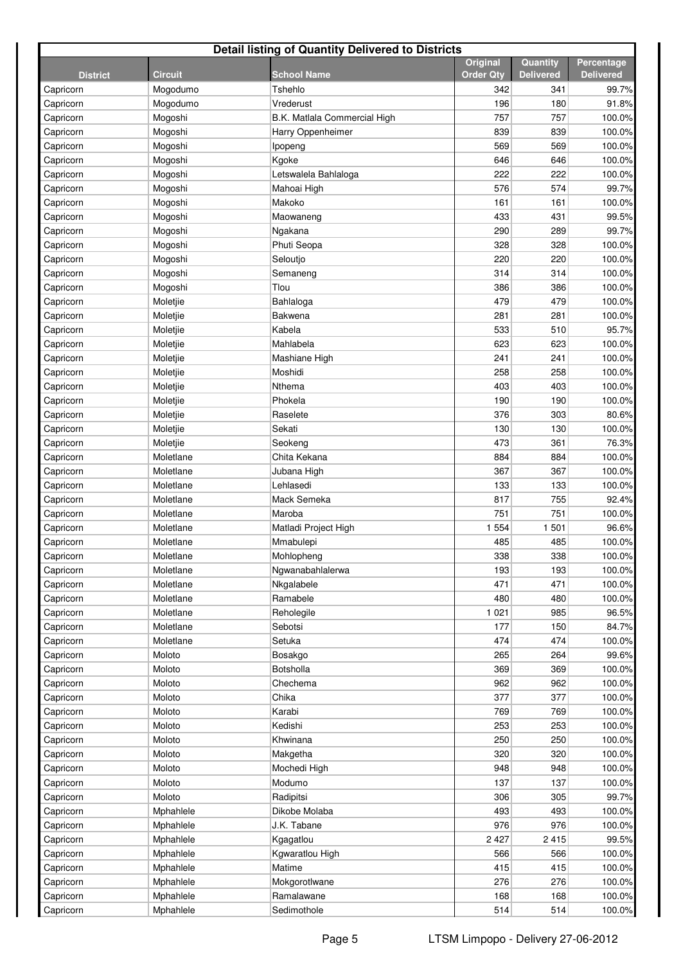| <b>Detail listing of Quantity Delivered to Districts</b> |                |                              |                                     |                              |                                |  |  |
|----------------------------------------------------------|----------------|------------------------------|-------------------------------------|------------------------------|--------------------------------|--|--|
| <b>District</b>                                          | <b>Circuit</b> | <b>School Name</b>           | <b>Original</b><br><b>Order Qty</b> | Quantity<br><b>Delivered</b> | Percentage<br><b>Delivered</b> |  |  |
| Capricorn                                                | Mogodumo       | Tshehlo                      | 342                                 | 341                          | 99.7%                          |  |  |
| Capricorn                                                | Mogodumo       | Vrederust                    | 196                                 | 180                          | 91.8%                          |  |  |
| Capricorn                                                | Mogoshi        | B.K. Matlala Commercial High | 757                                 | 757                          | 100.0%                         |  |  |
| Capricorn                                                | Mogoshi        | Harry Oppenheimer            | 839                                 | 839                          | 100.0%                         |  |  |
| Capricorn                                                | Mogoshi        | Ipopeng                      | 569                                 | 569                          | 100.0%                         |  |  |
| Capricorn                                                | Mogoshi        | Kgoke                        | 646                                 | 646                          | 100.0%                         |  |  |
| Capricorn                                                | Mogoshi        | Letswalela Bahlaloga         | 222                                 | 222                          | 100.0%                         |  |  |
| Capricorn                                                | Mogoshi        | Mahoai High                  | 576                                 | 574                          | 99.7%                          |  |  |
| Capricorn                                                | Mogoshi        | Makoko                       | 161                                 | 161                          | 100.0%                         |  |  |
| Capricorn                                                | Mogoshi        | Maowaneng                    | 433                                 | 431                          | 99.5%                          |  |  |
| Capricorn                                                | Mogoshi        | Ngakana                      | 290                                 | 289                          | 99.7%                          |  |  |
| Capricorn                                                | Mogoshi        | Phuti Seopa                  | 328                                 | 328                          | 100.0%                         |  |  |
| Capricorn                                                | Mogoshi        | Seloutjo                     | 220                                 | 220                          | 100.0%                         |  |  |
| Capricorn                                                | Mogoshi        | Semaneng                     | 314                                 | 314                          | 100.0%                         |  |  |
| Capricorn                                                | Mogoshi        | Tlou                         | 386                                 | 386                          | 100.0%                         |  |  |
| Capricorn                                                | Moletjie       | Bahlaloga                    | 479                                 | 479                          | 100.0%                         |  |  |
| Capricorn                                                | Moletjie       | Bakwena                      | 281                                 | 281                          | 100.0%                         |  |  |
| Capricorn                                                | Moletjie       | Kabela                       | 533                                 | 510                          | 95.7%                          |  |  |
| Capricorn                                                | Moletjie       | Mahlabela                    | 623                                 | 623                          | 100.0%                         |  |  |
| Capricorn                                                | Moletjie       | Mashiane High                | 241                                 | 241                          | 100.0%                         |  |  |
| Capricorn                                                | Moletjie       | Moshidi                      | 258                                 | 258                          | 100.0%                         |  |  |
| Capricorn                                                | Moletjie       | Nthema                       | 403                                 | 403                          | 100.0%                         |  |  |
| Capricorn                                                | Moletjie       | Phokela                      | 190                                 | 190                          | 100.0%                         |  |  |
| Capricorn                                                | Moletjie       | Raselete                     | 376                                 | 303                          | 80.6%                          |  |  |
| Capricorn                                                | Moletjie       | Sekati                       | 130                                 | 130                          | 100.0%                         |  |  |
| Capricorn                                                | Moletjie       | Seokeng                      | 473                                 | 361                          | 76.3%                          |  |  |
| Capricorn                                                | Moletlane      | Chita Kekana                 | 884                                 | 884                          | 100.0%                         |  |  |
| Capricorn                                                | Moletlane      | Jubana High                  | 367                                 | 367                          | 100.0%                         |  |  |
| Capricorn                                                | Moletlane      | Lehlasedi                    | 133                                 | 133                          | 100.0%                         |  |  |
| Capricorn                                                | Moletlane      | Mack Semeka                  | 817                                 | 755                          | 92.4%                          |  |  |
| Capricorn                                                | Moletlane      | Maroba                       | 751                                 | 751                          | 100.0%                         |  |  |
| Capricorn                                                | Moletlane      | Matladi Project High         | 1 5 5 4                             | 1 501                        | 96.6%                          |  |  |
| Capricorn                                                | Moletlane      | Mmabulepi                    | 485                                 | 485                          | 100.0%                         |  |  |
| Capricorn                                                | Moletlane      | Mohlopheng                   | 338                                 | 338                          | 100.0%                         |  |  |
| Capricorn                                                | Moletlane      | Ngwanabahlalerwa             | 193                                 | 193                          | 100.0%                         |  |  |
| Capricorn                                                | Moletlane      | Nkgalabele                   | 471                                 | 471                          | 100.0%                         |  |  |
| Capricorn                                                | Moletlane      | Ramabele                     | 480                                 | 480                          | 100.0%                         |  |  |
| Capricorn                                                | Moletlane      | Reholegile                   | 1 0 2 1                             | 985                          | 96.5%                          |  |  |
| Capricorn                                                | Moletlane      | Sebotsi                      | 177                                 | 150                          | 84.7%                          |  |  |
| Capricorn                                                | Moletlane      | Setuka                       | 474                                 | 474                          | 100.0%                         |  |  |
| Capricorn                                                | Moloto         | Bosakgo                      | 265                                 | 264                          | 99.6%                          |  |  |
| Capricorn                                                | Moloto         | Botsholla                    | 369                                 | 369                          | 100.0%                         |  |  |
| Capricorn                                                | Moloto         | Chechema                     | 962                                 | 962                          | 100.0%                         |  |  |
| Capricorn                                                | Moloto         | Chika                        | 377                                 | 377                          | 100.0%                         |  |  |
| Capricorn                                                | Moloto         | Karabi                       | 769                                 | 769                          | 100.0%                         |  |  |
| Capricorn                                                | Moloto         | Kedishi                      | 253                                 | 253                          | 100.0%                         |  |  |
| Capricorn                                                | Moloto         | Khwinana                     | 250                                 | 250                          | 100.0%                         |  |  |
| Capricorn                                                | Moloto         | Makgetha                     | 320                                 | 320                          | 100.0%                         |  |  |
| Capricorn                                                | Moloto         | Mochedi High                 | 948                                 | 948                          | 100.0%                         |  |  |
| Capricorn                                                | Moloto         | Modumo                       | 137                                 | 137                          | 100.0%                         |  |  |
| Capricorn                                                | Moloto         | Radipitsi                    | 306                                 | 305                          | 99.7%                          |  |  |
| Capricorn                                                | Mphahlele      | Dikobe Molaba                | 493                                 | 493                          | 100.0%                         |  |  |
| Capricorn                                                | Mphahlele      | J.K. Tabane                  | 976                                 | 976                          | 100.0%                         |  |  |
| Capricorn                                                | Mphahlele      | Kgagatlou                    | 2 4 2 7                             | 2415                         | 99.5%                          |  |  |
| Capricorn                                                | Mphahlele      | Kgwaratlou High              | 566                                 | 566                          | 100.0%                         |  |  |
| Capricorn                                                | Mphahlele      | Matime                       | 415                                 | 415                          | 100.0%                         |  |  |
| Capricorn                                                | Mphahlele      | Mokgorotlwane                | 276                                 | 276                          | 100.0%                         |  |  |
| Capricorn                                                | Mphahlele      | Ramalawane                   | 168                                 | 168                          | 100.0%                         |  |  |
| Capricorn                                                | Mphahlele      | Sedimothole                  | 514                                 | 514                          | 100.0%                         |  |  |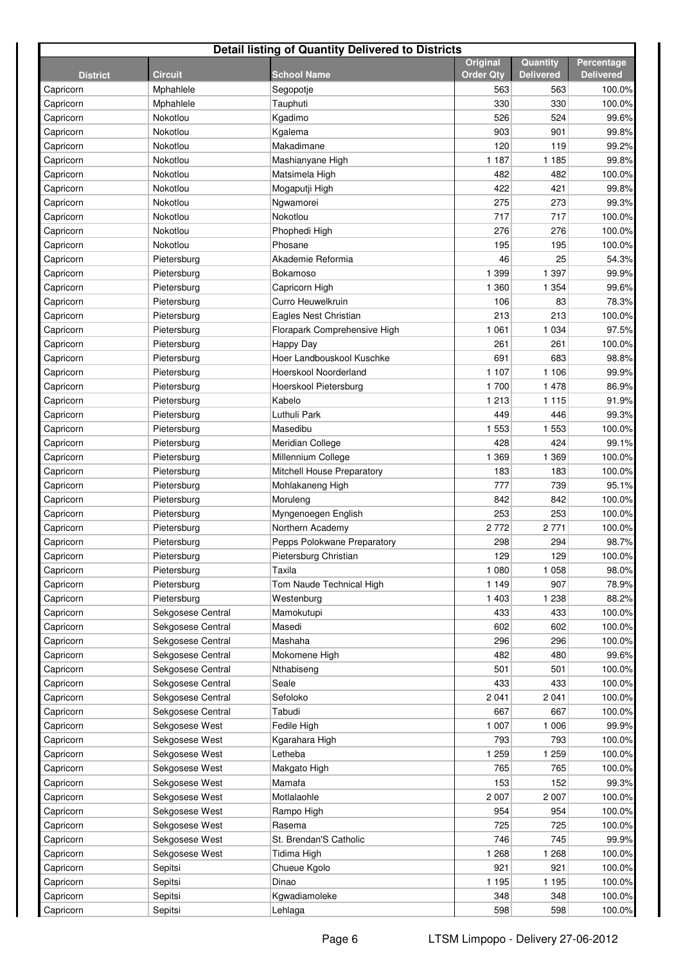| <b>Detail listing of Quantity Delivered to Districts</b> |                      |                                |                  |                  |                  |  |  |
|----------------------------------------------------------|----------------------|--------------------------------|------------------|------------------|------------------|--|--|
|                                                          |                      |                                | <b>Original</b>  | Quantity         | Percentage       |  |  |
| <b>District</b>                                          | <b>Circuit</b>       | <b>School Name</b>             | <b>Order Qtv</b> | <b>Delivered</b> | <b>Delivered</b> |  |  |
| Capricorn                                                | Mphahlele            | Segopotje                      | 563              | 563              | 100.0%           |  |  |
| Capricorn                                                | Mphahlele            | Tauphuti                       | 330              | 330              | 100.0%           |  |  |
| Capricorn                                                | Nokotlou             | Kgadimo                        | 526<br>903       | 524<br>901       | 99.6%            |  |  |
| Capricorn                                                | Nokotlou             | Kgalema                        | 120              |                  | 99.8%            |  |  |
| Capricorn<br>Capricorn                                   | Nokotlou<br>Nokotlou | Makadimane<br>Mashianyane High | 1 1 8 7          | 119<br>1 1 8 5   | 99.2%<br>99.8%   |  |  |
| Capricorn                                                | Nokotlou             | Matsimela High                 | 482              | 482              | 100.0%           |  |  |
| Capricorn                                                | Nokotlou             | Mogaputji High                 | 422              | 421              | 99.8%            |  |  |
| Capricorn                                                | Nokotlou             | Ngwamorei                      | 275              | 273              | 99.3%            |  |  |
| Capricorn                                                | Nokotlou             | Nokotlou                       | 717              | 717              | 100.0%           |  |  |
| Capricorn                                                | Nokotlou             | Phophedi High                  | 276              | 276              | 100.0%           |  |  |
| Capricorn                                                | Nokotlou             | Phosane                        | 195              | 195              | 100.0%           |  |  |
| Capricorn                                                | Pietersburg          | Akademie Reformia              | 46               | 25               | 54.3%            |  |  |
| Capricorn                                                | Pietersburg          | Bokamoso                       | 1 3 9 9          | 1 3 9 7          | 99.9%            |  |  |
| Capricorn                                                | Pietersburg          | Capricorn High                 | 1 360            | 1 3 5 4          | 99.6%            |  |  |
| Capricorn                                                | Pietersburg          | Curro Heuwelkruin              | 106              | 83               | 78.3%            |  |  |
| Capricorn                                                | Pietersburg          | Eagles Nest Christian          | 213              | 213              | 100.0%           |  |  |
| Capricorn                                                | Pietersburg          | Florapark Comprehensive High   | 1 0 6 1          | 1 0 3 4          | 97.5%            |  |  |
| Capricorn                                                | Pietersburg          | Happy Day                      | 261              | 261              | 100.0%           |  |  |
| Capricorn                                                | Pietersburg          | Hoer Landbouskool Kuschke      | 691              | 683              | 98.8%            |  |  |
| Capricorn                                                | Pietersburg          | Hoerskool Noorderland          | 1 1 0 7          | 1 1 0 6          | 99.9%            |  |  |
| Capricorn                                                | Pietersburg          | Hoerskool Pietersburg          | 1700             | 1 478            | 86.9%            |  |  |
| Capricorn                                                | Pietersburg          | Kabelo                         | 1 2 1 3          | 1 1 1 5          | 91.9%            |  |  |
| Capricorn                                                | Pietersburg          | Luthuli Park                   | 449              | 446              | 99.3%            |  |  |
| Capricorn                                                | Pietersburg          | Masedibu                       | 1 5 5 3          | 1 5 5 3          | 100.0%           |  |  |
| Capricorn                                                | Pietersburg          | Meridian College               | 428              | 424              | 99.1%            |  |  |
| Capricorn                                                | Pietersburg          | Millennium College             | 1 3 6 9          | 1 3 6 9          | 100.0%           |  |  |
| Capricorn                                                | Pietersburg          | Mitchell House Preparatory     | 183              | 183              | 100.0%           |  |  |
| Capricorn                                                | Pietersburg          | Mohlakaneng High               | 777              | 739              | 95.1%            |  |  |
| Capricorn                                                | Pietersburg          | Moruleng                       | 842              | 842              | 100.0%           |  |  |
| Capricorn                                                | Pietersburg          | Myngenoegen English            | 253              | 253              | 100.0%           |  |  |
| Capricorn                                                | Pietersburg          | Northern Academy               | 2772             | 2 7 7 1          | 100.0%           |  |  |
| Capricorn                                                | Pietersburg          | Pepps Polokwane Preparatory    | 298              | 294              | 98.7%            |  |  |
| Capricorn                                                | Pietersburg          | Pietersburg Christian          | 129              | 129              | 100.0%           |  |  |
| Capricorn                                                | Pietersburg          | Taxila                         | 1 0 8 0          | 1 0 5 8          | 98.0%            |  |  |
| Capricorn                                                | Pietersburg          | Tom Naude Technical High       | 1 1 4 9          | 907              | 78.9%            |  |  |
| Capricorn                                                | Pietersburg          | Westenburg                     | 1 4 0 3          | 1 2 3 8          | 88.2%            |  |  |
| Capricorn                                                | Sekgosese Central    | Mamokutupi                     | 433              | 433              | 100.0%           |  |  |
| Capricorn                                                | Sekgosese Central    | Masedi                         | 602              | 602              | 100.0%           |  |  |
| Capricorn                                                | Sekgosese Central    | Mashaha                        | 296              | 296              | 100.0%           |  |  |
| Capricorn                                                | Sekgosese Central    | Mokomene High                  | 482              | 480              | 99.6%            |  |  |
| Capricorn                                                | Sekgosese Central    | Nthabiseng                     | 501              | 501              | 100.0%           |  |  |
| Capricorn                                                | Sekgosese Central    | Seale                          | 433              | 433              | 100.0%           |  |  |
| Capricorn                                                | Sekgosese Central    | Sefoloko                       | 2 0 4 1          | 2 041            | 100.0%           |  |  |
| Capricorn                                                | Sekgosese Central    | Tabudi                         | 667              | 667              | 100.0%           |  |  |
| Capricorn                                                | Sekgosese West       | Fedile High                    | 1 0 0 7          | 1 0 0 6          | 99.9%            |  |  |
| Capricorn                                                | Sekgosese West       | Kgarahara High                 | 793              | 793              | 100.0%           |  |  |
| Capricorn                                                | Sekgosese West       | Letheba                        | 1 2 5 9          | 1 2 5 9          | 100.0%           |  |  |
| Capricorn                                                | Sekgosese West       | Makgato High                   | 765              | 765              | 100.0%           |  |  |
| Capricorn                                                | Sekgosese West       | Mamafa                         | 153              | 152              | 99.3%            |  |  |
| Capricorn                                                | Sekgosese West       | Motlalaohle                    | 2 0 0 7          | 2 0 0 7          | 100.0%           |  |  |
| Capricorn                                                | Sekgosese West       | Rampo High                     | 954              | 954              | 100.0%           |  |  |
| Capricorn                                                | Sekgosese West       | Rasema                         | 725              | 725              | 100.0%           |  |  |
| Capricorn                                                | Sekgosese West       | St. Brendan'S Catholic         | 746              | 745              | 99.9%            |  |  |
| Capricorn                                                | Sekgosese West       | Tidima High                    | 1 2 6 8          | 1 2 6 8          | 100.0%           |  |  |
| Capricorn                                                | Sepitsi              | Chueue Kgolo                   | 921              | 921              | 100.0%           |  |  |
| Capricorn                                                | Sepitsi              | Dinao                          | 1 1 9 5          | 1 1 9 5          | 100.0%           |  |  |
| Capricorn                                                | Sepitsi              | Kgwadiamoleke                  | 348              | 348              | 100.0%           |  |  |
| Capricorn                                                | Sepitsi              | Lehlaga                        | 598              | 598              | 100.0%           |  |  |
|                                                          |                      |                                |                  |                  |                  |  |  |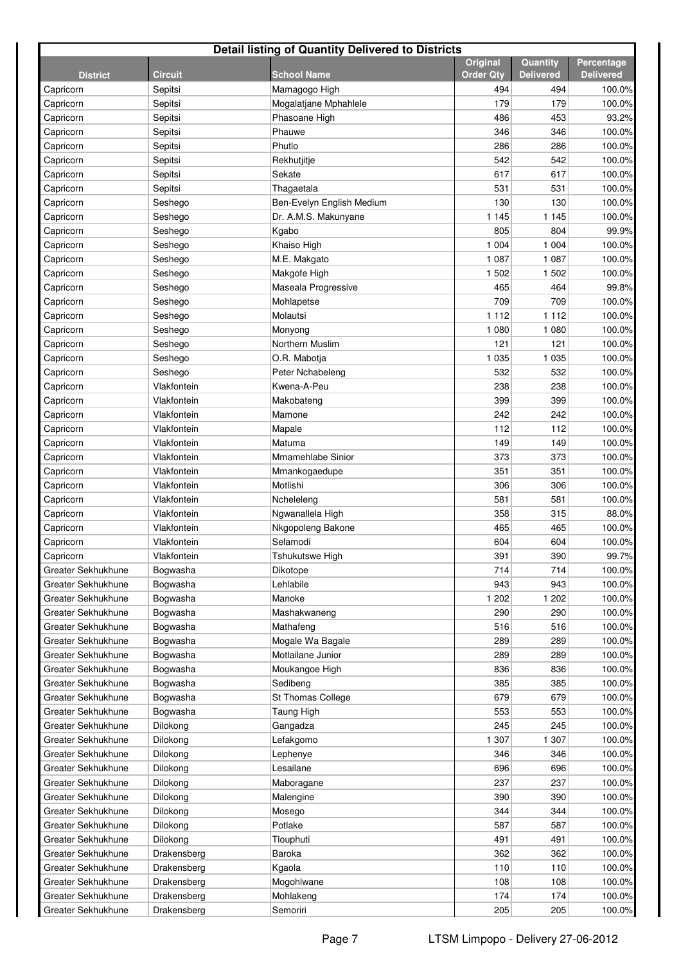| <b>Detail listing of Quantity Delivered to Districts</b> |                |                           |                  |                  |                  |  |  |
|----------------------------------------------------------|----------------|---------------------------|------------------|------------------|------------------|--|--|
|                                                          |                |                           | <b>Original</b>  | Quantity         | Percentage       |  |  |
| <b>District</b>                                          | <b>Circuit</b> | <b>School Name</b>        | <b>Order Qty</b> | <b>Delivered</b> | <b>Delivered</b> |  |  |
| Capricorn                                                | Sepitsi        | Mamagogo High             | 494              | 494              | 100.0%           |  |  |
| Capricorn                                                | Sepitsi        | Mogalatjane Mphahlele     | 179              | 179              | 100.0%           |  |  |
| Capricorn                                                | Sepitsi        | Phasoane High             | 486              | 453              | 93.2%            |  |  |
| Capricorn                                                | Sepitsi        | Phauwe                    | 346              | 346              | 100.0%           |  |  |
| Capricorn                                                | Sepitsi        | Phutlo                    | 286              | 286              | 100.0%           |  |  |
| Capricorn                                                | Sepitsi        | Rekhutjitje               | 542              | 542              | 100.0%           |  |  |
| Capricorn                                                | Sepitsi        | Sekate                    | 617              | 617              | 100.0%           |  |  |
| Capricorn                                                | Sepitsi        | Thagaetala                | 531              | 531              | 100.0%           |  |  |
| Capricorn                                                | Seshego        | Ben-Evelyn English Medium | 130              | 130              | 100.0%           |  |  |
| Capricorn                                                | Seshego        | Dr. A.M.S. Makunyane      | 1 1 4 5          | 1 1 4 5          | 100.0%           |  |  |
| Capricorn                                                | Seshego        | Kgabo                     | 805              | 804              | 99.9%            |  |  |
| Capricorn                                                | Seshego        | Khaiso High               | 1 0 0 4          | 1 0 0 4          | 100.0%           |  |  |
| Capricorn                                                | Seshego        | M.E. Makgato              | 1 0 8 7          | 1 0 8 7          | 100.0%           |  |  |
| Capricorn                                                | Seshego        | Makgofe High              | 1 502            | 1 5 0 2          | 100.0%           |  |  |
| Capricorn                                                | Seshego        | Maseala Progressive       | 465              | 464              | 99.8%            |  |  |
| Capricorn                                                | Seshego        | Mohlapetse                | 709              | 709              | 100.0%           |  |  |
| Capricorn                                                | Seshego        | Molautsi                  | 1 1 1 2          | 1 1 1 2          | 100.0%           |  |  |
| Capricorn                                                | Seshego        | Monyong                   | 1 0 8 0          | 1 0 8 0          | 100.0%           |  |  |
| Capricorn                                                | Seshego        | Northern Muslim           | 121              | 121              | 100.0%           |  |  |
| Capricorn                                                | Seshego        | O.R. Mabotja              | 1 0 3 5          | 1 0 3 5          | 100.0%           |  |  |
| Capricorn                                                | Seshego        | Peter Nchabeleng          | 532              | 532              | 100.0%           |  |  |
| Capricorn                                                | Vlakfontein    | Kwena-A-Peu               | 238              | 238              | 100.0%           |  |  |
| Capricorn                                                | Vlakfontein    | Makobateng                | 399              | 399              | 100.0%           |  |  |
| Capricorn                                                | Vlakfontein    | Mamone                    | 242              | 242              | 100.0%           |  |  |
| Capricorn                                                | Vlakfontein    | Mapale                    | 112              | 112              | 100.0%           |  |  |
| Capricorn                                                | Vlakfontein    | Matuma                    | 149              | 149              | 100.0%           |  |  |
| Capricorn                                                | Vlakfontein    | Mmamehlabe Sinior         | 373              | 373              | 100.0%           |  |  |
| Capricorn                                                | Vlakfontein    | Mmankogaedupe             | 351              | 351              | 100.0%           |  |  |
| Capricorn                                                | Vlakfontein    | Motlishi                  | 306              | 306              | 100.0%           |  |  |
| Capricorn                                                | Vlakfontein    | Ncheleleng                | 581              | 581              | 100.0%           |  |  |
| Capricorn                                                | Vlakfontein    | Ngwanallela High          | 358              | 315              | 88.0%            |  |  |
| Capricorn                                                | Vlakfontein    | Nkgopoleng Bakone         | 465              | 465              | 100.0%           |  |  |
| Capricorn                                                | Vlakfontein    | Selamodi                  | 604              | 604              | 100.0%           |  |  |
| Capricorn                                                | Vlakfontein    | Tshukutswe High           | 391              | 390              | 99.7%            |  |  |
| Greater Sekhukhune                                       | Bogwasha       | Dikotope                  | 714              | 714              | 100.0%           |  |  |
| Greater Sekhukhune                                       | Bogwasha       | Lehlabile                 | 943              | 943              | 100.0%           |  |  |
| Greater Sekhukhune                                       | Bogwasha       | Manoke                    | 1 202            | 1 202            | 100.0%           |  |  |
| Greater Sekhukhune                                       | Bogwasha       | Mashakwaneng              | 290              | 290              | 100.0%           |  |  |
| Greater Sekhukhune                                       | Bogwasha       | Mathafeng                 | 516              | 516              | 100.0%           |  |  |
| Greater Sekhukhune                                       | Bogwasha       | Mogale Wa Bagale          | 289              | 289              | 100.0%           |  |  |
| Greater Sekhukhune                                       | Bogwasha       | Motlailane Junior         | 289              | 289              | 100.0%           |  |  |
| Greater Sekhukhune                                       | Bogwasha       | Moukangoe High            | 836              | 836              | 100.0%           |  |  |
| Greater Sekhukhune                                       | Bogwasha       | Sedibeng                  | 385              | 385              | 100.0%           |  |  |
| Greater Sekhukhune                                       | Bogwasha       | St Thomas College         | 679              | 679              | 100.0%           |  |  |
| Greater Sekhukhune                                       | Bogwasha       | Taung High                | 553              | 553              | 100.0%           |  |  |
| Greater Sekhukhune                                       | Dilokong       | Gangadza                  | 245              | 245              | 100.0%           |  |  |
| Greater Sekhukhune                                       | Dilokong       | Lefakgomo                 | 1 307            | 1 307            | 100.0%           |  |  |
| Greater Sekhukhune                                       | Dilokong       | Lephenye                  | 346              | 346              | 100.0%           |  |  |
| Greater Sekhukhune                                       | Dilokong       | Lesailane                 | 696              | 696              | 100.0%           |  |  |
| Greater Sekhukhune                                       | Dilokong       | Maboragane                | 237              | 237              | 100.0%           |  |  |
| Greater Sekhukhune                                       | Dilokong       | Malengine                 | 390              | 390              | 100.0%           |  |  |
| Greater Sekhukhune                                       | Dilokong       | Mosego                    | 344              | 344              | 100.0%           |  |  |
| Greater Sekhukhune                                       | Dilokong       | Potlake                   | 587              | 587              | 100.0%           |  |  |
| Greater Sekhukhune                                       | Dilokong       | Tlouphuti                 | 491              | 491              | 100.0%           |  |  |
| Greater Sekhukhune                                       | Drakensberg    | Baroka                    | 362              | 362              | 100.0%           |  |  |
| Greater Sekhukhune                                       | Drakensberg    | Kgaola                    | 110              | 110              | 100.0%           |  |  |
| Greater Sekhukhune                                       | Drakensberg    | Mogohlwane                | 108              | 108              | 100.0%           |  |  |
| Greater Sekhukhune                                       | Drakensberg    | Mohlakeng                 | 174              | 174              | 100.0%           |  |  |
| Greater Sekhukhune                                       | Drakensberg    | Semoriri                  | 205              | 205              | 100.0%           |  |  |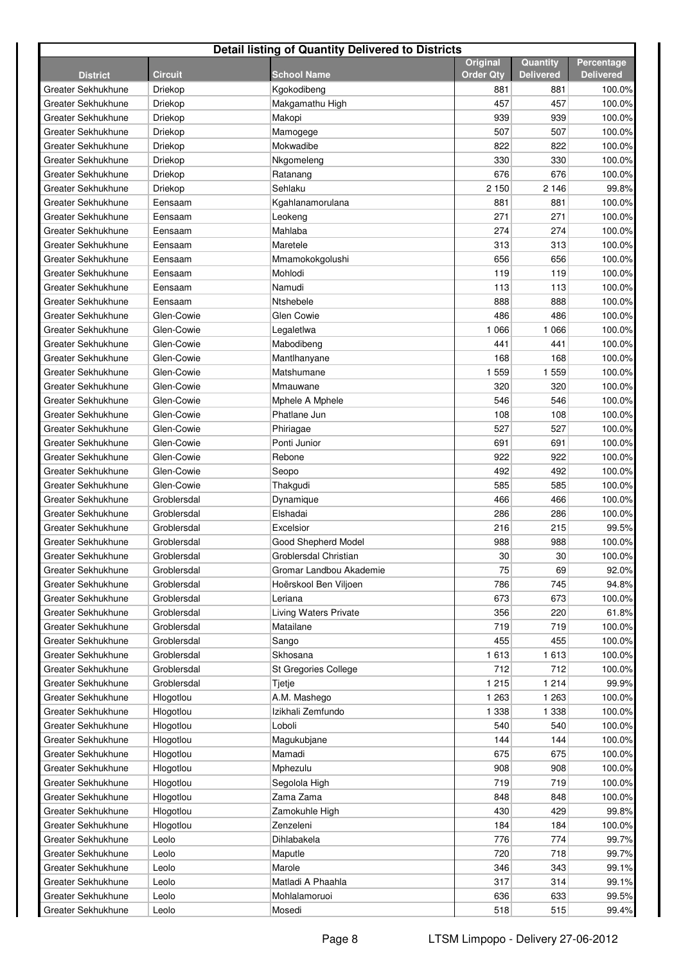| <b>Detail listing of Quantity Delivered to Districts</b> |                    |                            |                  |                  |                                |  |  |
|----------------------------------------------------------|--------------------|----------------------------|------------------|------------------|--------------------------------|--|--|
|                                                          | <b>Circuit</b>     | <b>School Name</b>         | Original         | Quantity         | Percentage<br><b>Delivered</b> |  |  |
| <b>District</b>                                          |                    |                            | <b>Order Qty</b> | <b>Delivered</b> |                                |  |  |
| Greater Sekhukhune<br>Greater Sekhukhune                 | Driekop            | Kgokodibeng                | 881<br>457       | 881<br>457       | 100.0%                         |  |  |
| Greater Sekhukhune                                       | Driekop<br>Driekop | Makgamathu High            | 939              | 939              | 100.0%<br>100.0%               |  |  |
| Greater Sekhukhune                                       |                    | Makopi                     | 507              | 507              | 100.0%                         |  |  |
|                                                          | Driekop            | Mamogege                   | 822              | 822              |                                |  |  |
| Greater Sekhukhune                                       | Driekop            | Mokwadibe                  | 330              |                  | 100.0%                         |  |  |
| Greater Sekhukhune                                       | Driekop            | Nkgomeleng                 | 676              | 330<br>676       | 100.0%                         |  |  |
| Greater Sekhukhune<br>Greater Sekhukhune                 | Driekop            | Ratanang<br>Sehlaku        | 2 1 5 0          | 2 1 4 6          | 100.0%                         |  |  |
|                                                          | Driekop            |                            |                  |                  | 99.8%                          |  |  |
| Greater Sekhukhune<br>Greater Sekhukhune                 | Eensaam<br>Eensaam | Kgahlanamorulana           | 881<br>271       | 881<br>271       | 100.0%                         |  |  |
| Greater Sekhukhune                                       |                    | Leokeng<br>Mahlaba         | 274              |                  | 100.0%                         |  |  |
| Greater Sekhukhune                                       | Eensaam            |                            |                  | 274              | 100.0%                         |  |  |
| Greater Sekhukhune                                       | Eensaam            | Maretele                   | 313<br>656       | 313<br>656       | 100.0%                         |  |  |
| Greater Sekhukhune                                       | Eensaam            | Mmamokokgolushi<br>Mohlodi |                  |                  | 100.0%                         |  |  |
|                                                          | Eensaam            | Namudi                     | 119              | 119              | 100.0%                         |  |  |
| Greater Sekhukhune                                       | Eensaam            |                            | 113              | 113              | 100.0%                         |  |  |
| Greater Sekhukhune                                       | Eensaam            | Ntshebele                  | 888              | 888              | 100.0%                         |  |  |
| Greater Sekhukhune                                       | Glen-Cowie         | <b>Glen Cowie</b>          | 486              | 486              | 100.0%                         |  |  |
| Greater Sekhukhune                                       | Glen-Cowie         | Legaletlwa                 | 1 0 6 6          | 1 0 6 6          | 100.0%                         |  |  |
| Greater Sekhukhune                                       | Glen-Cowie         | Mabodibeng                 | 441              | 441              | 100.0%                         |  |  |
| Greater Sekhukhune                                       | Glen-Cowie         | Mantlhanyane               | 168              | 168              | 100.0%                         |  |  |
| Greater Sekhukhune                                       | Glen-Cowie         | Matshumane                 | 1 5 5 9          | 1559             | 100.0%                         |  |  |
| Greater Sekhukhune                                       | Glen-Cowie         | Mmauwane                   | 320              | 320              | 100.0%                         |  |  |
| Greater Sekhukhune                                       | Glen-Cowie         | Mphele A Mphele            | 546              | 546              | 100.0%                         |  |  |
| Greater Sekhukhune                                       | Glen-Cowie         | Phatlane Jun               | 108              | 108              | 100.0%                         |  |  |
| Greater Sekhukhune                                       | Glen-Cowie         | Phiriagae                  | 527              | 527              | 100.0%                         |  |  |
| Greater Sekhukhune                                       | Glen-Cowie         | Ponti Junior               | 691              | 691              | 100.0%                         |  |  |
| Greater Sekhukhune                                       | Glen-Cowie         | Rebone                     | 922              | 922              | 100.0%                         |  |  |
| Greater Sekhukhune                                       | Glen-Cowie         | Seopo                      | 492              | 492              | 100.0%                         |  |  |
| Greater Sekhukhune                                       | Glen-Cowie         | Thakgudi                   | 585              | 585              | 100.0%                         |  |  |
| Greater Sekhukhune                                       | Groblersdal        | Dynamique                  | 466              | 466              | 100.0%                         |  |  |
| Greater Sekhukhune                                       | Groblersdal        | Elshadai                   | 286              | 286              | 100.0%                         |  |  |
| Greater Sekhukhune                                       | Groblersdal        | Excelsior                  | 216              | 215              | 99.5%                          |  |  |
| Greater Sekhukhune                                       | Groblersdal        | Good Shepherd Model        | 988              | 988              | 100.0%                         |  |  |
| Greater Sekhukhune                                       | Groblersdal        | Groblersdal Christian      | 30 <sub>o</sub>  | 30               | 100.0%                         |  |  |
| Greater Sekhukhune                                       | Groblersdal        | Gromar Landbou Akademie    | 75               | 69               | 92.0%                          |  |  |
| Greater Sekhukhune                                       | Groblersdal        | Hoërskool Ben Viljoen      | 786              | 745              | 94.8%                          |  |  |
| Greater Sekhukhune                                       | Groblersdal        | Leriana                    | 673              | 673              | 100.0%                         |  |  |
| Greater Sekhukhune                                       | Groblersdal        | Living Waters Private      | 356              | 220              | 61.8%                          |  |  |
| Greater Sekhukhune                                       | Groblersdal        | Matailane                  | 719              | 719              | 100.0%                         |  |  |
| Greater Sekhukhune                                       | Groblersdal        | Sango                      | 455              | 455              | 100.0%                         |  |  |
| Greater Sekhukhune                                       | Groblersdal        | Skhosana                   | 1613             | 1613             | 100.0%                         |  |  |
| Greater Sekhukhune                                       | Groblersdal        | St Gregories College       | 712              | 712              | 100.0%                         |  |  |
| Greater Sekhukhune                                       | Groblersdal        | Tjetje                     | 1 2 1 5          | 1 2 1 4          | 99.9%                          |  |  |
| Greater Sekhukhune                                       | Hlogotlou          | A.M. Mashego               | 1 2 6 3          | 1 2 6 3          | 100.0%                         |  |  |
| Greater Sekhukhune                                       | Hlogotlou          | Izikhali Zemfundo          | 1 3 3 8          | 1 3 3 8          | 100.0%                         |  |  |
| Greater Sekhukhune                                       | Hlogotlou          | Loboli                     | 540              | 540              | 100.0%                         |  |  |
| Greater Sekhukhune                                       | Hlogotlou          | Magukubjane                | 144              | 144              | 100.0%                         |  |  |
| Greater Sekhukhune                                       | Hlogotlou          | Mamadi                     | 675              | 675              | 100.0%                         |  |  |
| Greater Sekhukhune                                       | Hlogotlou          | Mphezulu                   | 908              | 908              | 100.0%                         |  |  |
| Greater Sekhukhune                                       | Hlogotlou          | Segolola High              | 719              | 719              | 100.0%                         |  |  |
| Greater Sekhukhune                                       | Hlogotlou          | Zama Zama                  | 848              | 848              | 100.0%                         |  |  |
| Greater Sekhukhune                                       | Hlogotlou          | Zamokuhle High             | 430              | 429              | 99.8%                          |  |  |
| Greater Sekhukhune                                       | Hlogotlou          | Zenzeleni                  | 184              | 184              | 100.0%                         |  |  |
| Greater Sekhukhune                                       | Leolo              | Dihlabakela                | 776              | 774              | 99.7%                          |  |  |
| Greater Sekhukhune                                       | Leolo              | Maputle                    | 720              | 718              | 99.7%                          |  |  |
| Greater Sekhukhune                                       | Leolo              | Marole                     | 346              | 343              | 99.1%                          |  |  |
| Greater Sekhukhune                                       | Leolo              | Matladi A Phaahla          | 317              | 314              | 99.1%                          |  |  |
| Greater Sekhukhune                                       | Leolo              | Mohlalamoruoi              | 636              | 633              | 99.5%                          |  |  |
| Greater Sekhukhune                                       | Leolo              | Mosedi                     | 518              | 515              | 99.4%                          |  |  |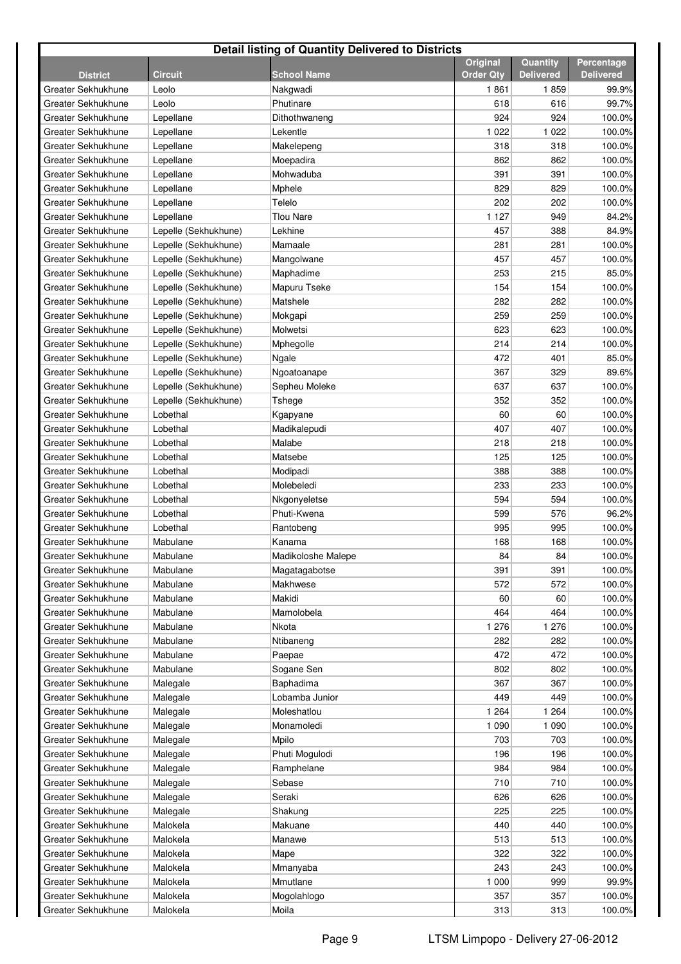| <b>Detail listing of Quantity Delivered to Districts</b> |                      |                    |                  |                  |                  |  |  |
|----------------------------------------------------------|----------------------|--------------------|------------------|------------------|------------------|--|--|
|                                                          |                      |                    | Original         | Quantity         | Percentage       |  |  |
| <b>District</b>                                          | <b>Circuit</b>       | <b>School Name</b> | <b>Order Qtv</b> | <b>Delivered</b> | <b>Delivered</b> |  |  |
| Greater Sekhukhune                                       | Leolo                | Nakgwadi           | 1861             | 1859             | 99.9%            |  |  |
| Greater Sekhukhune                                       | Leolo                | Phutinare          | 618              | 616              | 99.7%            |  |  |
| Greater Sekhukhune                                       | Lepellane            | Dithothwaneng      | 924              | 924              | 100.0%           |  |  |
| Greater Sekhukhune                                       | Lepellane            | Lekentle           | 1 0 2 2          | 1 0 2 2          | 100.0%           |  |  |
| Greater Sekhukhune                                       | Lepellane            | Makelepeng         | 318              | 318              | 100.0%           |  |  |
| Greater Sekhukhune                                       | Lepellane            | Moepadira          | 862              | 862              | 100.0%           |  |  |
| Greater Sekhukhune                                       | Lepellane            | Mohwaduba          | 391              | 391              | 100.0%           |  |  |
| Greater Sekhukhune                                       | Lepellane            | Mphele             | 829              | 829              | 100.0%           |  |  |
| Greater Sekhukhune                                       | Lepellane            | Telelo             | 202              | 202              | 100.0%           |  |  |
| Greater Sekhukhune                                       | Lepellane            | Tlou Nare          | 1 1 2 7          | 949              | 84.2%            |  |  |
| Greater Sekhukhune                                       | Lepelle (Sekhukhune) | Lekhine            | 457              | 388              | 84.9%            |  |  |
| Greater Sekhukhune                                       | Lepelle (Sekhukhune) | Mamaale            | 281              | 281              | 100.0%           |  |  |
| Greater Sekhukhune                                       | Lepelle (Sekhukhune) | Mangolwane         | 457              | 457              | 100.0%           |  |  |
| Greater Sekhukhune                                       | Lepelle (Sekhukhune) | Maphadime          | 253              | 215              | 85.0%            |  |  |
| Greater Sekhukhune                                       | Lepelle (Sekhukhune) | Mapuru Tseke       | 154              | 154              | 100.0%           |  |  |
| Greater Sekhukhune                                       | Lepelle (Sekhukhune) | Matshele           | 282              | 282              | 100.0%           |  |  |
| Greater Sekhukhune                                       | Lepelle (Sekhukhune) | Mokgapi            | 259              | 259              | 100.0%           |  |  |
| Greater Sekhukhune                                       | Lepelle (Sekhukhune) | Molwetsi           | 623              | 623              | 100.0%           |  |  |
| Greater Sekhukhune                                       | Lepelle (Sekhukhune) | Mphegolle          | 214              | 214              | 100.0%           |  |  |
| Greater Sekhukhune                                       | Lepelle (Sekhukhune) | Ngale              | 472              | 401              | 85.0%            |  |  |
| Greater Sekhukhune                                       | Lepelle (Sekhukhune) | Ngoatoanape        | 367              | 329              | 89.6%            |  |  |
| Greater Sekhukhune                                       | Lepelle (Sekhukhune) | Sepheu Moleke      | 637              | 637              | 100.0%           |  |  |
| Greater Sekhukhune                                       | Lepelle (Sekhukhune) | Tshege             | 352              | 352              | 100.0%           |  |  |
| Greater Sekhukhune                                       | Lobethal             | Kgapyane           | 60               | 60               | 100.0%           |  |  |
| Greater Sekhukhune                                       | Lobethal             | Madikalepudi       | 407              | 407              | 100.0%           |  |  |
| Greater Sekhukhune                                       | Lobethal             | Malabe             | 218              | 218              | 100.0%           |  |  |
| Greater Sekhukhune                                       | Lobethal             | Matsebe            | 125              | 125              | 100.0%           |  |  |
| Greater Sekhukhune                                       | Lobethal             | Modipadi           | 388              | 388              | 100.0%           |  |  |
| Greater Sekhukhune                                       | Lobethal             | Molebeledi         | 233              | 233              | 100.0%           |  |  |
| Greater Sekhukhune                                       | Lobethal             | Nkgonyeletse       | 594              | 594              | 100.0%           |  |  |
| Greater Sekhukhune                                       | Lobethal             | Phuti-Kwena        | 599              | 576              | 96.2%            |  |  |
| Greater Sekhukhune                                       | Lobethal             | Rantobeng          | 995              | 995              | 100.0%           |  |  |
| Greater Sekhukhune                                       | Mabulane             | Kanama             | 168              | 168              | 100.0%           |  |  |
| Greater Sekhukhune                                       | Mabulane             | Madikoloshe Malepe | 84               | 84               | 100.0%           |  |  |
| Greater Sekhukhune                                       | Mabulane             | Magatagabotse      | 391              | 391              | 100.0%           |  |  |
| Greater Sekhukhune                                       | Mabulane             | Makhwese           | 572              | 572              | 100.0%           |  |  |
| Greater Sekhukhune                                       | Mabulane             | Makidi             | 60               | 60               | 100.0%           |  |  |
| Greater Sekhukhune                                       | Mabulane             | Mamolobela         | 464              | 464              | 100.0%           |  |  |
| Greater Sekhukhune                                       | Mabulane             | Nkota              | 1 276            | 1 2 7 6          | 100.0%           |  |  |
| Greater Sekhukhune                                       | Mabulane             | Ntibaneng          | 282              | 282              | 100.0%           |  |  |
| Greater Sekhukhune                                       | Mabulane             | Paepae             | 472              | 472              | 100.0%           |  |  |
| Greater Sekhukhune                                       | Mabulane             | Sogane Sen         | 802              | 802              | 100.0%           |  |  |
| Greater Sekhukhune                                       | Malegale             | Baphadima          | 367              | 367              | 100.0%           |  |  |
| Greater Sekhukhune                                       | Malegale             | Lobamba Junior     | 449              | 449              | 100.0%           |  |  |
| Greater Sekhukhune                                       | Malegale             | Moleshatlou        | 1 2 6 4          | 1 2 6 4          | 100.0%           |  |  |
| Greater Sekhukhune                                       | Malegale             | Monamoledi         | 1 0 9 0          | 1 0 9 0          | 100.0%           |  |  |
| Greater Sekhukhune                                       | Malegale             | Mpilo              | 703              | 703              | 100.0%           |  |  |
| Greater Sekhukhune                                       | Malegale             | Phuti Mogulodi     | 196              | 196              | 100.0%           |  |  |
| Greater Sekhukhune                                       | Malegale             | Ramphelane         | 984              | 984              | 100.0%           |  |  |
| Greater Sekhukhune                                       | Malegale             | Sebase             | 710              | 710              | 100.0%           |  |  |
| Greater Sekhukhune                                       | Malegale             | Seraki             | 626              | 626              | 100.0%           |  |  |
| Greater Sekhukhune                                       | Malegale             | Shakung            | 225              | 225              | 100.0%           |  |  |
| Greater Sekhukhune                                       | Malokela             | Makuane            | 440              | 440              | 100.0%           |  |  |
| Greater Sekhukhune                                       | Malokela             | Manawe             | 513              | 513              | 100.0%           |  |  |
| Greater Sekhukhune                                       | Malokela             | Mape               | 322              | 322              | 100.0%           |  |  |
| Greater Sekhukhune                                       | Malokela             | Mmanyaba           | 243              | 243              | 100.0%           |  |  |
| Greater Sekhukhune                                       | Malokela             | Mmutlane           | 1 0 0 0          | 999              | 99.9%            |  |  |
| Greater Sekhukhune                                       | Malokela             | Mogolahlogo        | 357              | 357              | 100.0%           |  |  |
| Greater Sekhukhune                                       | Malokela             | Moila              | 313              | 313              | 100.0%           |  |  |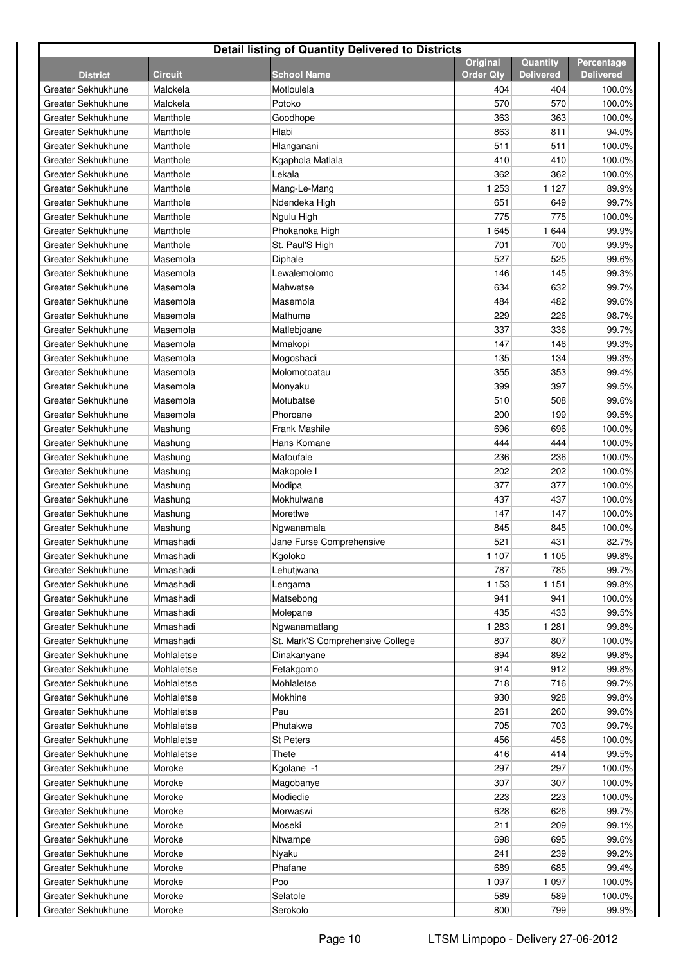| <b>Detail listing of Quantity Delivered to Districts</b> |                |                                  |                  |                  |                  |  |  |
|----------------------------------------------------------|----------------|----------------------------------|------------------|------------------|------------------|--|--|
|                                                          |                |                                  | Original         | Quantity         | Percentage       |  |  |
| <b>District</b>                                          | <b>Circuit</b> | <b>School Name</b>               | <b>Order Qtv</b> | <b>Delivered</b> | <b>Delivered</b> |  |  |
| Greater Sekhukhune                                       | Malokela       | Motloulela                       | 404              | 404              | 100.0%           |  |  |
| Greater Sekhukhune                                       | Malokela       | Potoko                           | 570              | 570              | 100.0%           |  |  |
| Greater Sekhukhune                                       | Manthole       | Goodhope                         | 363              | 363              | 100.0%           |  |  |
| Greater Sekhukhune                                       | Manthole       | Hlabi                            | 863              | 811              | 94.0%            |  |  |
| Greater Sekhukhune                                       | Manthole       | Hlanganani                       | 511              | 511              | 100.0%           |  |  |
| Greater Sekhukhune                                       | Manthole       | Kgaphola Matlala                 | 410              | 410              | 100.0%           |  |  |
| Greater Sekhukhune                                       | Manthole       | Lekala                           | 362              | 362              | 100.0%           |  |  |
| Greater Sekhukhune                                       | Manthole       | Mang-Le-Mang                     | 1 2 5 3          | 1 1 2 7          | 89.9%            |  |  |
| Greater Sekhukhune                                       | Manthole       | Ndendeka High                    | 651              | 649              | 99.7%            |  |  |
| Greater Sekhukhune                                       | Manthole       | Ngulu High                       | 775              | 775              | 100.0%           |  |  |
| Greater Sekhukhune                                       | Manthole       | Phokanoka High                   | 1645             | 1 644            | 99.9%            |  |  |
| Greater Sekhukhune                                       | Manthole       | St. Paul'S High                  | 701              | 700              | 99.9%            |  |  |
| Greater Sekhukhune                                       | Masemola       | Diphale                          | 527              | 525              | 99.6%            |  |  |
| Greater Sekhukhune                                       | Masemola       | Lewalemolomo                     | 146              | 145              | 99.3%            |  |  |
| Greater Sekhukhune                                       | Masemola       | Mahwetse                         | 634              | 632              | 99.7%            |  |  |
| Greater Sekhukhune                                       | Masemola       | Masemola                         | 484              | 482              | 99.6%            |  |  |
| Greater Sekhukhune                                       | Masemola       | Mathume                          | 229              | 226              | 98.7%            |  |  |
| Greater Sekhukhune                                       | Masemola       | Matlebjoane                      | 337              | 336              | 99.7%            |  |  |
| Greater Sekhukhune                                       | Masemola       | Mmakopi                          | 147              | 146              | 99.3%            |  |  |
| Greater Sekhukhune                                       | Masemola       | Mogoshadi                        | 135              | 134              | 99.3%            |  |  |
| Greater Sekhukhune                                       | Masemola       | Molomotoatau                     | 355              | 353              | 99.4%            |  |  |
| Greater Sekhukhune                                       | Masemola       | Monyaku                          | 399              | 397              | 99.5%            |  |  |
| Greater Sekhukhune                                       | Masemola       | Motubatse                        | 510              | 508              | 99.6%            |  |  |
| Greater Sekhukhune                                       | Masemola       | Phoroane                         | 200              | 199              | 99.5%            |  |  |
| Greater Sekhukhune                                       | Mashung        | <b>Frank Mashile</b>             | 696              | 696              | 100.0%           |  |  |
| Greater Sekhukhune                                       | Mashung        | Hans Komane                      | 444              | 444              | 100.0%           |  |  |
| Greater Sekhukhune                                       | Mashung        | Mafoufale                        | 236              | 236              | 100.0%           |  |  |
| Greater Sekhukhune                                       | Mashung        | Makopole I                       | 202              | 202              | 100.0%           |  |  |
| Greater Sekhukhune                                       | Mashung        | Modipa                           | 377              | 377              | 100.0%           |  |  |
| Greater Sekhukhune                                       | Mashung        | Mokhulwane                       | 437              | 437              | 100.0%           |  |  |
| Greater Sekhukhune                                       | Mashung        | Moretlwe                         | 147              | 147              | 100.0%           |  |  |
| Greater Sekhukhune                                       | Mashung        | Ngwanamala                       | 845              | 845              | 100.0%           |  |  |
| Greater Sekhukhune                                       | Mmashadi       | Jane Furse Comprehensive         | 521              | 431              | 82.7%            |  |  |
| Greater Sekhukhune                                       | Mmashadi       | Kgoloko                          | 1 107            | 1 1 0 5          | 99.8%            |  |  |
| Greater Sekhukhune                                       | Mmashadi       | Lehutjwana                       | 787              | 785              | 99.7%            |  |  |
| Greater Sekhukhune                                       | Mmashadi       | Lengama                          | 1 1 5 3          | 1 1 5 1          | 99.8%            |  |  |
| Greater Sekhukhune                                       | Mmashadi       | Matsebong                        | 941              | 941              | 100.0%           |  |  |
| Greater Sekhukhune                                       | Mmashadi       | Molepane                         | 435              | 433              | 99.5%            |  |  |
| Greater Sekhukhune                                       | Mmashadi       | Ngwanamatlang                    | 1 2 8 3          | 1 2 8 1          | 99.8%            |  |  |
| Greater Sekhukhune                                       | Mmashadi       | St. Mark'S Comprehensive College | 807              | 807              | 100.0%           |  |  |
| Greater Sekhukhune                                       | Mohlaletse     | Dinakanyane                      | 894              | 892              | 99.8%            |  |  |
| Greater Sekhukhune                                       | Mohlaletse     | Fetakgomo                        | 914              | 912              | 99.8%            |  |  |
| Greater Sekhukhune                                       | Mohlaletse     | Mohlaletse                       | 718              | 716              | 99.7%            |  |  |
| Greater Sekhukhune                                       | Mohlaletse     | Mokhine                          | 930              | 928              | 99.8%            |  |  |
| Greater Sekhukhune                                       | Mohlaletse     | Peu                              | 261              | 260              | 99.6%            |  |  |
| Greater Sekhukhune                                       | Mohlaletse     | Phutakwe                         | 705              | 703              | 99.7%            |  |  |
| Greater Sekhukhune                                       | Mohlaletse     | <b>St Peters</b>                 | 456              | 456              | 100.0%           |  |  |
| Greater Sekhukhune                                       | Mohlaletse     | Thete                            | 416              | 414              | 99.5%            |  |  |
| Greater Sekhukhune                                       | Moroke         | Kgolane -1                       | 297              | 297              | 100.0%           |  |  |
| Greater Sekhukhune                                       | Moroke         | Magobanye                        | 307              | 307              | 100.0%           |  |  |
| Greater Sekhukhune                                       | Moroke         | Modiedie                         | 223              | 223              | 100.0%           |  |  |
| Greater Sekhukhune                                       | Moroke         | Morwaswi                         | 628              | 626              | 99.7%            |  |  |
| Greater Sekhukhune                                       | Moroke         | Moseki                           | 211              | 209              | 99.1%            |  |  |
| Greater Sekhukhune                                       | Moroke         | Ntwampe                          | 698              | 695              | 99.6%            |  |  |
| Greater Sekhukhune                                       | Moroke         | Nyaku                            | 241              | 239              | 99.2%            |  |  |
| Greater Sekhukhune                                       | Moroke         | Phafane                          | 689              | 685              | 99.4%            |  |  |
| Greater Sekhukhune                                       | Moroke         | Poo                              | 1 0 9 7          | 1 0 9 7          | 100.0%           |  |  |
| Greater Sekhukhune                                       | Moroke         | Selatole                         | 589              | 589              | 100.0%           |  |  |
| Greater Sekhukhune                                       | Moroke         | Serokolo                         | 800              | 799              | 99.9%            |  |  |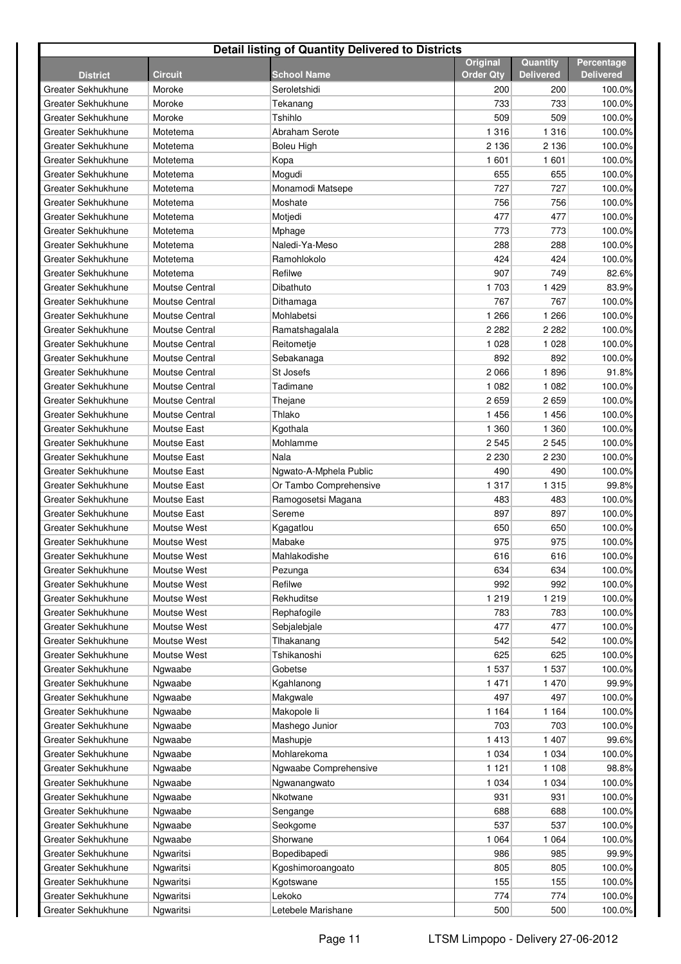| <b>Detail listing of Quantity Delivered to Districts</b> |                       |                        |                  |                  |                  |  |  |
|----------------------------------------------------------|-----------------------|------------------------|------------------|------------------|------------------|--|--|
|                                                          |                       |                        | Original         | Quantity         | Percentage       |  |  |
| <b>District</b>                                          | <b>Circuit</b>        | <b>School Name</b>     | <b>Order Qty</b> | <b>Delivered</b> | <b>Delivered</b> |  |  |
| Greater Sekhukhune                                       | Moroke                | Seroletshidi           | 200              | 200              | 100.0%           |  |  |
| Greater Sekhukhune                                       | Moroke                | Tekanang               | 733              | 733              | 100.0%           |  |  |
| Greater Sekhukhune                                       | Moroke                | Tshihlo                | 509              | 509              | 100.0%           |  |  |
| Greater Sekhukhune                                       | Motetema              | Abraham Serote         | 1 3 1 6          | 1 3 1 6          | 100.0%           |  |  |
| Greater Sekhukhune                                       | Motetema              | Boleu High             | 2 1 3 6          | 2 1 3 6          | 100.0%           |  |  |
| Greater Sekhukhune                                       | Motetema              | Kopa                   | 1601             | 1 601            | 100.0%           |  |  |
| Greater Sekhukhune                                       | Motetema              | Mogudi                 | 655              | 655              | 100.0%           |  |  |
| Greater Sekhukhune                                       | Motetema              | Monamodi Matsepe       | 727              | 727              | 100.0%           |  |  |
| Greater Sekhukhune                                       | Motetema              | Moshate                | 756              | 756              | 100.0%           |  |  |
| Greater Sekhukhune                                       | Motetema              | Motjedi                | 477              | 477              | 100.0%           |  |  |
| Greater Sekhukhune                                       | Motetema              | Mphage                 | 773              | 773              | 100.0%           |  |  |
| Greater Sekhukhune                                       | Motetema              | Naledi-Ya-Meso         | 288              | 288              | 100.0%           |  |  |
| Greater Sekhukhune                                       | Motetema              | Ramohlokolo            | 424              | 424              | 100.0%           |  |  |
| Greater Sekhukhune                                       | Motetema              | Refilwe                | 907              | 749              | 82.6%            |  |  |
| Greater Sekhukhune                                       | <b>Moutse Central</b> | Dibathuto              | 1 703            | 1429             | 83.9%            |  |  |
| Greater Sekhukhune                                       | Moutse Central        | Dithamaga              | 767              | 767              | 100.0%           |  |  |
| Greater Sekhukhune                                       | <b>Moutse Central</b> | Mohlabetsi             | 1 2 6 6          | 1 2 6 6          | 100.0%           |  |  |
| Greater Sekhukhune                                       | <b>Moutse Central</b> | Ramatshagalala         | 2 2 8 2          | 2 2 8 2          | 100.0%           |  |  |
| Greater Sekhukhune                                       | <b>Moutse Central</b> | Reitometje             | 1 0 2 8          | 1 0 2 8          | 100.0%           |  |  |
| Greater Sekhukhune                                       | <b>Moutse Central</b> | Sebakanaga             | 892              | 892              | 100.0%           |  |  |
| Greater Sekhukhune                                       | <b>Moutse Central</b> | St Josefs              | 2066             | 1896             | 91.8%            |  |  |
| Greater Sekhukhune                                       | <b>Moutse Central</b> | Tadimane               | 1 0 8 2          | 1 0 8 2          | 100.0%           |  |  |
| Greater Sekhukhune                                       | <b>Moutse Central</b> | Thejane                | 2659             | 2659             | 100.0%           |  |  |
| Greater Sekhukhune                                       | <b>Moutse Central</b> | Thlako                 | 1 4 5 6          | 1 4 5 6          | 100.0%           |  |  |
| Greater Sekhukhune                                       | <b>Moutse East</b>    | Kgothala               | 1 360            | 1 3 6 0          | 100.0%           |  |  |
| Greater Sekhukhune                                       | <b>Moutse East</b>    | Mohlamme               | 2545             | 2 5 4 5          | 100.0%           |  |  |
| Greater Sekhukhune                                       | <b>Moutse East</b>    | Nala                   | 2 2 3 0          | 2 2 3 0          | 100.0%           |  |  |
| Greater Sekhukhune                                       | <b>Moutse East</b>    | Ngwato-A-Mphela Public | 490              | 490              | 100.0%           |  |  |
| Greater Sekhukhune                                       | <b>Moutse East</b>    | Or Tambo Comprehensive | 1 3 1 7          | 1 3 1 5          | 99.8%            |  |  |
| Greater Sekhukhune                                       | <b>Moutse East</b>    | Ramogosetsi Magana     | 483              | 483              | 100.0%           |  |  |
| Greater Sekhukhune                                       | <b>Moutse East</b>    | Sereme                 | 897              | 897              | 100.0%           |  |  |
| Greater Sekhukhune                                       | Moutse West           | Kgagatlou              | 650              | 650              | 100.0%           |  |  |
| Greater Sekhukhune                                       | Moutse West           | Mabake                 | 975              | 975              | 100.0%           |  |  |
| Greater Sekhukhune                                       | Moutse West           | Mahlakodishe           | 616              | 616              | 100.0%           |  |  |
| Greater Sekhukhune                                       | Moutse West           | Pezunga                | 634              | 634              | 100.0%           |  |  |
| Greater Sekhukhune                                       | Moutse West           | Refilwe                | 992              | 992              | 100.0%           |  |  |
| Greater Sekhukhune                                       | Moutse West           | Rekhuditse             | 1 2 1 9          | 1 2 1 9          | 100.0%           |  |  |
| Greater Sekhukhune                                       | Moutse West           | Rephafogile            | 783              | 783              | 100.0%           |  |  |
| Greater Sekhukhune                                       | Moutse West           | Sebjalebjale           | 477              | 477              | 100.0%           |  |  |
| Greater Sekhukhune                                       | Moutse West           | Tlhakanang             | 542              | 542              | 100.0%           |  |  |
| Greater Sekhukhune                                       | Moutse West           | Tshikanoshi            | 625              | 625              | 100.0%           |  |  |
| Greater Sekhukhune                                       | Ngwaabe               | Gobetse                | 1 537            | 1 537            | 100.0%           |  |  |
| Greater Sekhukhune                                       | Ngwaabe               | Kgahlanong             | 1 4 7 1          | 1 470            | 99.9%            |  |  |
| Greater Sekhukhune                                       | Ngwaabe               | Makgwale               | 497              | 497              | 100.0%           |  |  |
| Greater Sekhukhune                                       | Ngwaabe               | Makopole li            | 1 1 6 4          | 1 1 6 4          | 100.0%           |  |  |
| Greater Sekhukhune                                       | Ngwaabe               | Mashego Junior         | 703              | 703              | 100.0%           |  |  |
| Greater Sekhukhune                                       | Ngwaabe               | Mashupje               | 1413             | 1 407            | 99.6%            |  |  |
| Greater Sekhukhune                                       | Ngwaabe               | Mohlarekoma            | 1 0 3 4          | 1 0 3 4          | 100.0%           |  |  |
| Greater Sekhukhune                                       | Ngwaabe               | Ngwaabe Comprehensive  | 1 1 2 1          | 1 1 0 8          | 98.8%            |  |  |
| Greater Sekhukhune                                       | Ngwaabe               | Ngwanangwato           | 1 0 3 4          | 1 0 3 4          | 100.0%           |  |  |
| Greater Sekhukhune                                       | Ngwaabe               | Nkotwane               | 931              | 931              | 100.0%           |  |  |
| Greater Sekhukhune                                       | Ngwaabe               | Sengange               | 688              | 688              | 100.0%           |  |  |
| Greater Sekhukhune                                       | Ngwaabe               | Seokgome               | 537              | 537              | 100.0%           |  |  |
| Greater Sekhukhune                                       | Ngwaabe               | Shorwane               | 1 0 6 4          | 1 0 6 4          | 100.0%           |  |  |
| Greater Sekhukhune                                       | Ngwaritsi             | Bopedibapedi           | 986              | 985              | 99.9%            |  |  |
| Greater Sekhukhune                                       | Ngwaritsi             | Kgoshimoroangoato      | 805              | 805              | 100.0%           |  |  |
| Greater Sekhukhune                                       | Ngwaritsi             | Kgotswane              | 155              | 155              | 100.0%           |  |  |
| Greater Sekhukhune                                       | Ngwaritsi             | Lekoko                 | 774              | 774              | 100.0%           |  |  |
|                                                          |                       |                        |                  |                  |                  |  |  |
| Greater Sekhukhune                                       | Ngwaritsi             | Letebele Marishane     | 500              | 500              | 100.0%           |  |  |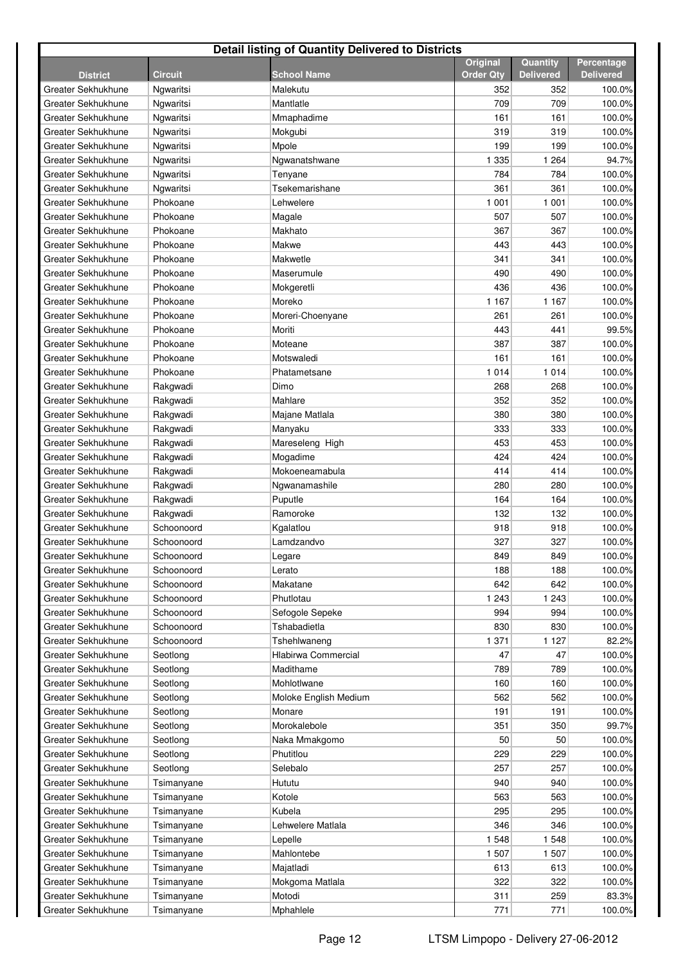| <b>Detail listing of Quantity Delivered to Districts</b> |                |                       |                  |                  |                  |  |  |
|----------------------------------------------------------|----------------|-----------------------|------------------|------------------|------------------|--|--|
|                                                          |                |                       | <b>Original</b>  | Quantity         | Percentage       |  |  |
| <b>District</b>                                          | <b>Circuit</b> | <b>School Name</b>    | <b>Order Qty</b> | <b>Delivered</b> | <b>Delivered</b> |  |  |
| Greater Sekhukhune                                       | Ngwaritsi      | Malekutu              | 352              | 352              | 100.0%           |  |  |
| Greater Sekhukhune                                       | Ngwaritsi      | Mantlatle             | 709              | 709              | 100.0%           |  |  |
| Greater Sekhukhune                                       | Ngwaritsi      | Mmaphadime            | 161              | 161              | 100.0%           |  |  |
| Greater Sekhukhune                                       | Ngwaritsi      | Mokgubi               | 319              | 319              | 100.0%           |  |  |
| Greater Sekhukhune                                       | Ngwaritsi      | Mpole                 | 199              | 199              | 100.0%           |  |  |
| Greater Sekhukhune                                       | Ngwaritsi      | Ngwanatshwane         | 1 3 3 5          | 1 2 6 4          | 94.7%            |  |  |
| Greater Sekhukhune                                       | Ngwaritsi      | Tenyane               | 784              | 784              | 100.0%           |  |  |
| Greater Sekhukhune                                       | Ngwaritsi      | Tsekemarishane        | 361              | 361              | 100.0%           |  |  |
| Greater Sekhukhune                                       | Phokoane       | Lehwelere             | 1 0 0 1          | 1 0 0 1          | 100.0%           |  |  |
| Greater Sekhukhune                                       | Phokoane       | Magale                | 507              | 507              | 100.0%           |  |  |
| Greater Sekhukhune                                       | Phokoane       | Makhato               | 367              | 367              | 100.0%           |  |  |
| Greater Sekhukhune                                       | Phokoane       | Makwe                 | 443              | 443              | 100.0%           |  |  |
| Greater Sekhukhune                                       | Phokoane       | Makwetle              | 341              | 341              | 100.0%           |  |  |
| Greater Sekhukhune                                       | Phokoane       | Maserumule            | 490              | 490              | 100.0%           |  |  |
| Greater Sekhukhune                                       | Phokoane       | Mokgeretli            | 436              | 436              | 100.0%           |  |  |
| Greater Sekhukhune                                       | Phokoane       | Moreko                | 1 1 6 7          | 1 1 6 7          | 100.0%           |  |  |
| Greater Sekhukhune                                       | Phokoane       | Moreri-Choenyane      | 261              | 261              | 100.0%           |  |  |
| Greater Sekhukhune                                       | Phokoane       | Moriti                | 443              | 441              | 99.5%            |  |  |
| Greater Sekhukhune                                       | Phokoane       | Moteane               | 387              | 387              | 100.0%           |  |  |
| Greater Sekhukhune                                       | Phokoane       | Motswaledi            | 161              | 161              | 100.0%           |  |  |
| Greater Sekhukhune                                       | Phokoane       | Phatametsane          | 1 0 1 4          | 1 0 1 4          | 100.0%           |  |  |
| Greater Sekhukhune                                       | Rakgwadi       | Dimo                  | 268              | 268              | 100.0%           |  |  |
| Greater Sekhukhune                                       | Rakgwadi       | Mahlare               | 352              | 352              | 100.0%           |  |  |
| Greater Sekhukhune                                       | Rakgwadi       | Majane Matlala        | 380              | 380              | 100.0%           |  |  |
| Greater Sekhukhune                                       | Rakgwadi       | Manyaku               | 333              | 333              | 100.0%           |  |  |
| Greater Sekhukhune                                       | Rakgwadi       | Mareseleng High       | 453              | 453              | 100.0%           |  |  |
| Greater Sekhukhune                                       | Rakgwadi       | Mogadime              | 424              | 424              | 100.0%           |  |  |
| Greater Sekhukhune                                       | Rakgwadi       | Mokoeneamabula        | 414              | 414              | 100.0%           |  |  |
| Greater Sekhukhune                                       | Rakgwadi       | Ngwanamashile         | 280              | 280              | 100.0%           |  |  |
| Greater Sekhukhune                                       | Rakgwadi       | Puputle               | 164              | 164              | 100.0%           |  |  |
| Greater Sekhukhune                                       | Rakgwadi       | Ramoroke              | 132              | 132              | 100.0%           |  |  |
| Greater Sekhukhune                                       | Schoonoord     | Kgalatlou             | 918              | 918              | 100.0%           |  |  |
| Greater Sekhukhune                                       | Schoonoord     | Lamdzandvo            | 327              | 327              | 100.0%           |  |  |
| Greater Sekhukhune                                       | Schoonoord     | Legare                | 849              | 849              | 100.0%           |  |  |
| Greater Sekhukhune                                       | Schoonoord     | Lerato                | 188              | 188              | 100.0%           |  |  |
| Greater Sekhukhune                                       | Schoonoord     | Makatane              | 642              | 642              | 100.0%           |  |  |
| Greater Sekhukhune                                       | Schoonoord     | Phutlotau             | 1 2 4 3          | 1 2 4 3          | 100.0%           |  |  |
| Greater Sekhukhune                                       | Schoonoord     | Sefogole Sepeke       | 994              | 994              | 100.0%           |  |  |
| Greater Sekhukhune                                       | Schoonoord     | Tshabadietla          | 830              | 830              | 100.0%           |  |  |
| Greater Sekhukhune                                       | Schoonoord     | Tshehlwaneng          | 1 3 7 1          | 1 1 2 7          | 82.2%            |  |  |
| Greater Sekhukhune                                       | Seotlong       | Hlabirwa Commercial   | 47               | 47               | 100.0%           |  |  |
| Greater Sekhukhune                                       | Seotlong       | Madithame             | 789              | 789              | 100.0%           |  |  |
| Greater Sekhukhune                                       | Seotlong       | Mohlotlwane           | 160              | 160              | 100.0%           |  |  |
| Greater Sekhukhune                                       | Seotlong       | Moloke English Medium | 562              | 562              | 100.0%           |  |  |
| Greater Sekhukhune                                       | Seotlong       | Monare                | 191              | 191              | 100.0%           |  |  |
| Greater Sekhukhune                                       | Seotlong       | Morokalebole          | 351              | 350              | 99.7%            |  |  |
| Greater Sekhukhune                                       | Seotlong       | Naka Mmakgomo         | 50               | 50               | 100.0%           |  |  |
| Greater Sekhukhune                                       | Seotlong       | Phutitlou             | 229              | 229              | 100.0%           |  |  |
| Greater Sekhukhune                                       | Seotlong       | Selebalo              | 257              | 257              | 100.0%           |  |  |
| Greater Sekhukhune                                       | Tsimanyane     | Hututu                | 940              | 940              | 100.0%           |  |  |
| Greater Sekhukhune                                       | Tsimanyane     | Kotole                | 563              | 563              | 100.0%           |  |  |
| Greater Sekhukhune                                       | Tsimanyane     | Kubela                | 295              | 295              | 100.0%           |  |  |
| Greater Sekhukhune                                       | Tsimanyane     | Lehwelere Matlala     | 346              | 346              | 100.0%           |  |  |
| Greater Sekhukhune                                       | Tsimanyane     | Lepelle               | 1 5 4 8          | 1548             | 100.0%           |  |  |
| Greater Sekhukhune                                       | Tsimanyane     | Mahlontebe            | 1 507            | 1 507            | 100.0%           |  |  |
| Greater Sekhukhune                                       | Tsimanyane     | Majatladi             | 613              | 613              | 100.0%           |  |  |
| Greater Sekhukhune                                       | Tsimanyane     | Mokgoma Matlala       | 322              | 322              | 100.0%           |  |  |
| Greater Sekhukhune                                       | Tsimanyane     | Motodi                | 311              | 259              | 83.3%            |  |  |
| Greater Sekhukhune                                       | Tsimanyane     | Mphahlele             | 771              | 771              | 100.0%           |  |  |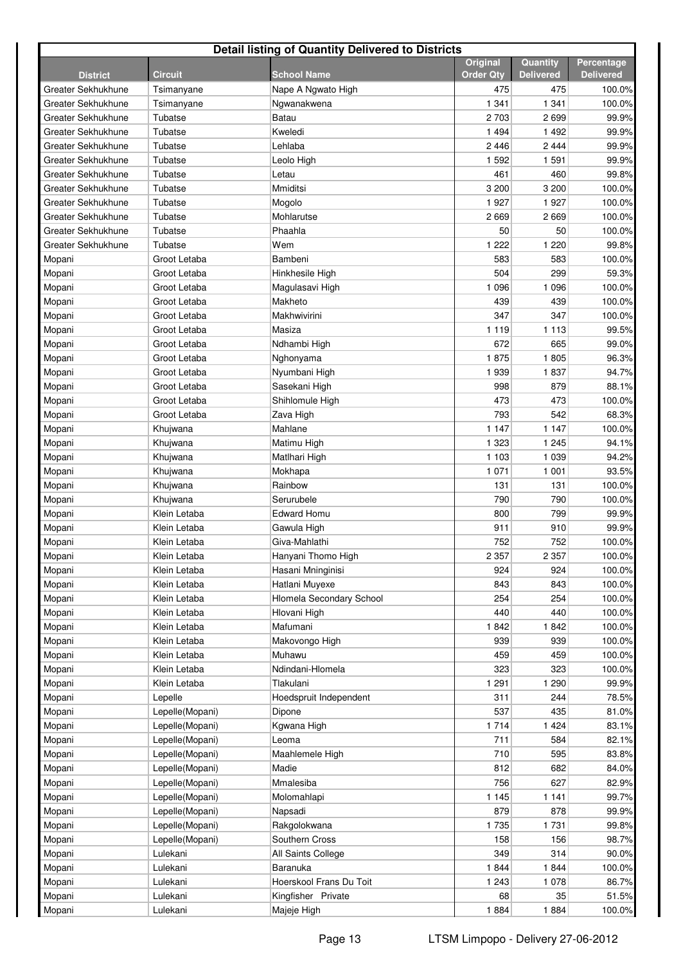| <b>Detail listing of Quantity Delivered to Districts</b> |                 |                          |                                     |                              |                                |  |  |
|----------------------------------------------------------|-----------------|--------------------------|-------------------------------------|------------------------------|--------------------------------|--|--|
| <b>District</b>                                          | <b>Circuit</b>  | <b>School Name</b>       | <b>Original</b><br><b>Order Qtv</b> | Quantity<br><b>Delivered</b> | Percentage<br><b>Delivered</b> |  |  |
| Greater Sekhukhune                                       | Tsimanyane      | Nape A Ngwato High       | 475                                 | 475                          | 100.0%                         |  |  |
| Greater Sekhukhune                                       | Tsimanyane      | Ngwanakwena              | 1 3 4 1                             | 1 3 4 1                      | 100.0%                         |  |  |
| Greater Sekhukhune                                       | Tubatse         | Batau                    | 2 7 0 3                             | 2699                         | 99.9%                          |  |  |
| Greater Sekhukhune                                       | Tubatse         | Kweledi                  | 1 4 9 4                             | 1492                         | 99.9%                          |  |  |
| Greater Sekhukhune                                       | Tubatse         | Lehlaba                  | 2 4 4 6                             | 2 4 4 4                      | 99.9%                          |  |  |
| Greater Sekhukhune                                       | Tubatse         | Leolo High               | 1 5 9 2                             | 1 5 9 1                      | 99.9%                          |  |  |
| Greater Sekhukhune                                       | Tubatse         | Letau                    | 461                                 | 460                          | 99.8%                          |  |  |
| Greater Sekhukhune                                       | Tubatse         | Mmiditsi                 | 3 200                               | 3 200                        | 100.0%                         |  |  |
| Greater Sekhukhune                                       | Tubatse         | Mogolo                   | 1927                                | 1 9 2 7                      | 100.0%                         |  |  |
| Greater Sekhukhune                                       | Tubatse         | Mohlarutse               | 2669                                | 2669                         | 100.0%                         |  |  |
| Greater Sekhukhune                                       | Tubatse         | Phaahla                  | 50                                  | 50                           | 100.0%                         |  |  |
| Greater Sekhukhune                                       | Tubatse         | Wem                      | 1 2 2 2                             | 1 2 2 0                      | 99.8%                          |  |  |
| Mopani                                                   | Groot Letaba    | Bambeni                  | 583                                 | 583                          | 100.0%                         |  |  |
| Mopani                                                   | Groot Letaba    | Hinkhesile High          | 504                                 | 299                          | 59.3%                          |  |  |
| Mopani                                                   | Groot Letaba    | Magulasavi High          | 1 0 9 6                             | 1 0 9 6                      | 100.0%                         |  |  |
| Mopani                                                   | Groot Letaba    | Makheto                  | 439                                 | 439                          | 100.0%                         |  |  |
| Mopani                                                   | Groot Letaba    | Makhwivirini             | 347                                 | 347                          | 100.0%                         |  |  |
| Mopani                                                   | Groot Letaba    | Masiza                   | 1 1 1 9                             | 1 1 1 3                      | 99.5%                          |  |  |
| Mopani                                                   | Groot Letaba    | Ndhambi High             | 672                                 | 665                          | 99.0%                          |  |  |
| Mopani                                                   | Groot Letaba    | Nghonyama                | 1875                                | 1805                         | 96.3%                          |  |  |
| Mopani                                                   | Groot Letaba    | Nyumbani High            | 1939                                | 1837                         | 94.7%                          |  |  |
| Mopani                                                   | Groot Letaba    | Sasekani High            | 998                                 | 879                          | 88.1%                          |  |  |
| Mopani                                                   | Groot Letaba    | Shihlomule High          | 473                                 | 473                          | 100.0%                         |  |  |
| Mopani                                                   | Groot Letaba    | Zava High                | 793                                 | 542                          | 68.3%                          |  |  |
| Mopani                                                   | Khujwana        | Mahlane                  | 1 1 4 7                             | 1 1 4 7                      | 100.0%                         |  |  |
| Mopani                                                   | Khujwana        | Matimu High              | 1 3 2 3                             | 1 2 4 5                      | 94.1%                          |  |  |
| Mopani                                                   | Khujwana        | Matlhari High            | 1 1 0 3                             | 1 0 3 9                      | 94.2%                          |  |  |
| Mopani                                                   | Khujwana        | Mokhapa                  | 1 0 7 1                             | 1 0 0 1                      | 93.5%                          |  |  |
| Mopani                                                   | Khujwana        | Rainbow                  | 131                                 | 131                          | 100.0%                         |  |  |
| Mopani                                                   | Khujwana        | Serurubele               | 790                                 | 790                          | 100.0%                         |  |  |
| Mopani                                                   | Klein Letaba    | <b>Edward Homu</b>       | 800                                 | 799                          | 99.9%                          |  |  |
| Mopani                                                   | Klein Letaba    | Gawula High              | 911                                 | 910                          | 99.9%                          |  |  |
| Mopani                                                   | Klein Letaba    | Giva-Mahlathi            | 752                                 | 752                          | 100.0%                         |  |  |
| Mopani                                                   | Klein Letaba    | Hanyani Thomo High       | 2 3 5 7                             | 2 3 5 7                      | 100.0%                         |  |  |
| Mopani                                                   | Klein Letaba    | Hasani Mninginisi        | 924                                 | 924                          | 100.0%                         |  |  |
| Mopani                                                   | Klein Letaba    | Hatlani Muyexe           | 843                                 | 843                          | 100.0%                         |  |  |
| Mopani                                                   | Klein Letaba    | Hlomela Secondary School | 254                                 | 254                          | 100.0%                         |  |  |
| Mopani                                                   | Klein Letaba    | Hlovani High             | 440                                 | 440                          | 100.0%                         |  |  |
| Mopani                                                   | Klein Letaba    | Mafumani                 | 1842                                | 1842                         | 100.0%                         |  |  |
| Mopani                                                   | Klein Letaba    | Makovongo High           | 939                                 | 939                          | 100.0%                         |  |  |
| Mopani                                                   | Klein Letaba    | Muhawu                   | 459                                 | 459                          | 100.0%                         |  |  |
| Mopani                                                   | Klein Letaba    | Ndindani-Hlomela         | 323                                 | 323                          | 100.0%                         |  |  |
| Mopani                                                   | Klein Letaba    | Tlakulani                | 1 2 9 1                             | 1 2 9 0                      | 99.9%                          |  |  |
| Mopani                                                   | Lepelle         | Hoedspruit Independent   | 311                                 | 244                          | 78.5%                          |  |  |
| Mopani                                                   | Lepelle(Mopani) | Dipone                   | 537                                 | 435                          | 81.0%                          |  |  |
| Mopani                                                   | Lepelle(Mopani) | Kgwana High              | 1 7 1 4                             | 1 4 2 4                      | 83.1%                          |  |  |
| Mopani                                                   | Lepelle(Mopani) | Leoma                    | 711                                 | 584                          | 82.1%                          |  |  |
| Mopani                                                   | Lepelle(Mopani) | Maahlemele High          | 710                                 | 595                          | 83.8%                          |  |  |
| Mopani                                                   | Lepelle(Mopani) | Madie                    | 812                                 | 682                          | 84.0%                          |  |  |
| Mopani                                                   | Lepelle(Mopani) | Mmalesiba                | 756                                 | 627                          | 82.9%                          |  |  |
| Mopani                                                   | Lepelle(Mopani) | Molomahlapi              | 1 1 4 5                             | 1 1 4 1                      | 99.7%                          |  |  |
| Mopani                                                   | Lepelle(Mopani) | Napsadi                  | 879                                 | 878                          | 99.9%                          |  |  |
| Mopani                                                   | Lepelle(Mopani) | Rakgolokwana             | 1735                                | 1731                         | 99.8%                          |  |  |
| Mopani                                                   | Lepelle(Mopani) | Southern Cross           | 158                                 | 156                          | 98.7%                          |  |  |
| Mopani                                                   | Lulekani        | All Saints College       | 349                                 | 314                          | 90.0%                          |  |  |
| Mopani                                                   | Lulekani        | Baranuka                 | 1844                                | 1844                         | 100.0%                         |  |  |
| Mopani                                                   | Lulekani        | Hoerskool Frans Du Toit  | 1 2 4 3                             | 1 0 7 8                      | 86.7%                          |  |  |
| Mopani                                                   | Lulekani        | Kingfisher Private       | 68                                  | 35                           | 51.5%                          |  |  |
| Mopani                                                   | Lulekani        | Majeje High              | 1884                                | 1884                         | 100.0%                         |  |  |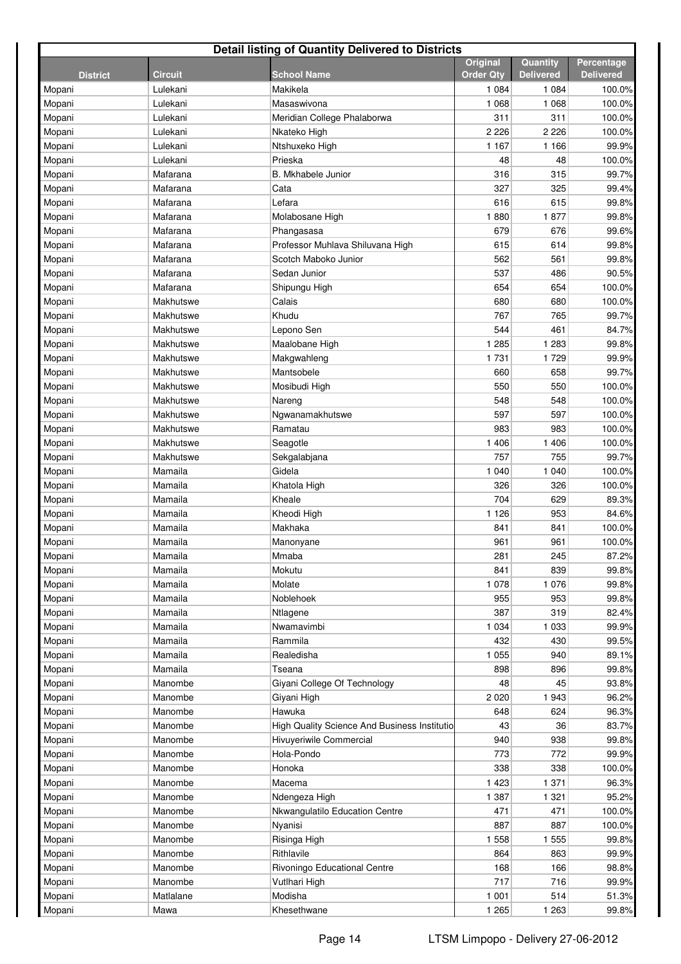| <b>Detail listing of Quantity Delivered to Districts</b> |                    |                                              |                              |                              |                                |  |  |  |
|----------------------------------------------------------|--------------------|----------------------------------------------|------------------------------|------------------------------|--------------------------------|--|--|--|
| <b>District</b>                                          | <b>Circuit</b>     | <b>School Name</b>                           | Original<br><b>Order Qty</b> | Quantity<br><b>Delivered</b> | Percentage<br><b>Delivered</b> |  |  |  |
| Mopani                                                   | Lulekani           | Makikela                                     | 1 0 8 4                      | 1 0 8 4                      | 100.0%                         |  |  |  |
| Mopani                                                   | Lulekani           | Masaswivona                                  | 1 0 6 8                      | 1 0 6 8                      | 100.0%                         |  |  |  |
| Mopani                                                   | Lulekani           | Meridian College Phalaborwa                  | 311                          | 311                          | 100.0%                         |  |  |  |
| Mopani                                                   | Lulekani           | Nkateko High                                 | 2 2 2 6                      | 2 2 2 6                      | 100.0%                         |  |  |  |
| Mopani                                                   | Lulekani           | Ntshuxeko High                               | 1 1 6 7                      | 1 1 6 6                      | 99.9%                          |  |  |  |
| Mopani                                                   | Lulekani           | Prieska                                      | 48                           | 48                           | 100.0%                         |  |  |  |
| Mopani                                                   | Mafarana           | <b>B.</b> Mkhabele Junior                    | 316                          | 315                          | 99.7%                          |  |  |  |
| Mopani                                                   | Mafarana           | Cata                                         | 327                          | 325                          | 99.4%                          |  |  |  |
| Mopani                                                   | Mafarana           | Lefara                                       | 616                          | 615                          | 99.8%                          |  |  |  |
| Mopani                                                   | Mafarana           | Molabosane High                              | 1880                         | 1877                         | 99.8%                          |  |  |  |
| Mopani                                                   | Mafarana           | Phangasasa                                   | 679                          | 676                          | 99.6%                          |  |  |  |
| Mopani                                                   | Mafarana           | Professor Muhlava Shiluvana High             | 615                          | 614                          | 99.8%                          |  |  |  |
| Mopani                                                   | Mafarana           | Scotch Maboko Junior                         | 562                          | 561                          | 99.8%                          |  |  |  |
| Mopani                                                   | Mafarana           | Sedan Junior                                 | 537                          | 486                          | 90.5%                          |  |  |  |
| Mopani                                                   | Mafarana           | Shipungu High                                | 654                          | 654                          | 100.0%                         |  |  |  |
| Mopani                                                   | Makhutswe          | Calais                                       | 680                          | 680                          | 100.0%                         |  |  |  |
| Mopani                                                   | Makhutswe          | Khudu                                        | 767                          | 765                          | 99.7%                          |  |  |  |
| Mopani                                                   | Makhutswe          | Lepono Sen                                   | 544                          | 461                          | 84.7%                          |  |  |  |
| Mopani                                                   | Makhutswe          | Maalobane High                               | 1 2 8 5                      | 1 2 8 3                      | 99.8%                          |  |  |  |
| Mopani                                                   | Makhutswe          | Makgwahleng                                  | 1731                         | 1729                         | 99.9%                          |  |  |  |
| Mopani                                                   | Makhutswe          | Mantsobele                                   | 660                          | 658                          | 99.7%                          |  |  |  |
| Mopani                                                   | Makhutswe          | Mosibudi High                                | 550                          | 550                          | 100.0%                         |  |  |  |
| Mopani                                                   | Makhutswe          | Nareng                                       | 548                          | 548                          | 100.0%                         |  |  |  |
| Mopani                                                   | Makhutswe          | Ngwanamakhutswe                              | 597                          | 597                          | 100.0%                         |  |  |  |
| Mopani                                                   | Makhutswe          | Ramatau                                      | 983                          | 983                          | 100.0%                         |  |  |  |
| Mopani                                                   | Makhutswe          | Seagotle                                     | 1 4 0 6                      | 1 4 0 6                      | 100.0%                         |  |  |  |
| Mopani                                                   | Makhutswe          | Sekgalabjana                                 | 757                          | 755                          | 99.7%                          |  |  |  |
| Mopani                                                   | Mamaila<br>Mamaila | Gidela                                       | 1 0 4 0<br>326               | 1 0 4 0<br>326               | 100.0%                         |  |  |  |
| Mopani                                                   | Mamaila            | Khatola High<br>Kheale                       | 704                          | 629                          | 100.0%<br>89.3%                |  |  |  |
| Mopani<br>Mopani                                         | Mamaila            | Kheodi High                                  | 1 1 2 6                      | 953                          | 84.6%                          |  |  |  |
| Mopani                                                   | Mamaila            | Makhaka                                      | 841                          | 841                          | 100.0%                         |  |  |  |
| Mopani                                                   | Mamaila            | Manonyane                                    | 961                          | 961                          | 100.0%                         |  |  |  |
| Mopani                                                   | Mamaila            | Mmaba                                        | 281                          | 245                          | 87.2%                          |  |  |  |
| Mopani                                                   | Mamaila            | Mokutu                                       | 841                          | 839                          | 99.8%                          |  |  |  |
| Mopani                                                   | Mamaila            | Molate                                       | 1 0 7 8                      | 1 0 7 6                      | 99.8%                          |  |  |  |
| Mopani                                                   | Mamaila            | Noblehoek                                    | 955                          | 953                          | 99.8%                          |  |  |  |
| Mopani                                                   | Mamaila            | Ntlagene                                     | 387                          | 319                          | 82.4%                          |  |  |  |
| Mopani                                                   | Mamaila            | Nwamavimbi                                   | 1 0 3 4                      | 1 0 3 3                      | 99.9%                          |  |  |  |
| Mopani                                                   | Mamaila            | Rammila                                      | 432                          | 430                          | 99.5%                          |  |  |  |
| Mopani                                                   | Mamaila            | Realedisha                                   | 1 0 5 5                      | 940                          | 89.1%                          |  |  |  |
| Mopani                                                   | Mamaila            | Tseana                                       | 898                          | 896                          | 99.8%                          |  |  |  |
| Mopani                                                   | Manombe            | Giyani College Of Technology                 | 48                           | 45                           | 93.8%                          |  |  |  |
| Mopani                                                   | Manombe            | Giyani High                                  | 2 0 2 0                      | 1943                         | 96.2%                          |  |  |  |
| Mopani                                                   | Manombe            | Hawuka                                       | 648                          | 624                          | 96.3%                          |  |  |  |
| Mopani                                                   | Manombe            | High Quality Science And Business Institutio | 43                           | 36                           | 83.7%                          |  |  |  |
| Mopani                                                   | Manombe            | Hivuyeriwile Commercial                      | 940                          | 938                          | 99.8%                          |  |  |  |
| Mopani                                                   | Manombe            | Hola-Pondo                                   | 773                          | 772                          | 99.9%                          |  |  |  |
| Mopani                                                   | Manombe            | Honoka                                       | 338                          | 338                          | 100.0%                         |  |  |  |
| Mopani                                                   | Manombe            | Macema                                       | 1 4 2 3                      | 1 371                        | 96.3%                          |  |  |  |
| Mopani                                                   | Manombe            | Ndengeza High                                | 1 3 8 7                      | 1 3 2 1                      | 95.2%                          |  |  |  |
| Mopani                                                   | Manombe            | Nkwangulatilo Education Centre               | 471                          | 471                          | 100.0%                         |  |  |  |
| Mopani                                                   | Manombe            | Nyanisi                                      | 887                          | 887                          | 100.0%                         |  |  |  |
| Mopani                                                   | Manombe            | Risinga High                                 | 1 558                        | 1 5 5 5                      | 99.8%                          |  |  |  |
| Mopani                                                   | Manombe            | Rithlavile                                   | 864                          | 863                          | 99.9%                          |  |  |  |
| Mopani                                                   | Manombe            | Rivoningo Educational Centre                 | 168                          | 166                          | 98.8%                          |  |  |  |
| Mopani                                                   | Manombe            | Vutlhari High                                | 717                          | 716                          | 99.9%                          |  |  |  |
| Mopani                                                   | Matlalane          | Modisha                                      | 1 0 0 1                      | 514                          | 51.3%                          |  |  |  |
| Mopani                                                   | Mawa               | Khesethwane                                  | 1 2 6 5                      | 1 2 6 3                      | 99.8%                          |  |  |  |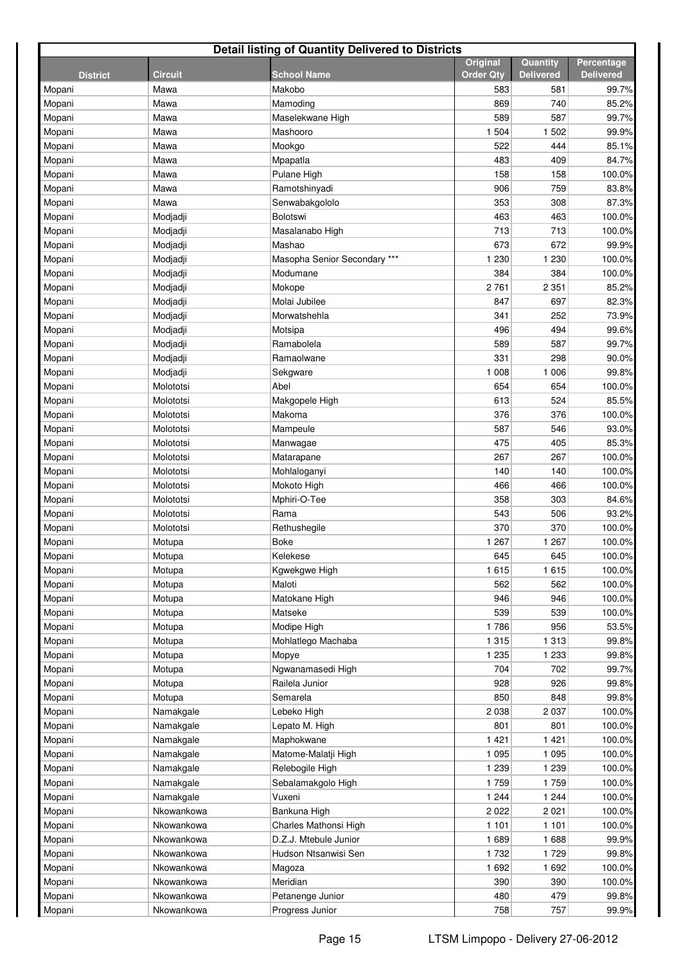| <b>Detail listing of Quantity Delivered to Districts</b> |                |                              |                                     |                              |                                |  |  |  |
|----------------------------------------------------------|----------------|------------------------------|-------------------------------------|------------------------------|--------------------------------|--|--|--|
| <b>District</b>                                          | <b>Circuit</b> | <b>School Name</b>           | <b>Original</b><br><b>Order Qty</b> | Quantity<br><b>Delivered</b> | Percentage<br><b>Delivered</b> |  |  |  |
| Mopani                                                   | Mawa           | Makobo                       | 583                                 | 581                          | 99.7%                          |  |  |  |
| Mopani                                                   | Mawa           | Mamoding                     | 869                                 | 740                          | 85.2%                          |  |  |  |
| Mopani                                                   | Mawa           | Maselekwane High             | 589                                 | 587                          | 99.7%                          |  |  |  |
| Mopani                                                   | Mawa           | Mashooro                     | 1 504                               | 1 5 0 2                      | 99.9%                          |  |  |  |
| Mopani                                                   | Mawa           | Mookgo                       | 522                                 | 444                          | 85.1%                          |  |  |  |
| Mopani                                                   | Mawa           | Mpapatla                     | 483                                 | 409                          | 84.7%                          |  |  |  |
| Mopani                                                   | Mawa           | Pulane High                  | 158                                 | 158                          | 100.0%                         |  |  |  |
| Mopani                                                   | Mawa           | Ramotshinyadi                | 906                                 | 759                          | 83.8%                          |  |  |  |
| Mopani                                                   | Mawa           | Senwabakgololo               | 353                                 | 308                          | 87.3%                          |  |  |  |
| Mopani                                                   | Modjadji       | Bolotswi                     | 463                                 | 463                          | 100.0%                         |  |  |  |
| Mopani                                                   | Modjadji       | Masalanabo High              | 713                                 | 713                          | 100.0%                         |  |  |  |
| Mopani                                                   | Modjadji       | Mashao                       | 673                                 | 672                          | 99.9%                          |  |  |  |
| Mopani                                                   | Modjadji       | Masopha Senior Secondary *** | 1 2 3 0                             | 1 2 3 0                      | 100.0%                         |  |  |  |
| Mopani                                                   | Modjadji       | Modumane                     | 384                                 | 384                          | 100.0%                         |  |  |  |
| Mopani                                                   | Modjadji       | Mokope                       | 2761                                | 2 3 5 1                      | 85.2%                          |  |  |  |
| Mopani                                                   | Modjadji       | Molai Jubilee                | 847                                 | 697                          | 82.3%                          |  |  |  |
| Mopani                                                   | Modjadji       | Morwatshehla                 | 341                                 | 252                          | 73.9%                          |  |  |  |
| Mopani                                                   | Modjadji       | Motsipa                      | 496                                 | 494                          | 99.6%                          |  |  |  |
| Mopani                                                   | Modjadji       | Ramabolela                   | 589                                 | 587                          | 99.7%                          |  |  |  |
| Mopani                                                   | Modjadji       | Ramaolwane                   | 331                                 | 298                          | 90.0%                          |  |  |  |
| Mopani                                                   | Modjadji       | Sekgware                     | 1 0 0 8                             | 1 0 0 6                      | 99.8%                          |  |  |  |
| Mopani                                                   | Molototsi      | Abel                         | 654                                 | 654                          | 100.0%                         |  |  |  |
| Mopani                                                   | Molototsi      | Makgopele High               | 613                                 | 524                          | 85.5%                          |  |  |  |
| Mopani                                                   | Molototsi      | Makoma                       | 376                                 | 376                          | 100.0%                         |  |  |  |
| Mopani                                                   | Molototsi      | Mampeule                     | 587                                 | 546                          | 93.0%                          |  |  |  |
| Mopani                                                   | Molototsi      | Manwagae                     | 475                                 | 405                          | 85.3%                          |  |  |  |
| Mopani                                                   | Molototsi      | Matarapane                   | 267                                 | 267                          | 100.0%                         |  |  |  |
| Mopani                                                   | Molototsi      | Mohlaloganyi                 | 140                                 | 140                          | 100.0%                         |  |  |  |
| Mopani                                                   | Molototsi      | Mokoto High                  | 466                                 | 466                          | 100.0%                         |  |  |  |
| Mopani                                                   | Molototsi      | Mphiri-O-Tee                 | 358                                 | 303                          | 84.6%                          |  |  |  |
| Mopani                                                   | Molototsi      | Rama                         | 543                                 | 506                          | 93.2%                          |  |  |  |
| Mopani                                                   | Molototsi      | Rethushegile                 | 370                                 | 370                          | 100.0%                         |  |  |  |
| Mopani                                                   | Motupa         | Boke                         | 1 2 6 7                             | 1 2 6 7                      | 100.0%                         |  |  |  |
| Mopani                                                   | Motupa         | Kelekese                     | 645                                 | 645                          | 100.0%                         |  |  |  |
| Mopani                                                   | Motupa         | Kgwekgwe High                | 1615                                | 1615                         | 100.0%                         |  |  |  |
| Mopani                                                   | Motupa         | Maloti                       | 562                                 | 562                          | 100.0%                         |  |  |  |
| Mopani                                                   | Motupa         | Matokane High                | 946                                 | 946                          | 100.0%                         |  |  |  |
| Mopani                                                   | Motupa         | Matseke                      | 539                                 | 539                          | 100.0%                         |  |  |  |
| Mopani                                                   | Motupa         | Modipe High                  | 1786                                | 956                          | 53.5%                          |  |  |  |
| Mopani                                                   | Motupa         | Mohlatlego Machaba           | 1 3 1 5                             | 1 3 1 3                      | 99.8%                          |  |  |  |
| Mopani                                                   | Motupa         | Mopye                        | 1 2 3 5                             | 1 2 3 3                      | 99.8%                          |  |  |  |
| Mopani                                                   | Motupa         | Ngwanamasedi High            | 704                                 | 702                          | 99.7%                          |  |  |  |
| Mopani                                                   | Motupa         | Railela Junior               | 928                                 | 926                          | 99.8%                          |  |  |  |
| Mopani                                                   | Motupa         | Semarela                     | 850                                 | 848                          | 99.8%                          |  |  |  |
| Mopani                                                   | Namakgale      | Lebeko High                  | 2 0 3 8                             | 2 0 3 7                      | 100.0%                         |  |  |  |
| Mopani                                                   | Namakgale      | Lepato M. High               | 801                                 | 801                          | 100.0%                         |  |  |  |
| Mopani                                                   | Namakgale      | Maphokwane                   | 1421                                | 1 4 2 1                      | 100.0%                         |  |  |  |
| Mopani                                                   | Namakgale      | Matome-Malatji High          | 1 0 9 5                             | 1 0 9 5                      | 100.0%                         |  |  |  |
| Mopani                                                   | Namakgale      | Relebogile High              | 1 2 3 9                             | 1 2 3 9                      | 100.0%                         |  |  |  |
| Mopani                                                   | Namakgale      | Sebalamakgolo High           | 1759                                | 1759                         | 100.0%                         |  |  |  |
| Mopani                                                   | Namakgale      | Vuxeni                       | 1 2 4 4                             | 1 2 4 4                      | 100.0%                         |  |  |  |
| Mopani                                                   | Nkowankowa     | Bankuna High                 | 2 0 2 2                             | 2 0 2 1                      | 100.0%                         |  |  |  |
| Mopani                                                   | Nkowankowa     | Charles Mathonsi High        | 1 1 0 1                             | 1 1 0 1                      | 100.0%                         |  |  |  |
| Mopani                                                   | Nkowankowa     | D.Z.J. Mtebule Junior        | 1689                                | 1688                         | 99.9%                          |  |  |  |
| Mopani                                                   | Nkowankowa     | Hudson Ntsanwisi Sen         | 1 7 3 2                             | 1729                         | 99.8%                          |  |  |  |
| Mopani                                                   | Nkowankowa     | Magoza                       | 1692                                | 1 6 9 2                      | 100.0%                         |  |  |  |
| Mopani                                                   | Nkowankowa     | Meridian                     | 390                                 | 390                          | 100.0%                         |  |  |  |
| Mopani                                                   | Nkowankowa     | Petanenge Junior             | 480                                 | 479                          | 99.8%                          |  |  |  |
| Mopani                                                   | Nkowankowa     | Progress Junior              | 758                                 | 757                          | 99.9%                          |  |  |  |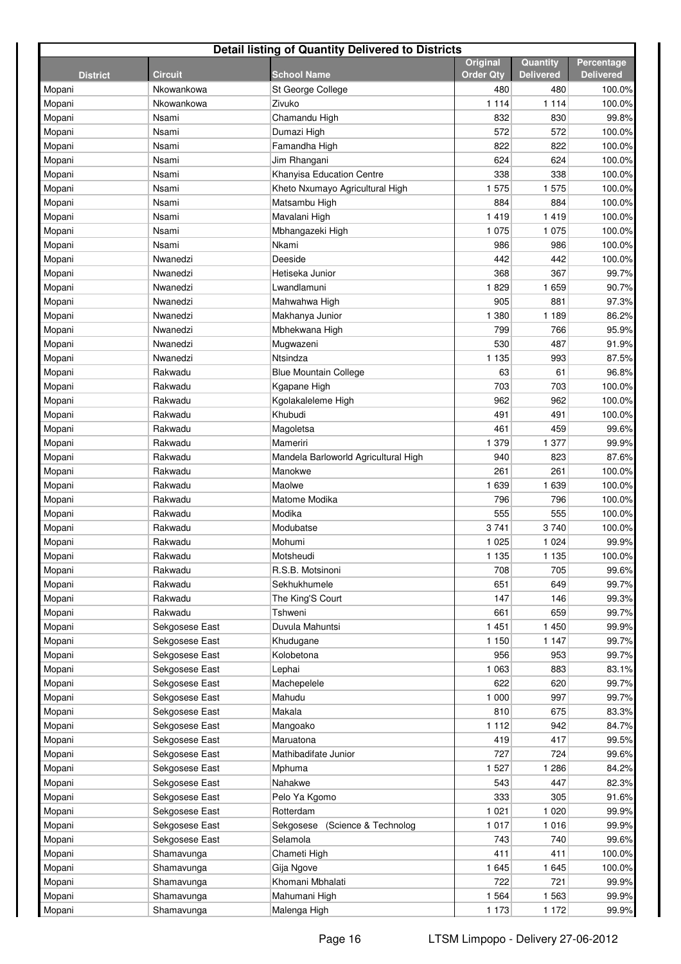| Detail listing of Quantity Delivered to Districts |                |                                      |                  |                  |                  |  |  |  |
|---------------------------------------------------|----------------|--------------------------------------|------------------|------------------|------------------|--|--|--|
|                                                   |                |                                      | Original         | Quantity         | Percentage       |  |  |  |
| <b>District</b>                                   | <b>Circuit</b> | <b>School Name</b>                   | <b>Order Qty</b> | <b>Delivered</b> | <b>Delivered</b> |  |  |  |
| Mopani                                            | Nkowankowa     | St George College                    | 480              | 480              | 100.0%           |  |  |  |
| Mopani                                            | Nkowankowa     | Zivuko                               | 1 1 1 4          | 1 1 1 4          | 100.0%           |  |  |  |
| Mopani                                            | Nsami          | Chamandu High                        | 832<br>572       | 830              | 99.8%            |  |  |  |
| Mopani                                            | Nsami<br>Nsami | Dumazi High<br>Famandha High         | 822              | 572<br>822       | 100.0%<br>100.0% |  |  |  |
| Mopani<br>Mopani                                  | Nsami          | Jim Rhangani                         | 624              | 624              | 100.0%           |  |  |  |
| Mopani                                            | Nsami          | Khanyisa Education Centre            | 338              | 338              | 100.0%           |  |  |  |
| Mopani                                            | Nsami          | Kheto Nxumayo Agricultural High      | 1575             | 1575             | 100.0%           |  |  |  |
| Mopani                                            | Nsami          | Matsambu High                        | 884              | 884              | 100.0%           |  |  |  |
| Mopani                                            | Nsami          | Mavalani High                        | 1419             | 1419             | 100.0%           |  |  |  |
| Mopani                                            | Nsami          | Mbhangazeki High                     | 1 0 7 5          | 1 0 7 5          | 100.0%           |  |  |  |
| Mopani                                            | Nsami          | Nkami                                | 986              | 986              | 100.0%           |  |  |  |
| Mopani                                            | Nwanedzi       | Deeside                              | 442              | 442              | 100.0%           |  |  |  |
| Mopani                                            | Nwanedzi       | Hetiseka Junior                      | 368              | 367              | 99.7%            |  |  |  |
| Mopani                                            | Nwanedzi       | Lwandlamuni                          | 1829             | 1659             | 90.7%            |  |  |  |
| Mopani                                            | Nwanedzi       | Mahwahwa High                        | 905              | 881              | 97.3%            |  |  |  |
| Mopani                                            | Nwanedzi       | Makhanya Junior                      | 1 380            | 1 1 8 9          | 86.2%            |  |  |  |
| Mopani                                            | Nwanedzi       | Mbhekwana High                       | 799              | 766              | 95.9%            |  |  |  |
| Mopani                                            | Nwanedzi       | Mugwazeni                            | 530              | 487              | 91.9%            |  |  |  |
| Mopani                                            | Nwanedzi       | Ntsindza                             | 1 1 3 5          | 993              | 87.5%            |  |  |  |
| Mopani                                            | Rakwadu        | <b>Blue Mountain College</b>         | 63               | 61               | 96.8%            |  |  |  |
| Mopani                                            | Rakwadu        | Kgapane High                         | 703              | 703              | 100.0%           |  |  |  |
| Mopani                                            | Rakwadu        | Kgolakaleleme High                   | 962              | 962              | 100.0%           |  |  |  |
| Mopani                                            | Rakwadu        | Khubudi                              | 491              | 491              | 100.0%           |  |  |  |
| Mopani                                            | Rakwadu        | Magoletsa                            | 461              | 459              | 99.6%            |  |  |  |
| Mopani                                            | Rakwadu        | Mameriri                             | 1 379            | 1 377            | 99.9%            |  |  |  |
| Mopani                                            | Rakwadu        | Mandela Barloworld Agricultural High | 940              | 823              | 87.6%            |  |  |  |
| Mopani                                            | Rakwadu        | Manokwe                              | 261              | 261              | 100.0%           |  |  |  |
| Mopani                                            | Rakwadu        | Maolwe                               | 1 639            | 1 6 3 9          | 100.0%           |  |  |  |
| Mopani                                            | Rakwadu        | Matome Modika                        | 796              | 796              | 100.0%           |  |  |  |
| Mopani                                            | Rakwadu        | Modika                               | 555              | 555              | 100.0%           |  |  |  |
| Mopani                                            | Rakwadu        | Modubatse                            | 3741             | 3740             | 100.0%           |  |  |  |
| Mopani                                            | Rakwadu        | Mohumi                               | 1 0 2 5          | 1 0 2 4          | 99.9%            |  |  |  |
| Mopani                                            | Rakwadu        | Motsheudi                            | 1 1 3 5          | 1 1 3 5          | 100.0%           |  |  |  |
| Mopani                                            | Rakwadu        | R.S.B. Motsinoni                     | 708              | 705              | 99.6%            |  |  |  |
| Mopani                                            | Rakwadu        | Sekhukhumele                         | 651              | 649              | 99.7%            |  |  |  |
| Mopani                                            | Rakwadu        | The King'S Court                     | 147              | 146              | 99.3%            |  |  |  |
| Mopani                                            | Rakwadu        | Tshweni                              | 661              | 659              | 99.7%            |  |  |  |
| Mopani                                            | Sekgosese East | Duvula Mahuntsi                      | 1 4 5 1          | 1 450            | 99.9%            |  |  |  |
| Mopani                                            | Sekgosese East | Khudugane                            | 1 1 5 0          | 1 1 4 7          | 99.7%            |  |  |  |
| Mopani                                            | Sekgosese East | Kolobetona                           | 956              | 953              | 99.7%            |  |  |  |
| Mopani                                            | Sekgosese East | Lephai                               | 1 0 6 3          | 883              | 83.1%            |  |  |  |
| Mopani                                            | Sekgosese East | Machepelele                          | 622              | 620              | 99.7%            |  |  |  |
| Mopani                                            | Sekgosese East | Mahudu                               | 1 000            | 997              | 99.7%            |  |  |  |
| Mopani                                            | Sekgosese East | Makala                               | 810              | 675              | 83.3%            |  |  |  |
| Mopani                                            | Sekgosese East | Mangoako                             | 1 1 1 2          | 942              | 84.7%            |  |  |  |
| Mopani                                            | Sekgosese East | Maruatona                            | 419              | 417              | 99.5%            |  |  |  |
| Mopani                                            | Sekgosese East | Mathibadifate Junior                 | 727              | 724              | 99.6%            |  |  |  |
| Mopani                                            | Sekgosese East | Mphuma                               | 1 5 2 7          | 1 2 8 6          | 84.2%            |  |  |  |
| Mopani                                            | Sekgosese East | Nahakwe                              | 543              | 447              | 82.3%            |  |  |  |
| Mopani                                            | Sekgosese East | Pelo Ya Kgomo                        | 333              | 305              | 91.6%            |  |  |  |
| Mopani                                            | Sekgosese East | Rotterdam                            | 1 0 2 1          | 1 0 2 0          | 99.9%            |  |  |  |
| Mopani                                            | Sekgosese East | (Science & Technolog<br>Sekgosese    | 1 0 1 7          | 1 0 1 6          | 99.9%            |  |  |  |
| Mopani                                            | Sekgosese East | Selamola                             | 743              | 740              | 99.6%            |  |  |  |
| Mopani                                            | Shamavunga     | Chameti High                         | 411              | 411              | 100.0%           |  |  |  |
| Mopani                                            | Shamavunga     | Gija Ngove                           | 1645             | 1 6 4 5          | 100.0%           |  |  |  |
| Mopani                                            | Shamavunga     | Khomani Mbhalati                     | 722              | 721              | 99.9%            |  |  |  |
| Mopani                                            | Shamavunga     | Mahumani High                        | 1 5 6 4          | 1 5 6 3          | 99.9%            |  |  |  |
| Mopani                                            | Shamavunga     | Malenga High                         | 1 1 7 3          | 1 1 7 2          | 99.9%            |  |  |  |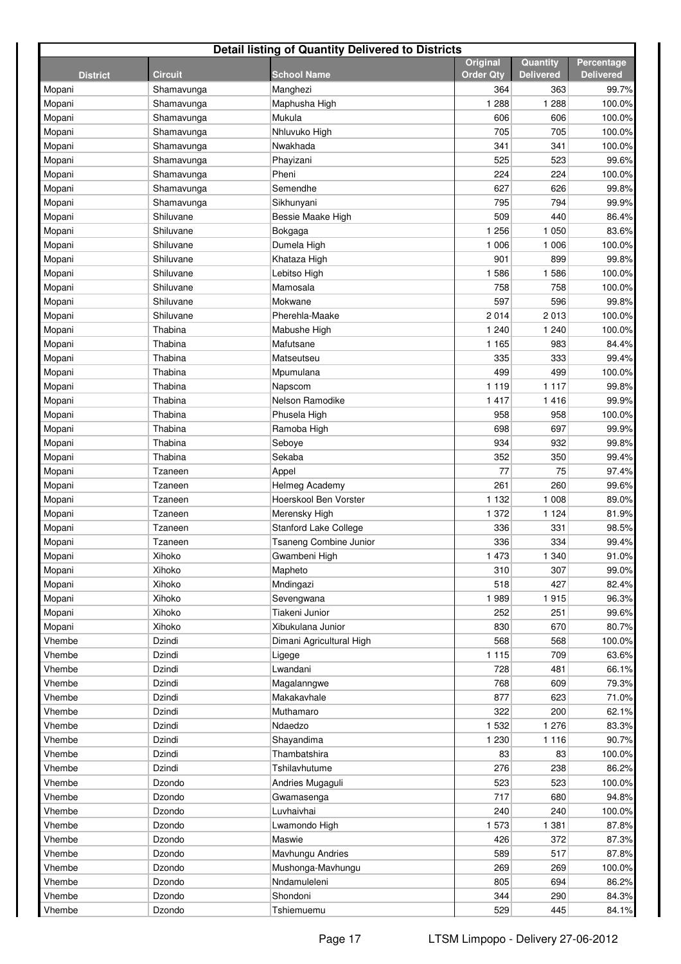| <b>Detail listing of Quantity Delivered to Districts</b> |                |                               |                                     |                              |                                |  |  |  |
|----------------------------------------------------------|----------------|-------------------------------|-------------------------------------|------------------------------|--------------------------------|--|--|--|
| <b>District</b>                                          | <b>Circuit</b> | School Name                   | <b>Original</b><br><b>Order Qty</b> | Quantity<br><b>Delivered</b> | Percentage<br><b>Delivered</b> |  |  |  |
| Mopani                                                   | Shamavunga     | Manghezi                      | 364                                 | 363                          | 99.7%                          |  |  |  |
| Mopani                                                   | Shamavunga     | Maphusha High                 | 1 2 8 8                             | 1 2 8 8                      | 100.0%                         |  |  |  |
| Mopani                                                   | Shamavunga     | Mukula                        | 606                                 | 606                          | 100.0%                         |  |  |  |
| Mopani                                                   | Shamavunga     | Nhluvuko High                 | 705                                 | 705                          | 100.0%                         |  |  |  |
| Mopani                                                   | Shamavunga     | Nwakhada                      | 341                                 | 341                          | 100.0%                         |  |  |  |
| Mopani                                                   | Shamavunga     | Phayizani                     | 525                                 | 523                          | 99.6%                          |  |  |  |
| Mopani                                                   | Shamavunga     | Pheni                         | 224                                 | 224                          | 100.0%                         |  |  |  |
| Mopani                                                   | Shamavunga     | Semendhe                      | 627                                 | 626                          | 99.8%                          |  |  |  |
| Mopani                                                   | Shamavunga     | Sikhunyani                    | 795                                 | 794                          | 99.9%                          |  |  |  |
| Mopani                                                   | Shiluvane      | Bessie Maake High             | 509                                 | 440                          | 86.4%                          |  |  |  |
| Mopani                                                   | Shiluvane      | Bokgaga                       | 1 2 5 6                             | 1 0 5 0                      | 83.6%                          |  |  |  |
| Mopani                                                   | Shiluvane      | Dumela High                   | 1 0 0 6                             | 1 0 0 6                      | 100.0%                         |  |  |  |
| Mopani                                                   | Shiluvane      | Khataza High                  | 901                                 | 899                          | 99.8%                          |  |  |  |
| Mopani                                                   | Shiluvane      | Lebitso High                  | 1586                                | 1586                         | 100.0%                         |  |  |  |
| Mopani                                                   | Shiluvane      | Mamosala                      | 758                                 | 758                          | 100.0%                         |  |  |  |
| Mopani                                                   | Shiluvane      | Mokwane                       | 597                                 | 596                          | 99.8%                          |  |  |  |
| Mopani                                                   | Shiluvane      | Pherehla-Maake                | 2014                                | 2013                         | 100.0%                         |  |  |  |
| Mopani                                                   | Thabina        | Mabushe High                  | 1 2 4 0                             | 1 2 4 0                      | 100.0%                         |  |  |  |
| Mopani                                                   | Thabina        | Mafutsane                     | 1 1 6 5                             | 983                          | 84.4%                          |  |  |  |
| Mopani                                                   | Thabina        | Matseutseu                    | 335                                 | 333                          | 99.4%                          |  |  |  |
| Mopani                                                   | Thabina        | Mpumulana                     | 499                                 | 499                          | 100.0%                         |  |  |  |
| Mopani                                                   | Thabina        | Napscom                       | 1 1 1 9                             | 1 1 1 7                      | 99.8%                          |  |  |  |
| Mopani                                                   | Thabina        | Nelson Ramodike               | 1 4 1 7                             | 1416                         | 99.9%                          |  |  |  |
| Mopani                                                   | Thabina        | Phusela High                  | 958                                 | 958                          | 100.0%                         |  |  |  |
| Mopani                                                   | Thabina        | Ramoba High                   | 698                                 | 697                          | 99.9%                          |  |  |  |
| Mopani                                                   | Thabina        | Seboye                        | 934                                 | 932                          | 99.8%                          |  |  |  |
| Mopani                                                   | Thabina        | Sekaba                        | 352                                 | 350                          | 99.4%                          |  |  |  |
| Mopani                                                   | Tzaneen        | Appel                         | 77                                  | 75                           | 97.4%                          |  |  |  |
| Mopani                                                   | Tzaneen        | Helmeg Academy                | 261                                 | 260                          | 99.6%                          |  |  |  |
| Mopani                                                   | Tzaneen        | Hoerskool Ben Vorster         | 1 1 3 2                             | 1 0 0 8                      | 89.0%                          |  |  |  |
| Mopani                                                   | Tzaneen        | Merensky High                 | 1 372                               | 1 1 2 4                      | 81.9%                          |  |  |  |
| Mopani                                                   | Tzaneen        | Stanford Lake College         | 336                                 | 331                          | 98.5%                          |  |  |  |
| Mopani                                                   | Tzaneen        | <b>Tsaneng Combine Junior</b> | 336                                 | 334                          | 99.4%                          |  |  |  |
| Mopani                                                   | Xihoko         | Gwambeni High                 | 1 473                               | 1 340                        | 91.0%                          |  |  |  |
| Mopani                                                   | Xihoko         | Mapheto                       | 310                                 | 307                          | 99.0%                          |  |  |  |
| Mopani                                                   | Xihoko         | Mndingazi                     | 518                                 | 427                          | 82.4%                          |  |  |  |
| Mopani                                                   | Xihoko         | Sevengwana                    | 1989                                | 1915                         | 96.3%                          |  |  |  |
| Mopani                                                   | Xihoko         | Tiakeni Junior                | 252                                 | 251                          | 99.6%                          |  |  |  |
|                                                          | Xihoko         | Xibukulana Junior             | 830                                 | 670                          | 80.7%                          |  |  |  |
| Mopani<br>Vhembe                                         | Dzindi         | Dimani Agricultural High      | 568                                 | 568                          |                                |  |  |  |
| Vhembe                                                   | Dzindi         |                               | 1 1 1 5                             | 709                          | 100.0%<br>63.6%                |  |  |  |
| Vhembe                                                   | Dzindi         | Ligege<br>Lwandani            | 728                                 | 481                          | 66.1%                          |  |  |  |
| Vhembe                                                   | Dzindi         | Magalanngwe                   | 768                                 | 609                          | 79.3%                          |  |  |  |
|                                                          |                |                               | 877                                 |                              |                                |  |  |  |
| Vhembe                                                   | Dzindi         | Makakavhale<br>Muthamaro      | 322                                 | 623                          | 71.0%                          |  |  |  |
| Vhembe                                                   | Dzindi         |                               |                                     | 200                          | 62.1%                          |  |  |  |
| Vhembe                                                   | Dzindi         | Ndaedzo                       | 1 5 3 2                             | 1 2 7 6                      | 83.3%                          |  |  |  |
| Vhembe                                                   | Dzindi         | Shayandima                    | 1 2 3 0                             | 1 1 1 6                      | 90.7%                          |  |  |  |
| Vhembe                                                   | Dzindi         | Thambatshira                  | 83                                  | 83                           | 100.0%                         |  |  |  |
| Vhembe                                                   | Dzindi         | Tshilavhutume                 | 276                                 | 238                          | 86.2%                          |  |  |  |
| Vhembe                                                   | Dzondo         | Andries Mugaguli              | 523                                 | 523                          | 100.0%                         |  |  |  |
| Vhembe                                                   | Dzondo         | Gwamasenga                    | 717                                 | 680                          | 94.8%                          |  |  |  |
| Vhembe                                                   | Dzondo         | Luvhaivhai                    | 240                                 | 240                          | 100.0%                         |  |  |  |
| Vhembe                                                   | Dzondo         | Lwamondo High                 | 1573                                | 1 3 8 1                      | 87.8%                          |  |  |  |
| Vhembe                                                   | Dzondo         | Maswie                        | 426                                 | 372                          | 87.3%                          |  |  |  |
| Vhembe                                                   | Dzondo         | Mavhungu Andries              | 589                                 | 517                          | 87.8%                          |  |  |  |
| Vhembe                                                   | Dzondo         | Mushonga-Mavhungu             | 269                                 | 269                          | 100.0%                         |  |  |  |
| Vhembe                                                   | Dzondo         | Nndamuleleni                  | 805                                 | 694                          | 86.2%                          |  |  |  |
| Vhembe                                                   | Dzondo         | Shondoni                      | 344                                 | 290                          | 84.3%                          |  |  |  |
| Vhembe                                                   | Dzondo         | Tshiemuemu                    | 529                                 | 445                          | 84.1%                          |  |  |  |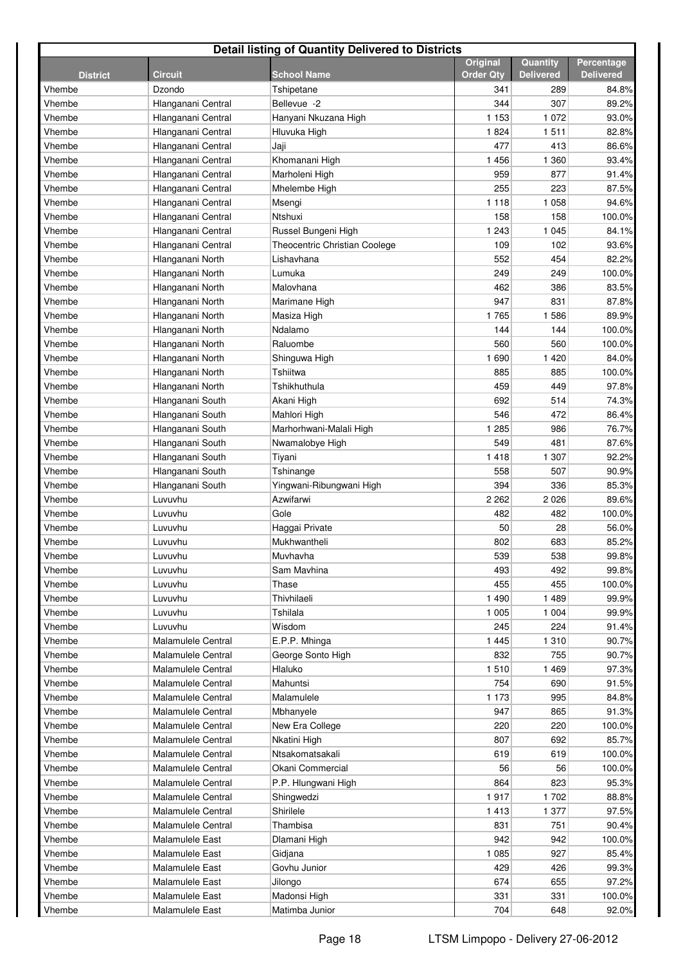| <b>Detail listing of Quantity Delivered to Districts</b> |                           |                               |                              |                              |                                |  |  |  |
|----------------------------------------------------------|---------------------------|-------------------------------|------------------------------|------------------------------|--------------------------------|--|--|--|
| <b>District</b>                                          | <b>Circuit</b>            | <b>School Name</b>            | Original<br><b>Order Qty</b> | Quantity<br><b>Delivered</b> | Percentage<br><b>Delivered</b> |  |  |  |
| Vhembe                                                   | Dzondo                    | Tshipetane                    | 341                          | 289                          | 84.8%                          |  |  |  |
| Vhembe                                                   | Hlanganani Central        | Bellevue -2                   | 344                          | 307                          | 89.2%                          |  |  |  |
| Vhembe                                                   | Hlanganani Central        | Hanyani Nkuzana High          | 1 1 5 3                      | 1 0 7 2                      | 93.0%                          |  |  |  |
| Vhembe                                                   | Hlanganani Central        | Hluvuka High                  | 1824                         | 1511                         | 82.8%                          |  |  |  |
| Vhembe                                                   | Hlanganani Central        | Jaji                          | 477                          | 413                          | 86.6%                          |  |  |  |
| Vhembe                                                   | Hlanganani Central        | Khomanani High                | 1456                         | 1 3 6 0                      | 93.4%                          |  |  |  |
| Vhembe                                                   | Hlanganani Central        | Marholeni High                | 959                          | 877                          | 91.4%                          |  |  |  |
| Vhembe                                                   | Hlanganani Central        | Mhelembe High                 | 255                          | 223                          | 87.5%                          |  |  |  |
| Vhembe                                                   | Hlanganani Central        | Msengi                        | 1 1 1 8                      | 1 0 5 8                      | 94.6%                          |  |  |  |
| Vhembe                                                   | Hlanganani Central        | Ntshuxi                       | 158                          | 158                          | 100.0%                         |  |  |  |
| Vhembe                                                   | Hlanganani Central        | Russel Bungeni High           | 1 2 4 3                      | 1 0 4 5                      | 84.1%                          |  |  |  |
| Vhembe                                                   | Hlanganani Central        | Theocentric Christian Coolege | 109                          | 102                          | 93.6%                          |  |  |  |
| Vhembe                                                   | Hlanganani North          | Lishavhana                    | 552                          | 454                          | 82.2%                          |  |  |  |
| Vhembe                                                   | Hlanganani North          | Lumuka                        | 249                          | 249                          | 100.0%                         |  |  |  |
| Vhembe                                                   | Hlanganani North          | Malovhana                     | 462                          | 386                          | 83.5%                          |  |  |  |
| Vhembe                                                   | Hlanganani North          | Marimane High                 | 947                          | 831                          | 87.8%                          |  |  |  |
| Vhembe                                                   | Hlanganani North          | Masiza High                   | 1765                         | 1586                         | 89.9%                          |  |  |  |
| Vhembe                                                   | Hlanganani North          | Ndalamo                       | 144                          | 144                          | 100.0%                         |  |  |  |
| Vhembe                                                   | Hlanganani North          | Raluombe                      | 560                          | 560                          | 100.0%                         |  |  |  |
| Vhembe                                                   | Hlanganani North          | Shinguwa High                 | 1 6 9 0                      | 1 4 2 0                      | 84.0%                          |  |  |  |
| Vhembe                                                   | Hlanganani North          | Tshiitwa                      | 885                          | 885                          | 100.0%                         |  |  |  |
| Vhembe                                                   | Hlanganani North          | Tshikhuthula                  | 459                          | 449                          | 97.8%                          |  |  |  |
| Vhembe                                                   | Hlanganani South          | Akani High                    | 692                          | 514                          | 74.3%                          |  |  |  |
| Vhembe                                                   | Hlanganani South          | Mahlori High                  | 546                          | 472                          | 86.4%                          |  |  |  |
| Vhembe                                                   | Hlanganani South          | Marhorhwani-Malali High       | 1 2 8 5                      | 986                          | 76.7%                          |  |  |  |
| Vhembe                                                   | Hlanganani South          | Nwamalobye High               | 549                          | 481                          | 87.6%                          |  |  |  |
| Vhembe                                                   | Hlanganani South          | Tiyani                        | 1418                         | 1 307                        | 92.2%                          |  |  |  |
| Vhembe                                                   | Hlanganani South          | Tshinange                     | 558                          | 507                          | 90.9%                          |  |  |  |
| Vhembe                                                   | Hlanganani South          | Yingwani-Ribungwani High      | 394                          | 336                          | 85.3%                          |  |  |  |
| Vhembe                                                   | Luvuvhu                   | Azwifarwi                     | 2 2 6 2                      | 2 0 2 6                      | 89.6%                          |  |  |  |
| Vhembe                                                   | Luvuvhu                   | Gole                          | 482                          | 482                          | 100.0%                         |  |  |  |
| Vhembe                                                   | Luvuvhu                   | Haggai Private                | 50                           | 28                           | 56.0%                          |  |  |  |
| Vhembe                                                   | Luvuvhu                   | Mukhwantheli                  | 802                          | 683                          | 85.2%                          |  |  |  |
| Vhembe                                                   | Luvuvhu                   | Muvhavha                      | 539                          | 538                          | 99.8%                          |  |  |  |
| Vhembe                                                   | Luvuvhu                   | Sam Mavhina                   | 493                          | 492                          | 99.8%                          |  |  |  |
| Vhembe<br>Vhembe                                         | Luvuvhu                   | Thase<br>Thivhilaeli          | 455<br>1490                  | 455<br>1 4 8 9               | 100.0%<br>99.9%                |  |  |  |
| Vhembe                                                   | Luvuvhu                   | Tshilala                      | 1 0 0 5                      | 1 0 0 4                      | 99.9%                          |  |  |  |
| Vhembe                                                   | Luvuvhu<br>Luvuvhu        | Wisdom                        | 245                          | 224                          | 91.4%                          |  |  |  |
| Vhembe                                                   | Malamulele Central        | E.P.P. Mhinga                 | 1 4 4 5                      | 1 3 1 0                      | 90.7%                          |  |  |  |
| Vhembe                                                   | Malamulele Central        | George Sonto High             | 832                          | 755                          | 90.7%                          |  |  |  |
| Vhembe                                                   | <b>Malamulele Central</b> | Hlaluko                       | 1510                         | 1 4 6 9                      | 97.3%                          |  |  |  |
| Vhembe                                                   | <b>Malamulele Central</b> | Mahuntsi                      | 754                          | 690                          | 91.5%                          |  |  |  |
| Vhembe                                                   | Malamulele Central        | Malamulele                    | 1 1 7 3                      | 995                          | 84.8%                          |  |  |  |
| Vhembe                                                   | Malamulele Central        | Mbhanyele                     | 947                          | 865                          | 91.3%                          |  |  |  |
| Vhembe                                                   | Malamulele Central        | New Era College               | 220                          | 220                          | 100.0%                         |  |  |  |
| Vhembe                                                   | Malamulele Central        | Nkatini High                  | 807                          | 692                          | 85.7%                          |  |  |  |
| Vhembe                                                   | Malamulele Central        | Ntsakomatsakali               | 619                          | 619                          | 100.0%                         |  |  |  |
| Vhembe                                                   | Malamulele Central        | Okani Commercial              | 56                           | 56                           | 100.0%                         |  |  |  |
| Vhembe                                                   | Malamulele Central        | P.P. Hlungwani High           | 864                          | 823                          | 95.3%                          |  |  |  |
| Vhembe                                                   | Malamulele Central        | Shingwedzi                    | 1917                         | 1 702                        | 88.8%                          |  |  |  |
| Vhembe                                                   | Malamulele Central        | Shirilele                     | 1413                         | 1 377                        | 97.5%                          |  |  |  |
| Vhembe                                                   | Malamulele Central        | Thambisa                      | 831                          | 751                          | 90.4%                          |  |  |  |
| Vhembe                                                   | Malamulele East           | Dlamani High                  | 942                          | 942                          | 100.0%                         |  |  |  |
| Vhembe                                                   | Malamulele East           | Gidjana                       | 1 0 8 5                      | 927                          | 85.4%                          |  |  |  |
| Vhembe                                                   | Malamulele East           | Govhu Junior                  | 429                          | 426                          | 99.3%                          |  |  |  |
| Vhembe                                                   | Malamulele East           | Jilongo                       | 674                          | 655                          | 97.2%                          |  |  |  |
| Vhembe                                                   | Malamulele East           | Madonsi High                  | 331                          | 331                          | 100.0%                         |  |  |  |
| Vhembe                                                   | Malamulele East           | Matimba Junior                | 704                          | 648                          | 92.0%                          |  |  |  |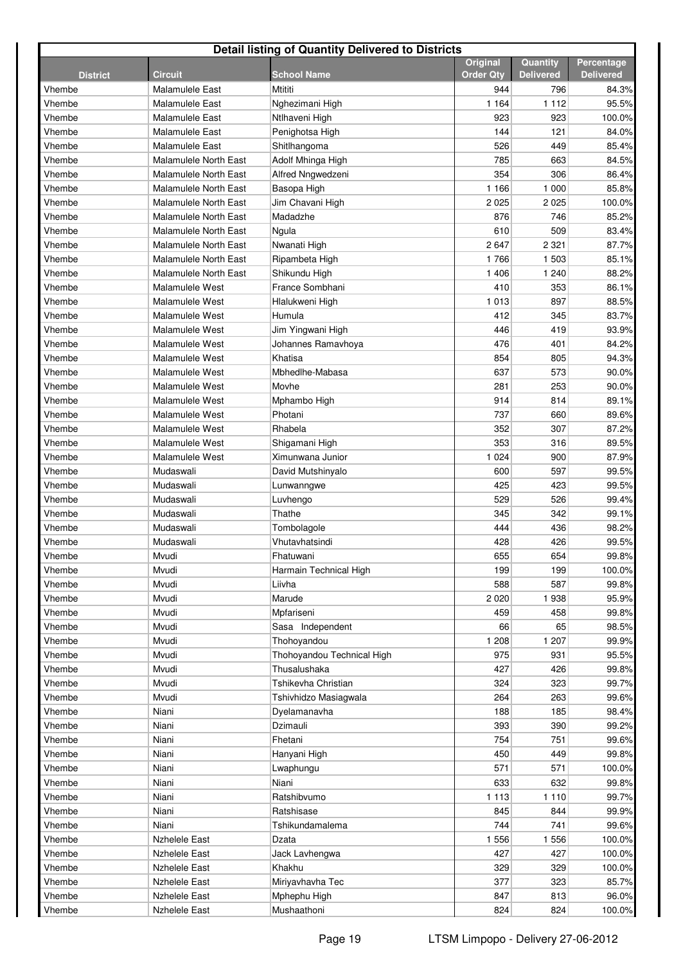| <b>Detail listing of Quantity Delivered to Districts</b> |                              |                            |                                     |                              |                                |  |  |  |
|----------------------------------------------------------|------------------------------|----------------------------|-------------------------------------|------------------------------|--------------------------------|--|--|--|
| <b>District</b>                                          | <b>Circuit</b>               | <b>School Name</b>         | <b>Original</b><br><b>Order Qtv</b> | Quantity<br><b>Delivered</b> | Percentage<br><b>Delivered</b> |  |  |  |
| Vhembe                                                   | <b>Malamulele East</b>       | Mtititi                    | 944                                 | 796                          | 84.3%                          |  |  |  |
| Vhembe                                                   | Malamulele East              | Nghezimani High            | 1 1 6 4                             | 1 1 1 2                      | 95.5%                          |  |  |  |
| Vhembe                                                   | <b>Malamulele East</b>       | Ntlhaveni High             | 923                                 | 923                          | 100.0%                         |  |  |  |
| Vhembe                                                   | <b>Malamulele East</b>       | Penighotsa High            | 144                                 | 121                          | 84.0%                          |  |  |  |
| Vhembe                                                   | <b>Malamulele East</b>       | Shitlhangoma               | 526                                 | 449                          | 85.4%                          |  |  |  |
| Vhembe                                                   | <b>Malamulele North East</b> | Adolf Mhinga High          | 785                                 | 663                          | 84.5%                          |  |  |  |
| Vhembe                                                   | <b>Malamulele North East</b> | <b>Alfred Nngwedzeni</b>   | 354                                 | 306                          | 86.4%                          |  |  |  |
| Vhembe                                                   | <b>Malamulele North East</b> | Basopa High                | 1 1 6 6                             | 1 0 0 0                      | 85.8%                          |  |  |  |
| Vhembe                                                   | <b>Malamulele North East</b> | Jim Chavani High           | 2 0 2 5                             | 2 0 2 5                      | 100.0%                         |  |  |  |
| Vhembe                                                   | <b>Malamulele North East</b> | Madadzhe                   | 876                                 | 746                          | 85.2%                          |  |  |  |
| Vhembe                                                   | <b>Malamulele North East</b> | Ngula                      | 610                                 | 509                          | 83.4%                          |  |  |  |
| Vhembe                                                   | <b>Malamulele North East</b> | Nwanati High               | 2647                                | 2 3 2 1                      | 87.7%                          |  |  |  |
| Vhembe                                                   | <b>Malamulele North East</b> | Ripambeta High             | 1766                                | 1 503                        | 85.1%                          |  |  |  |
| Vhembe                                                   | <b>Malamulele North East</b> | Shikundu High              | 1 4 0 6                             | 1 240                        | 88.2%                          |  |  |  |
| Vhembe                                                   | Malamulele West              | France Sombhani            | 410                                 | 353                          | 86.1%                          |  |  |  |
| Vhembe                                                   | Malamulele West              | Hlalukweni High            | 1013                                | 897                          | 88.5%                          |  |  |  |
| Vhembe                                                   | Malamulele West              | Humula                     | 412                                 | 345                          | 83.7%                          |  |  |  |
| Vhembe                                                   | Malamulele West              | Jim Yingwani High          | 446                                 | 419                          | 93.9%                          |  |  |  |
| Vhembe                                                   | Malamulele West              | Johannes Ramavhoya         | 476                                 | 401                          | 84.2%                          |  |  |  |
| Vhembe                                                   | Malamulele West              | Khatisa                    | 854                                 | 805                          | 94.3%                          |  |  |  |
| Vhembe                                                   | Malamulele West              | Mbhedlhe-Mabasa            | 637                                 | 573                          | 90.0%                          |  |  |  |
| Vhembe                                                   | Malamulele West              | Movhe                      | 281                                 | 253                          | 90.0%                          |  |  |  |
| Vhembe                                                   | Malamulele West              | Mphambo High               | 914                                 | 814                          | 89.1%                          |  |  |  |
| Vhembe                                                   | Malamulele West              | Photani                    | 737                                 | 660                          | 89.6%                          |  |  |  |
| Vhembe                                                   | Malamulele West              | Rhabela                    | 352                                 | 307                          | 87.2%                          |  |  |  |
| Vhembe                                                   | Malamulele West              | Shigamani High             | 353                                 | 316                          | 89.5%                          |  |  |  |
| Vhembe                                                   | Malamulele West              | Ximunwana Junior           | 1 0 2 4                             | 900                          | 87.9%                          |  |  |  |
| Vhembe                                                   | Mudaswali                    | David Mutshinyalo          | 600                                 | 597                          | 99.5%                          |  |  |  |
| Vhembe                                                   | Mudaswali                    | Lunwanngwe                 | 425                                 | 423                          | 99.5%                          |  |  |  |
| Vhembe                                                   | Mudaswali                    | Luvhengo                   | 529                                 | 526                          | 99.4%                          |  |  |  |
| Vhembe                                                   | Mudaswali                    | Thathe                     | 345                                 | 342                          | 99.1%                          |  |  |  |
| Vhembe                                                   | Mudaswali                    | Tombolagole                | 444                                 | 436                          | 98.2%                          |  |  |  |
| Vhembe                                                   | Mudaswali                    | Vhutavhatsindi             | 428                                 | 426                          | 99.5%                          |  |  |  |
| Vhembe                                                   | Mvudi                        | Fhatuwani                  | 655                                 | 654                          | 99.8%                          |  |  |  |
| Vhembe                                                   | Mvudi                        | Harmain Technical High     | 199                                 | 199                          | 100.0%                         |  |  |  |
| Vhembe                                                   | Mvudi                        | Liivha                     | 588                                 | 587                          | 99.8%                          |  |  |  |
| Vhembe                                                   | Mvudi                        | Marude                     | 2020                                | 1938                         | 95.9%                          |  |  |  |
| Vhembe                                                   | Mvudi                        | Mpfariseni                 | 459                                 | 458                          | 99.8%                          |  |  |  |
| Vhembe                                                   | Mvudi                        | Sasa Independent           | 66                                  | 65                           | 98.5%                          |  |  |  |
| Vhembe                                                   | Mvudi                        | Thohoyandou                | 1 208                               | 1 207                        | 99.9%                          |  |  |  |
| Vhembe                                                   | Mvudi                        | Thohoyandou Technical High | 975                                 | 931                          | 95.5%                          |  |  |  |
| Vhembe                                                   | Mvudi                        | Thusalushaka               | 427                                 | 426                          | 99.8%                          |  |  |  |
| Vhembe                                                   | Mvudi                        | Tshikevha Christian        | 324                                 | 323                          | 99.7%                          |  |  |  |
| Vhembe                                                   | Mvudi                        | Tshivhidzo Masiagwala      | 264                                 | 263                          | 99.6%                          |  |  |  |
| Vhembe                                                   | Niani<br>Niani               | Dyelamanavha               | 188                                 | 185                          | 98.4%                          |  |  |  |
| Vhembe                                                   | Niani                        | Dzimauli                   | 393                                 | 390                          | 99.2%                          |  |  |  |
| Vhembe<br>Vhembe                                         | Niani                        | Fhetani                    | 754<br>450                          | 751<br>449                   | 99.6%<br>99.8%                 |  |  |  |
| Vhembe                                                   | Niani                        | Hanyani High<br>Lwaphungu  | 571                                 | 571                          | 100.0%                         |  |  |  |
| Vhembe                                                   | Niani                        | Niani                      | 633                                 | 632                          | 99.8%                          |  |  |  |
| Vhembe                                                   | Niani                        | Ratshibvumo                | 1 1 1 3                             | 1 1 1 0                      | 99.7%                          |  |  |  |
| Vhembe                                                   | Niani                        | Ratshisase                 | 845                                 | 844                          | 99.9%                          |  |  |  |
| Vhembe                                                   | Niani                        | Tshikundamalema            | 744                                 | 741                          | 99.6%                          |  |  |  |
| Vhembe                                                   | <b>Nzhelele East</b>         | Dzata                      | 1 5 5 6                             | 1 5 5 6                      | 100.0%                         |  |  |  |
| Vhembe                                                   | <b>Nzhelele East</b>         | Jack Lavhengwa             | 427                                 | 427                          | 100.0%                         |  |  |  |
| Vhembe                                                   | <b>Nzhelele East</b>         | Khakhu                     | 329                                 | 329                          | 100.0%                         |  |  |  |
| Vhembe                                                   | <b>Nzhelele East</b>         | Miriyavhavha Tec           | 377                                 | 323                          | 85.7%                          |  |  |  |
| Vhembe                                                   | <b>Nzhelele East</b>         | Mphephu High               | 847                                 | 813                          | 96.0%                          |  |  |  |
| Vhembe                                                   | <b>Nzhelele East</b>         | Mushaathoni                | 824                                 | 824                          | 100.0%                         |  |  |  |
|                                                          |                              |                            |                                     |                              |                                |  |  |  |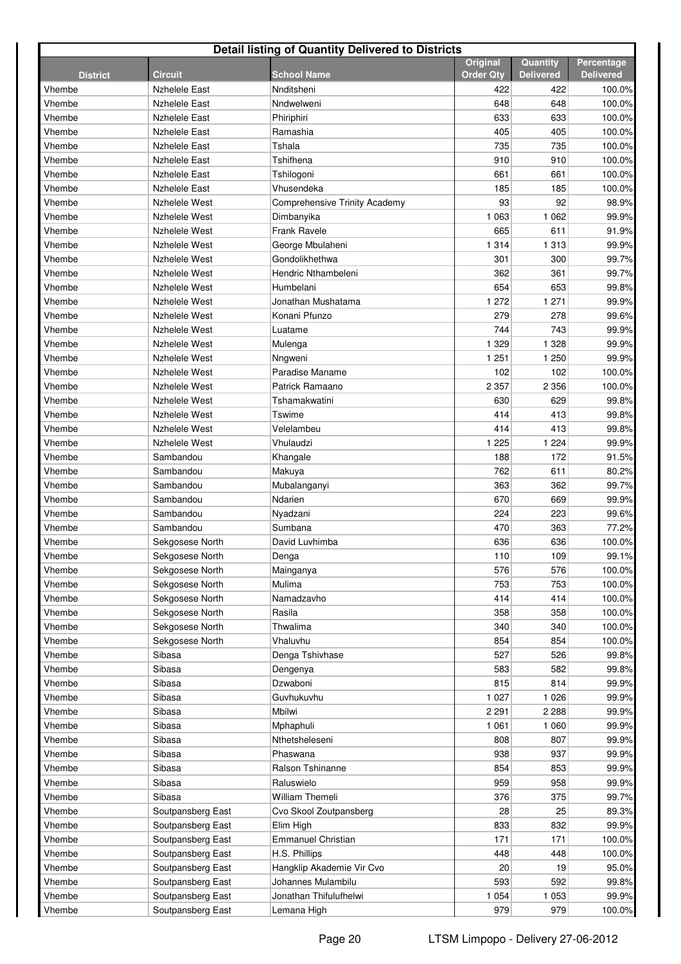| <b>Detail listing of Quantity Delivered to Districts</b> |                      |                               |                  |                  |                  |  |  |  |
|----------------------------------------------------------|----------------------|-------------------------------|------------------|------------------|------------------|--|--|--|
|                                                          |                      |                               | Original         | Quantity         | Percentage       |  |  |  |
| <b>District</b>                                          | <b>Circuit</b>       | <b>School Name</b>            | <b>Order Qty</b> | <b>Delivered</b> | <b>Delivered</b> |  |  |  |
| Vhembe                                                   | <b>Nzhelele East</b> | Nnditsheni                    | 422              | 422              | 100.0%           |  |  |  |
| Vhembe                                                   | <b>Nzhelele East</b> | Nndwelweni                    | 648              | 648              | 100.0%           |  |  |  |
| Vhembe                                                   | <b>Nzhelele East</b> | Phiriphiri                    | 633              | 633              | 100.0%           |  |  |  |
| Vhembe                                                   | <b>Nzhelele East</b> | Ramashia                      | 405              | 405              | 100.0%           |  |  |  |
| Vhembe                                                   | <b>Nzhelele East</b> | Tshala                        | 735              | 735              | 100.0%           |  |  |  |
| Vhembe                                                   | <b>Nzhelele East</b> | Tshifhena                     | 910              | 910              | 100.0%           |  |  |  |
| Vhembe                                                   | <b>Nzhelele East</b> | Tshilogoni                    | 661              | 661              | 100.0%           |  |  |  |
| Vhembe                                                   | <b>Nzhelele East</b> | Vhusendeka                    | 185              | 185              | 100.0%           |  |  |  |
| Vhembe                                                   | Nzhelele West        | Comprehensive Trinity Academy | 93               | 92               | 98.9%            |  |  |  |
| Vhembe                                                   | Nzhelele West        | Dimbanyika                    | 1 0 6 3          | 1 0 6 2          | 99.9%            |  |  |  |
| Vhembe                                                   | Nzhelele West        | Frank Ravele                  | 665              | 611              | 91.9%            |  |  |  |
| Vhembe                                                   | Nzhelele West        | George Mbulaheni              | 1 3 1 4          | 1 3 1 3          | 99.9%            |  |  |  |
| Vhembe                                                   | Nzhelele West        | Gondolikhethwa                | 301              | 300              | 99.7%            |  |  |  |
| Vhembe                                                   | Nzhelele West        | Hendric Nthambeleni           | 362              | 361              | 99.7%            |  |  |  |
| Vhembe                                                   | Nzhelele West        | Humbelani                     | 654              | 653              | 99.8%            |  |  |  |
| Vhembe                                                   | Nzhelele West        | Jonathan Mushatama            | 1 272            | 1 2 7 1          | 99.9%            |  |  |  |
| Vhembe                                                   | Nzhelele West        | Konani Pfunzo                 | 279              | 278              | 99.6%            |  |  |  |
| Vhembe                                                   | Nzhelele West        | Luatame                       | 744              | 743              | 99.9%            |  |  |  |
| Vhembe                                                   | Nzhelele West        | Mulenga                       | 1 3 2 9          | 1 3 2 8          | 99.9%            |  |  |  |
| Vhembe                                                   | Nzhelele West        | Nngweni                       | 1 251            | 1 250            | 99.9%            |  |  |  |
| Vhembe                                                   | Nzhelele West        | Paradise Maname               | 102              | 102              | 100.0%           |  |  |  |
| Vhembe                                                   | Nzhelele West        | Patrick Ramaano               | 2 3 5 7          | 2 3 5 6          | 100.0%           |  |  |  |
| Vhembe                                                   | Nzhelele West        | Tshamakwatini                 | 630              | 629              | 99.8%            |  |  |  |
| Vhembe                                                   | Nzhelele West        | Tswime                        | 414              | 413              | 99.8%            |  |  |  |
| Vhembe                                                   | Nzhelele West        | Velelambeu                    | 414              | 413              | 99.8%            |  |  |  |
| Vhembe                                                   | Nzhelele West        | Vhulaudzi                     | 1 2 2 5          | 1 2 2 4          | 99.9%            |  |  |  |
| Vhembe                                                   | Sambandou            | Khangale                      | 188              | 172              | 91.5%            |  |  |  |
| Vhembe                                                   | Sambandou            | Makuya                        | 762              | 611              | 80.2%            |  |  |  |
| Vhembe                                                   | Sambandou            | Mubalanganyi                  | 363              | 362              | 99.7%            |  |  |  |
| Vhembe                                                   | Sambandou            | Ndarien                       | 670              | 669              | 99.9%            |  |  |  |
| Vhembe                                                   | Sambandou            | Nyadzani                      | 224              | 223              | 99.6%            |  |  |  |
| Vhembe                                                   | Sambandou            | Sumbana                       | 470              | 363              | 77.2%            |  |  |  |
| Vhembe                                                   | Sekgosese North      | David Luvhimba                | 636              | 636              | 100.0%           |  |  |  |
| Vhembe                                                   | Sekgosese North      | Denga                         | 110              | 109              | 99.1%            |  |  |  |
| Vhembe                                                   | Sekgosese North      | Mainganya                     | 576              | 576              | 100.0%           |  |  |  |
| Vhembe                                                   | Sekgosese North      | Mulima                        | 753              | 753              | 100.0%           |  |  |  |
| Vhembe                                                   | Sekgosese North      | Namadzavho                    | 414              | 414              | 100.0%           |  |  |  |
| Vhembe                                                   | Sekgosese North      | Rasila                        | 358              | 358              | 100.0%           |  |  |  |
| Vhembe                                                   | Sekgosese North      | Thwalima                      | 340              | 340              | 100.0%           |  |  |  |
| Vhembe                                                   | Sekgosese North      | Vhaluvhu                      | 854              | 854              | 100.0%           |  |  |  |
| Vhembe                                                   | Sibasa               | Denga Tshivhase               | 527              | 526              | 99.8%            |  |  |  |
| Vhembe                                                   | Sibasa               | Dengenya                      | 583              | 582              | 99.8%            |  |  |  |
| Vhembe                                                   | Sibasa               | Dzwaboni                      | 815              | 814              | 99.9%            |  |  |  |
| Vhembe                                                   | Sibasa               | Guvhukuvhu                    | 1 0 2 7          | 1 0 2 6          | 99.9%            |  |  |  |
| Vhembe                                                   | Sibasa               | Mbilwi                        | 2 2 9 1          | 2 2 8 8          | 99.9%            |  |  |  |
| Vhembe                                                   | Sibasa               | Mphaphuli                     | 1 0 6 1          | 1 0 6 0          | 99.9%            |  |  |  |
| Vhembe                                                   | Sibasa               | Nthetsheleseni                | 808              | 807              | 99.9%            |  |  |  |
| Vhembe                                                   | Sibasa               | Phaswana                      | 938              | 937              | 99.9%            |  |  |  |
| Vhembe                                                   | Sibasa               | Ralson Tshinanne              | 854              | 853              | 99.9%            |  |  |  |
| Vhembe                                                   | Sibasa               | Raluswielo                    | 959              | 958              | 99.9%            |  |  |  |
| Vhembe                                                   | Sibasa               | <b>William Themeli</b>        | 376              | 375              | 99.7%            |  |  |  |
| Vhembe                                                   | Soutpansberg East    | Cvo Skool Zoutpansberg        | 28               | 25               | 89.3%            |  |  |  |
| Vhembe                                                   | Soutpansberg East    | Elim High                     | 833              | 832              | 99.9%            |  |  |  |
| Vhembe                                                   | Soutpansberg East    | <b>Emmanuel Christian</b>     | 171              | 171              | 100.0%           |  |  |  |
| Vhembe                                                   | Soutpansberg East    | H.S. Phillips                 | 448              | 448              | 100.0%           |  |  |  |
| Vhembe                                                   | Soutpansberg East    | Hangklip Akademie Vir Cvo     | 20               | 19               | 95.0%            |  |  |  |
| Vhembe                                                   | Soutpansberg East    | Johannes Mulambilu            | 593              | 592              | 99.8%            |  |  |  |
| Vhembe                                                   | Soutpansberg East    | Jonathan Thifulufhelwi        | 1 0 5 4          | 1 0 5 3          | 99.9%            |  |  |  |
| Vhembe                                                   | Soutpansberg East    | Lemana High                   | 979              | 979              | 100.0%           |  |  |  |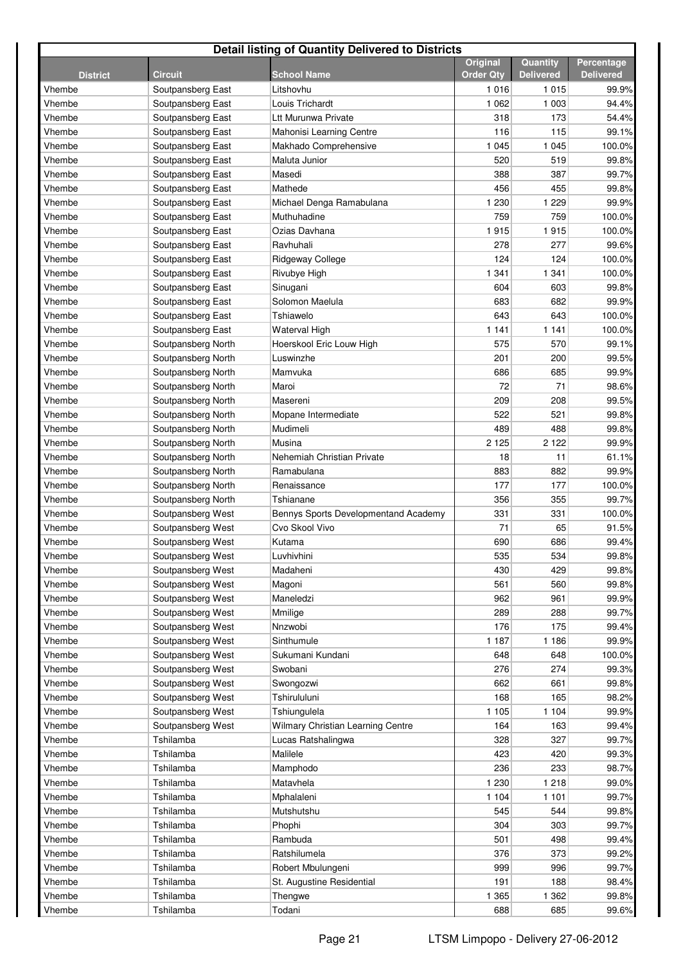| <b>Detail listing of Quantity Delivered to Districts</b> |                                        |                                                   |                  |                  |                  |  |  |  |
|----------------------------------------------------------|----------------------------------------|---------------------------------------------------|------------------|------------------|------------------|--|--|--|
|                                                          |                                        |                                                   | Original         | Quantity         | Percentage       |  |  |  |
| <b>District</b>                                          | <b>Circuit</b>                         | <b>School Name</b>                                | <b>Order Qty</b> | <b>Delivered</b> | <b>Delivered</b> |  |  |  |
| Vhembe                                                   | Soutpansberg East                      | Litshovhu                                         | 1016             | 1 0 1 5          | 99.9%            |  |  |  |
| Vhembe                                                   | Soutpansberg East                      | Louis Trichardt                                   | 1 0 6 2          | 1 0 0 3          | 94.4%            |  |  |  |
| Vhembe                                                   | Soutpansberg East                      | Ltt Murunwa Private                               | 318              | 173              | 54.4%            |  |  |  |
| Vhembe                                                   | Soutpansberg East                      | Mahonisi Learning Centre                          | 116              | 115              | 99.1%            |  |  |  |
| Vhembe                                                   | Soutpansberg East                      | Makhado Comprehensive                             | 1 0 4 5          | 1 0 4 5          | 100.0%           |  |  |  |
| Vhembe                                                   | Soutpansberg East                      | Maluta Junior                                     | 520              | 519<br>387       | 99.8%            |  |  |  |
| Vhembe                                                   | Soutpansberg East                      | Masedi                                            | 388<br>456       | 455              | 99.7%            |  |  |  |
| Vhembe                                                   | Soutpansberg East<br>Soutpansberg East | Mathede<br>Michael Denga Ramabulana               | 1 2 3 0          | 1 2 2 9          | 99.8%<br>99.9%   |  |  |  |
| Vhembe<br>Vhembe                                         | Soutpansberg East                      | Muthuhadine                                       | 759              | 759              | 100.0%           |  |  |  |
| Vhembe                                                   | Soutpansberg East                      | Ozias Davhana                                     | 1915             | 1915             | 100.0%           |  |  |  |
| Vhembe                                                   | Soutpansberg East                      | Ravhuhali                                         | 278              | 277              | 99.6%            |  |  |  |
| Vhembe                                                   | Soutpansberg East                      | Ridgeway College                                  | 124              | 124              | 100.0%           |  |  |  |
| Vhembe                                                   | Soutpansberg East                      |                                                   | 1 3 4 1          | 1 341            | 100.0%           |  |  |  |
| Vhembe                                                   | Soutpansberg East                      | Rivubye High<br>Sinugani                          | 604              | 603              | 99.8%            |  |  |  |
| Vhembe                                                   |                                        | Solomon Maelula                                   | 683              | 682              | 99.9%            |  |  |  |
|                                                          | Soutpansberg East<br>Soutpansberg East | Tshiawelo                                         | 643              | 643              | 100.0%           |  |  |  |
| Vhembe<br>Vhembe                                         |                                        |                                                   | 1 1 4 1          |                  |                  |  |  |  |
|                                                          | Soutpansberg East                      | Waterval High                                     |                  | 1 141            | 100.0%           |  |  |  |
| Vhembe                                                   | Soutpansberg North                     | Hoerskool Eric Louw High                          | 575              | 570              | 99.1%            |  |  |  |
| Vhembe                                                   | Soutpansberg North                     | Luswinzhe                                         | 201              | 200              | 99.5%            |  |  |  |
| Vhembe                                                   | Soutpansberg North                     | Mamvuka                                           | 686              | 685              | 99.9%            |  |  |  |
| Vhembe                                                   | Soutpansberg North                     | Maroi                                             | 72               | 71               | 98.6%            |  |  |  |
| Vhembe                                                   | Soutpansberg North                     | Masereni                                          | 209              | 208              | 99.5%            |  |  |  |
| Vhembe                                                   | Soutpansberg North                     | Mopane Intermediate                               | 522              | 521              | 99.8%            |  |  |  |
| Vhembe                                                   | Soutpansberg North                     | Mudimeli                                          | 489              | 488              | 99.8%            |  |  |  |
| Vhembe                                                   | Soutpansberg North                     | Musina                                            | 2 1 2 5          | 2 1 2 2          | 99.9%            |  |  |  |
| Vhembe                                                   | Soutpansberg North                     | Nehemiah Christian Private                        | 18               | 11               | 61.1%            |  |  |  |
| Vhembe                                                   | Soutpansberg North                     | Ramabulana                                        | 883              | 882              | 99.9%            |  |  |  |
| Vhembe                                                   | Soutpansberg North                     | Renaissance                                       | 177              | 177              | 100.0%           |  |  |  |
| Vhembe                                                   | Soutpansberg North                     | Tshianane                                         | 356              | 355              | 99.7%            |  |  |  |
| Vhembe                                                   | Soutpansberg West                      | Bennys Sports Developmentand Academy              | 331              | 331              | 100.0%           |  |  |  |
| Vhembe                                                   | Soutpansberg West                      | Cvo Skool Vivo                                    | 71               | 65               | 91.5%            |  |  |  |
| Vhembe                                                   | Soutpansberg West                      | Kutama                                            | 690              | 686              | 99.4%            |  |  |  |
| Vhembe                                                   | Soutpansberg West                      | Luvhivhini                                        | 535              | 534              | 99.8%            |  |  |  |
| Vhembe                                                   | Soutpansberg West<br>Soutpansberg West | Madaheni                                          | 430              | 429              | 99.8%<br>99.8%   |  |  |  |
| Vhembe                                                   | Soutpansberg West                      | Magoni                                            | 561<br>962       | 560              | 99.9%            |  |  |  |
| Vhembe                                                   |                                        | Maneledzi                                         |                  | 961              |                  |  |  |  |
| Vhembe                                                   | Soutpansberg West<br>Soutpansberg West | Mmilige<br>Nnzwobi                                | 289              | 288              | 99.7%            |  |  |  |
| Vhembe                                                   | Soutpansberg West                      |                                                   | 176<br>1 1 8 7   | 175              | 99.4%            |  |  |  |
| Vhembe                                                   |                                        | Sinthumule                                        |                  | 1 1 8 6          | 99.9%            |  |  |  |
| Vhembe                                                   | Soutpansberg West                      | Sukumani Kundani                                  | 648              | 648              | 100.0%           |  |  |  |
| Vhembe<br>Vhembe                                         | Soutpansberg West<br>Soutpansberg West | Swobani<br>Swongozwi                              | 276<br>662       | 274<br>661       | 99.3%<br>99.8%   |  |  |  |
| Vhembe                                                   | Soutpansberg West                      | Tshirululuni                                      | 168              | 165              | 98.2%            |  |  |  |
| Vhembe                                                   | Soutpansberg West                      |                                                   | 1 1 0 5          | 1 104            | 99.9%            |  |  |  |
| Vhembe                                                   | Soutpansberg West                      | Tshiungulela<br>Wilmary Christian Learning Centre | 164              | 163              | 99.4%            |  |  |  |
| Vhembe                                                   | Tshilamba                              | Lucas Ratshalingwa                                | 328              | 327              | 99.7%            |  |  |  |
| Vhembe                                                   | Tshilamba                              | Malilele                                          | 423              | 420              | 99.3%            |  |  |  |
| Vhembe                                                   | Tshilamba                              |                                                   | 236              | 233              | 98.7%            |  |  |  |
|                                                          | Tshilamba                              | Mamphodo<br>Matavhela                             | 1 2 3 0          | 1 2 1 8          | 99.0%            |  |  |  |
| Vhembe<br>Vhembe                                         | Tshilamba                              |                                                   |                  | 1 1 0 1          |                  |  |  |  |
|                                                          |                                        | Mphalaleni                                        | 1 1 0 4          |                  | 99.7%            |  |  |  |
| Vhembe                                                   | Tshilamba                              | Mutshutshu                                        | 545              | 544              | 99.8%            |  |  |  |
| Vhembe                                                   | Tshilamba                              | Phophi                                            | 304<br>501       | 303              | 99.7%            |  |  |  |
| Vhembe                                                   | Tshilamba                              | Rambuda                                           | 376              | 498              | 99.4%            |  |  |  |
| Vhembe                                                   | Tshilamba                              | Ratshilumela                                      |                  | 373              | 99.2%            |  |  |  |
| Vhembe                                                   | Tshilamba                              | Robert Mbulungeni                                 | 999              | 996              | 99.7%            |  |  |  |
| Vhembe                                                   | Tshilamba                              | St. Augustine Residential                         | 191              | 188              | 98.4%            |  |  |  |
| Vhembe                                                   | Tshilamba                              | Thengwe                                           | 1 3 6 5          | 1 3 6 2          | 99.8%            |  |  |  |
| Vhembe                                                   | Tshilamba                              | Todani                                            | 688              | 685              | 99.6%            |  |  |  |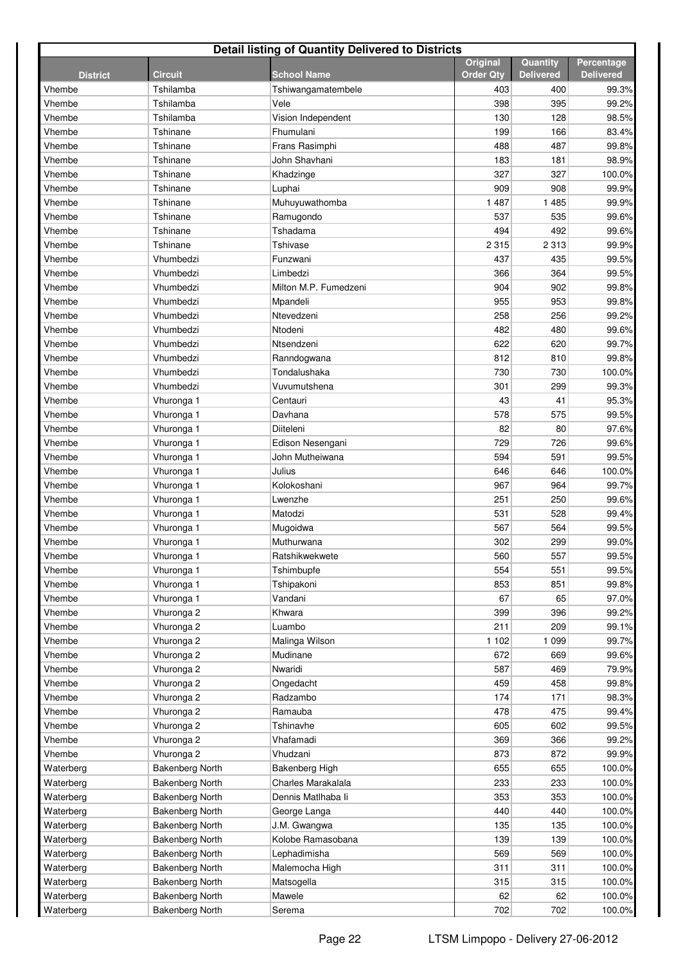| <b>Detail listing of Quantity Delivered to Districts</b> |                        |                       |                                     |                              |                                |  |  |  |
|----------------------------------------------------------|------------------------|-----------------------|-------------------------------------|------------------------------|--------------------------------|--|--|--|
| <b>District</b>                                          | Circuit                | <b>School Name</b>    | <b>Original</b><br><b>Order Qty</b> | Quantity<br><b>Delivered</b> | Percentage<br><b>Delivered</b> |  |  |  |
| Vhembe                                                   | Tshilamba              | Tshiwangamatembele    | 403                                 | 400                          | 99.3%                          |  |  |  |
| Vhembe                                                   | Tshilamba              | Vele                  | 398                                 | 395                          | 99.2%                          |  |  |  |
| Vhembe                                                   | Tshilamba              | Vision Independent    | 130                                 | 128                          | 98.5%                          |  |  |  |
| Vhembe                                                   | Tshinane               | Fhumulani             | 199                                 | 166                          | 83.4%                          |  |  |  |
| Vhembe                                                   | Tshinane               | Frans Rasimphi        | 488                                 | 487                          | 99.8%                          |  |  |  |
| Vhembe                                                   | Tshinane               | John Shavhani         | 183                                 | 181                          | 98.9%                          |  |  |  |
| Vhembe                                                   | Tshinane               | Khadzinge             | 327                                 | 327                          | 100.0%                         |  |  |  |
| Vhembe                                                   | Tshinane               | Luphai                | 909                                 | 908                          | 99.9%                          |  |  |  |
| Vhembe                                                   | Tshinane               | Muhuyuwathomba        | 1487                                | 1 4 8 5                      | 99.9%                          |  |  |  |
| Vhembe                                                   | Tshinane               | Ramugondo             | 537                                 | 535                          | 99.6%                          |  |  |  |
| Vhembe                                                   | Tshinane               | Tshadama              | 494                                 | 492                          | 99.6%                          |  |  |  |
| Vhembe                                                   | Tshinane               | <b>Tshivase</b>       | 2 3 1 5                             | 2 3 1 3                      | 99.9%                          |  |  |  |
| Vhembe                                                   | Vhumbedzi              | Funzwani              | 437                                 | 435                          | 99.5%                          |  |  |  |
| Vhembe                                                   | Vhumbedzi              | Limbedzi              | 366                                 | 364                          | 99.5%                          |  |  |  |
| Vhembe                                                   | Vhumbedzi              | Milton M.P. Fumedzeni | 904                                 | 902                          | 99.8%                          |  |  |  |
| Vhembe                                                   | Vhumbedzi              | Mpandeli              | 955                                 | 953                          | 99.8%                          |  |  |  |
| Vhembe                                                   | Vhumbedzi              | Ntevedzeni            | 258                                 | 256                          | 99.2%                          |  |  |  |
| Vhembe                                                   | Vhumbedzi              | Ntodeni               | 482                                 | 480                          | 99.6%                          |  |  |  |
| Vhembe                                                   | Vhumbedzi              | Ntsendzeni            | 622                                 | 620                          | 99.7%                          |  |  |  |
| Vhembe                                                   | Vhumbedzi              | Ranndogwana           | 812                                 | 810                          | 99.8%                          |  |  |  |
| Vhembe                                                   | Vhumbedzi              | Tondalushaka          | 730                                 | 730                          | 100.0%                         |  |  |  |
| Vhembe                                                   | Vhumbedzi              | Vuvumutshena          | 301                                 | 299                          | 99.3%                          |  |  |  |
| Vhembe                                                   | Vhuronga 1             | Centauri              | 43                                  | 41                           | 95.3%                          |  |  |  |
| Vhembe                                                   | Vhuronga 1             | Davhana               | 578                                 | 575                          | 99.5%                          |  |  |  |
| Vhembe                                                   | Vhuronga 1             | Diiteleni             | 82                                  | 80                           | 97.6%                          |  |  |  |
| Vhembe                                                   | Vhuronga 1             | Edison Nesengani      | 729                                 | 726                          | 99.6%                          |  |  |  |
| Vhembe                                                   | Vhuronga 1             | John Mutheiwana       | 594                                 | 591                          | 99.5%                          |  |  |  |
| Vhembe                                                   | Vhuronga 1             | Julius                | 646                                 | 646                          | 100.0%                         |  |  |  |
| Vhembe                                                   | Vhuronga 1             | Kolokoshani           | 967                                 | 964                          | 99.7%                          |  |  |  |
| Vhembe                                                   | Vhuronga 1             | Lwenzhe               | 251                                 | 250                          | 99.6%                          |  |  |  |
| Vhembe                                                   | Vhuronga 1             | Matodzi               | 531                                 | 528                          | 99.4%                          |  |  |  |
| Vhembe                                                   | Vhuronga 1             | Mugoidwa              | 567                                 | 564                          | 99.5%                          |  |  |  |
| Vhembe                                                   | Vhuronga 1             | Muthurwana            | 302                                 | 299                          | 99.0%                          |  |  |  |
| Vhembe                                                   | Vhuronga 1             | Ratshikwekwete        | 560                                 | 557                          | 99.5%                          |  |  |  |
| Vhembe                                                   | Vhuronga 1             | Tshimbupfe            | 554                                 | 551                          | 99.5%                          |  |  |  |
| Vhembe                                                   | Vhuronga 1             | Tshipakoni            | 853                                 | 851                          | 99.8%                          |  |  |  |
| Vhembe                                                   | Vhuronga 1             | Vandani               | 67                                  | 65                           | 97.0%                          |  |  |  |
| Vhembe                                                   | Vhuronga 2             | Khwara                | 399                                 | 396                          | 99.2%                          |  |  |  |
| Vhembe                                                   | Vhuronga 2             | Luambo                | 211                                 | 209                          | 99.1%                          |  |  |  |
| Vhembe                                                   | Vhuronga 2             | Malinga Wilson        | 1 1 0 2                             | 1 0 9 9                      | 99.7%                          |  |  |  |
| Vhembe                                                   | Vhuronga 2             | Mudinane              | 672                                 | 669                          | 99.6%                          |  |  |  |
| Vhembe                                                   | Vhuronga 2             | Nwaridi               | 587                                 | 469                          | 79.9%                          |  |  |  |
| Vhembe                                                   | Vhuronga 2             | Ongedacht             | 459                                 | 458                          | 99.8%                          |  |  |  |
| Vhembe                                                   | Vhuronga 2             | Radzambo              | 174                                 | 171                          | 98.3%                          |  |  |  |
| Vhembe                                                   | Vhuronga 2             | Ramauba               | 478                                 | 475                          | 99.4%                          |  |  |  |
| Vhembe                                                   | Vhuronga 2             | Tshinavhe             | 605                                 | 602                          | 99.5%                          |  |  |  |
| Vhembe                                                   | Vhuronga 2             | Vhafamadi             | 369                                 | 366                          | 99.2%                          |  |  |  |
| Vhembe                                                   | Vhuronga 2             | Vhudzani              | 873                                 | 872                          | 99.9%                          |  |  |  |
| Waterberg                                                | <b>Bakenberg North</b> | Bakenberg High        | 655                                 | 655                          | 100.0%                         |  |  |  |
| Waterberg                                                | <b>Bakenberg North</b> | Charles Marakalala    | 233                                 | 233                          | 100.0%                         |  |  |  |
| Waterberg                                                | <b>Bakenberg North</b> | Dennis Matlhaba li    | 353                                 | 353                          | 100.0%                         |  |  |  |
| Waterberg                                                | <b>Bakenberg North</b> | George Langa          | 440                                 | 440                          | 100.0%                         |  |  |  |
| Waterberg                                                | <b>Bakenberg North</b> | J.M. Gwangwa          | 135                                 | 135                          | 100.0%                         |  |  |  |
| Waterberg                                                | <b>Bakenberg North</b> | Kolobe Ramasobana     | 139                                 | 139                          | 100.0%                         |  |  |  |
| Waterberg                                                | <b>Bakenberg North</b> | Lephadimisha          | 569                                 | 569                          | 100.0%                         |  |  |  |
| Waterberg                                                | <b>Bakenberg North</b> | Malemocha High        | 311                                 | 311                          | 100.0%                         |  |  |  |
| Waterberg                                                | Bakenberg North        | Matsogella            | 315                                 | 315                          | 100.0%                         |  |  |  |
| Waterberg                                                | <b>Bakenberg North</b> | Mawele                | 62                                  | 62                           | 100.0%                         |  |  |  |
| Waterberg                                                | <b>Bakenberg North</b> | Serema                | 702                                 | 702                          | 100.0%                         |  |  |  |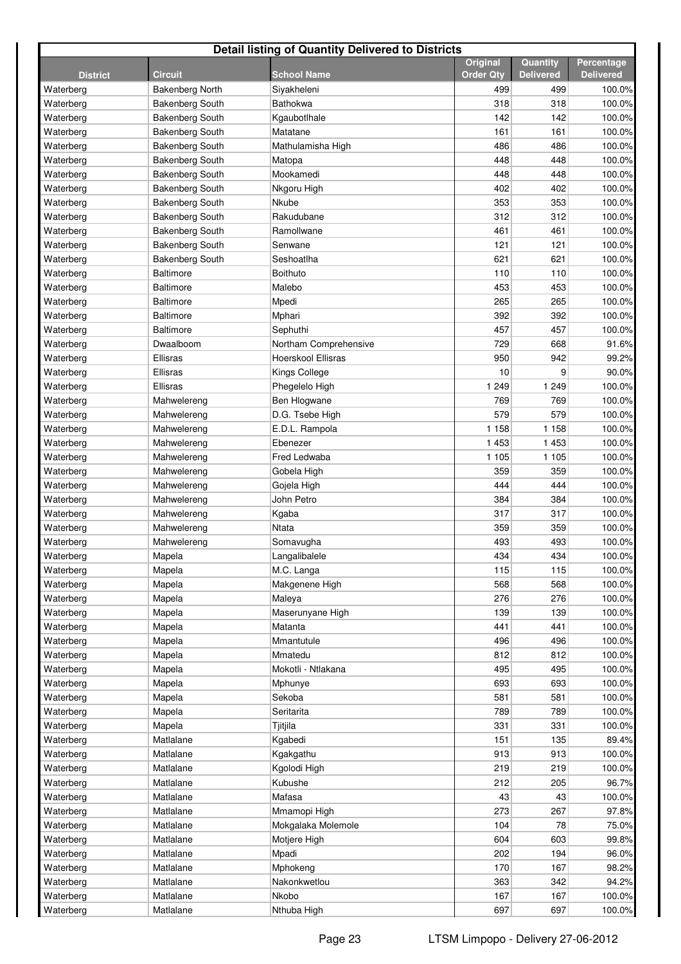| <b>Detail listing of Quantity Delivered to Districts</b> |                        |                       |                  |                  |                  |  |  |
|----------------------------------------------------------|------------------------|-----------------------|------------------|------------------|------------------|--|--|
|                                                          |                        |                       | <b>Original</b>  | Quantity         | Percentage       |  |  |
| <b>District</b>                                          | <b>Circuit</b>         | <b>School Name</b>    | <b>Order Qty</b> | <b>Delivered</b> | <b>Delivered</b> |  |  |
| Waterberg                                                | Bakenberg North        | Siyakheleni           | 499              | 499              | 100.0%           |  |  |
| Waterberg                                                | <b>Bakenberg South</b> | <b>Bathokwa</b>       | 318              | 318              | 100.0%           |  |  |
| Waterberg                                                | <b>Bakenberg South</b> | Kgaubotlhale          | 142              | 142              | 100.0%           |  |  |
| Waterberg                                                | <b>Bakenberg South</b> | Matatane              | 161              | 161              | 100.0%           |  |  |
| Waterberg                                                | <b>Bakenberg South</b> | Mathulamisha High     | 486              | 486              | 100.0%           |  |  |
| Waterberg                                                | <b>Bakenberg South</b> | Matopa                | 448              | 448              | 100.0%           |  |  |
| Waterberg                                                | <b>Bakenberg South</b> | Mookamedi             | 448              | 448              | 100.0%           |  |  |
| Waterberg                                                | <b>Bakenberg South</b> | Nkgoru High           | 402              | 402              | 100.0%           |  |  |
| Waterberg                                                | <b>Bakenberg South</b> | Nkube                 | 353              | 353              | 100.0%           |  |  |
| Waterberg                                                | <b>Bakenberg South</b> | Rakudubane            | 312              | 312              | 100.0%           |  |  |
| Waterberg                                                | <b>Bakenberg South</b> | Ramollwane            | 461              | 461              | 100.0%           |  |  |
| Waterberg                                                | <b>Bakenberg South</b> | Senwane               | 121              | 121              | 100.0%           |  |  |
| Waterberg                                                | <b>Bakenberg South</b> | Seshoatlha            | 621              | 621              | 100.0%           |  |  |
| Waterberg                                                | <b>Baltimore</b>       | <b>Boithuto</b>       | 110              | 110              | 100.0%           |  |  |
| Waterberg                                                | <b>Baltimore</b>       | Malebo                | 453              | 453              | 100.0%           |  |  |
| Waterberg                                                | <b>Baltimore</b>       | Mpedi                 | 265              | 265              | 100.0%           |  |  |
| Waterberg                                                | <b>Baltimore</b>       | Mphari                | 392              | 392              | 100.0%           |  |  |
| Waterberg                                                | <b>Baltimore</b>       | Sephuthi              | 457              | 457              | 100.0%           |  |  |
| Waterberg                                                | Dwaalboom              | Northam Comprehensive | 729              | 668              | 91.6%            |  |  |
| Waterberg                                                | Ellisras               | Hoerskool Ellisras    | 950              | 942              | 99.2%            |  |  |
| Waterberg                                                | Ellisras               | Kings College         | 10               | 9                | 90.0%            |  |  |
| Waterberg                                                | Ellisras               | Phegelelo High        | 1 2 4 9          | 1 2 4 9          | 100.0%           |  |  |
| Waterberg                                                | Mahwelereng            | Ben Hlogwane          | 769              | 769              | 100.0%           |  |  |
| Waterberg                                                | Mahwelereng            | D.G. Tsebe High       | 579              | 579              | 100.0%           |  |  |
| Waterberg                                                | Mahwelereng            | E.D.L. Rampola        | 1 1 5 8          | 1 1 5 8          | 100.0%           |  |  |
| Waterberg                                                | Mahwelereng            | Ebenezer              | 1 4 5 3          | 1 4 5 3          | 100.0%           |  |  |
| Waterberg                                                | Mahwelereng            | Fred Ledwaba          | 1 1 0 5          | 1 1 0 5          | 100.0%           |  |  |
| Waterberg                                                | Mahwelereng            | Gobela High           | 359              | 359              | 100.0%           |  |  |
| Waterberg                                                | Mahwelereng            | Gojela High           | 444              | 444              | 100.0%           |  |  |
| Waterberg                                                | Mahwelereng            | John Petro            | 384              | 384              | 100.0%           |  |  |
| Waterberg                                                | Mahwelereng            | Kgaba                 | 317              | 317              | 100.0%           |  |  |
| Waterberg                                                | Mahwelereng            | <b>Ntata</b>          | 359              | 359              | 100.0%           |  |  |
| Waterberg                                                | Mahwelereng            | Somavugha             | 493              | 493              | 100.0%           |  |  |
| Waterberg                                                | Mapela                 | Langalibalele         | 434              | 434              | 100.0%           |  |  |
| Waterberg                                                | Mapela                 | M.C. Langa            | 115              | 115              | 100.0%           |  |  |
| Waterberg                                                | Mapela                 | Makgenene High        | 568              | 568              | 100.0%           |  |  |
| Waterberg                                                | Mapela                 | Maleya                | 276              | 276              | 100.0%           |  |  |
| Waterberg                                                | Mapela                 | Maserunyane High      | 139              | 139              | 100.0%           |  |  |
| Waterberg                                                | Mapela                 | Matanta               | 441              | 441              | 100.0%           |  |  |
| Waterberg                                                | Mapela                 | Mmantutule            | 496              | 496              | 100.0%           |  |  |
| Waterberg                                                | Mapela                 | Mmatedu               | 812              | 812              | 100.0%           |  |  |
| Waterberg                                                | Mapela                 | Mokotli - Ntlakana    | 495              | 495              | 100.0%           |  |  |
| Waterberg                                                | Mapela                 | Mphunye               | 693              | 693              | 100.0%           |  |  |
| Waterberg                                                | Mapela                 | Sekoba                | 581              | 581              | 100.0%           |  |  |
| Waterberg                                                | Mapela                 | Seritarita            | 789              | 789              | 100.0%           |  |  |
| Waterberg                                                | Mapela                 | Tjitjila              | 331              | 331              | 100.0%           |  |  |
| Waterberg                                                | Matlalane              | Kgabedi               | 151              | 135              | 89.4%            |  |  |
| Waterberg                                                | Matlalane              | Kgakgathu             | 913              | 913              | 100.0%           |  |  |
| Waterberg                                                | Matlalane              | Kgolodi High          | 219              | 219              | 100.0%           |  |  |
| Waterberg                                                | Matlalane              | Kubushe               | 212              | 205              | 96.7%            |  |  |
| Waterberg                                                | Matlalane              | Mafasa                | 43               | 43               | 100.0%           |  |  |
| Waterberg                                                | Matlalane              | Mmamopi High          | 273              | 267              | 97.8%            |  |  |
| Waterberg                                                | Matlalane              | Mokgalaka Molemole    | 104              | 78               | 75.0%            |  |  |
| Waterberg                                                | Matlalane              | Motjere High          | 604              | 603              | 99.8%            |  |  |
| Waterberg                                                | Matlalane              | Mpadi                 | 202              | 194              | 96.0%            |  |  |
| Waterberg                                                | Matlalane              | Mphokeng              | 170              | 167              | 98.2%            |  |  |
| Waterberg                                                | Matlalane              | Nakonkwetlou          | 363              | 342              | 94.2%            |  |  |
| Waterberg                                                | Matlalane              | Nkobo                 | 167              | 167              | 100.0%           |  |  |
| Waterberg                                                | Matlalane              | Nthuba High           | 697              | 697              | 100.0%           |  |  |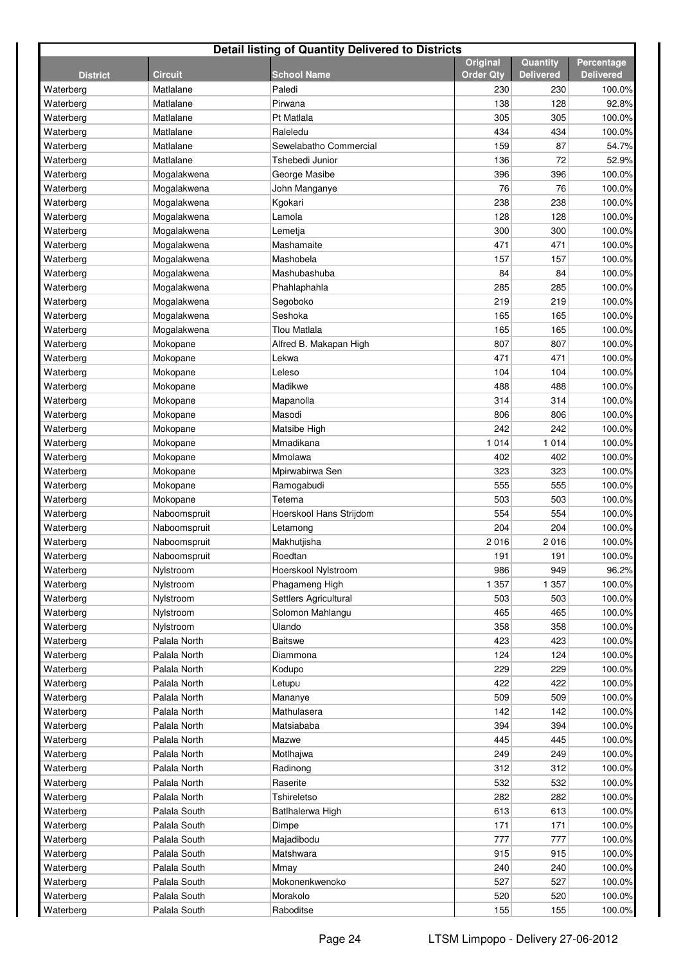| <b>Detail listing of Quantity Delivered to Districts</b> |                |                         |                                     |                              |                                |  |  |  |  |
|----------------------------------------------------------|----------------|-------------------------|-------------------------------------|------------------------------|--------------------------------|--|--|--|--|
| <b>District</b>                                          | <b>Circuit</b> | <b>School Name</b>      | <b>Original</b><br><b>Order Qty</b> | Quantity<br><b>Delivered</b> | Percentage<br><b>Delivered</b> |  |  |  |  |
| Waterberg                                                | Matlalane      | Paledi                  | 230                                 | 230                          | 100.0%                         |  |  |  |  |
| Waterberg                                                | Matlalane      | Pirwana                 | 138                                 | 128                          | 92.8%                          |  |  |  |  |
| Waterberg                                                | Matlalane      | Pt Matlala              | 305                                 | 305                          | 100.0%                         |  |  |  |  |
| Waterberg                                                | Matlalane      | Raleledu                | 434                                 | 434                          | 100.0%                         |  |  |  |  |
| Waterberg                                                | Matlalane      | Sewelabatho Commercial  | 159                                 | 87                           | 54.7%                          |  |  |  |  |
| Waterberg                                                | Matlalane      | Tshebedi Junior         | 136                                 | 72                           | 52.9%                          |  |  |  |  |
| Waterberg                                                | Mogalakwena    | George Masibe           | 396                                 | 396                          | 100.0%                         |  |  |  |  |
| Waterberg                                                | Mogalakwena    | John Manganye           | 76                                  | 76                           | 100.0%                         |  |  |  |  |
| Waterberg                                                | Mogalakwena    | Kgokari                 | 238                                 | 238                          | 100.0%                         |  |  |  |  |
| Waterberg                                                | Mogalakwena    | Lamola                  | 128                                 | 128                          | 100.0%                         |  |  |  |  |
| Waterberg                                                | Mogalakwena    | Lemetja                 | 300                                 | 300                          | 100.0%                         |  |  |  |  |
| Waterberg                                                | Mogalakwena    | Mashamaite              | 471                                 | 471                          | 100.0%                         |  |  |  |  |
| Waterberg                                                | Mogalakwena    | Mashobela               | 157                                 | 157                          | 100.0%                         |  |  |  |  |
| Waterberg                                                | Mogalakwena    | Mashubashuba            | 84                                  | 84                           | 100.0%                         |  |  |  |  |
| Waterberg                                                | Mogalakwena    | Phahlaphahla            | 285                                 | 285                          | 100.0%                         |  |  |  |  |
| Waterberg                                                | Mogalakwena    | Segoboko                | 219                                 | 219                          | 100.0%                         |  |  |  |  |
| Waterberg                                                | Mogalakwena    | Seshoka                 | 165                                 | 165                          | 100.0%                         |  |  |  |  |
| Waterberg                                                | Mogalakwena    | Tlou Matlala            | 165                                 | 165                          | 100.0%                         |  |  |  |  |
| Waterberg                                                | Mokopane       | Alfred B. Makapan High  | 807                                 | 807                          | 100.0%                         |  |  |  |  |
| Waterberg                                                | Mokopane       | Lekwa                   | 471                                 | 471                          | 100.0%                         |  |  |  |  |
| Waterberg                                                | Mokopane       | Leleso                  | 104                                 | 104                          | 100.0%                         |  |  |  |  |
| Waterberg                                                | Mokopane       | Madikwe                 | 488                                 | 488                          | 100.0%                         |  |  |  |  |
| Waterberg                                                | Mokopane       | Mapanolla               | 314                                 | 314                          | 100.0%                         |  |  |  |  |
| Waterberg                                                | Mokopane       | Masodi                  | 806                                 | 806                          | 100.0%                         |  |  |  |  |
| Waterberg                                                | Mokopane       | Matsibe High            | 242                                 | 242                          | 100.0%                         |  |  |  |  |
| Waterberg                                                | Mokopane       | Mmadikana               | 1014                                | 1 0 1 4                      | 100.0%                         |  |  |  |  |
| Waterberg                                                | Mokopane       | Mmolawa                 | 402                                 | 402                          | 100.0%                         |  |  |  |  |
| Waterberg                                                | Mokopane       | Mpirwabirwa Sen         | 323                                 | 323                          | 100.0%                         |  |  |  |  |
| Waterberg                                                | Mokopane       | Ramogabudi              | 555                                 | 555                          | 100.0%                         |  |  |  |  |
| Waterberg                                                | Mokopane       | Tetema                  | 503                                 | 503                          | 100.0%                         |  |  |  |  |
| Waterberg                                                | Naboomspruit   | Hoerskool Hans Strijdom | 554                                 | 554                          | 100.0%                         |  |  |  |  |
| Waterberg                                                | Naboomspruit   | Letamong                | 204                                 | 204                          | 100.0%                         |  |  |  |  |
| Waterberg                                                | Naboomspruit   | Makhutjisha             | 2016                                | 2016                         | 100.0%                         |  |  |  |  |
| Waterberg                                                | Naboomspruit   | Roedtan                 | 191                                 | 191                          | 100.0%                         |  |  |  |  |
| Waterberg                                                | Nylstroom      | Hoerskool Nylstroom     | 986                                 | 949                          | 96.2%                          |  |  |  |  |
| Waterberg                                                | Nylstroom      | Phagameng High          | 1 3 5 7                             | 1 3 5 7                      | 100.0%                         |  |  |  |  |
| Waterberg                                                | Nylstroom      | Settlers Agricultural   | 503                                 | 503                          | 100.0%                         |  |  |  |  |
| Waterberg                                                | Nylstroom      | Solomon Mahlangu        | 465                                 | 465                          | 100.0%                         |  |  |  |  |
| Waterberg                                                | Nylstroom      | Ulando                  | 358                                 | 358                          | 100.0%                         |  |  |  |  |
| Waterberg                                                | Palala North   | <b>Baitswe</b>          | 423                                 | 423                          | 100.0%                         |  |  |  |  |
| Waterberg                                                | Palala North   | Diammona                | 124                                 | 124                          | 100.0%                         |  |  |  |  |
| Waterberg                                                | Palala North   | Kodupo                  | 229                                 | 229                          | 100.0%                         |  |  |  |  |
| Waterberg                                                | Palala North   | Letupu                  | 422                                 | 422                          | 100.0%                         |  |  |  |  |
| Waterberg                                                | Palala North   | Mananye                 | 509                                 | 509                          | 100.0%                         |  |  |  |  |
| Waterberg                                                | Palala North   | Mathulasera             | 142                                 | 142                          | 100.0%                         |  |  |  |  |
| Waterberg                                                | Palala North   | Matsiababa              | 394                                 | 394                          | 100.0%                         |  |  |  |  |
| Waterberg                                                | Palala North   | Mazwe                   | 445                                 | 445                          | 100.0%                         |  |  |  |  |
| Waterberg                                                | Palala North   | Motlhajwa               | 249                                 | 249                          | 100.0%                         |  |  |  |  |
| Waterberg                                                | Palala North   | Radinong                | 312                                 | 312                          | 100.0%                         |  |  |  |  |
| Waterberg                                                | Palala North   | Raserite                | 532                                 | 532                          | 100.0%                         |  |  |  |  |
| Waterberg                                                | Palala North   | Tshireletso             | 282                                 | 282                          | 100.0%                         |  |  |  |  |
| Waterberg                                                | Palala South   | Batlhalerwa High        | 613                                 | 613                          | 100.0%                         |  |  |  |  |
| Waterberg                                                | Palala South   | Dimpe                   | 171                                 | 171                          | 100.0%                         |  |  |  |  |
| Waterberg                                                | Palala South   | Majadibodu              | 777                                 | 777                          | 100.0%                         |  |  |  |  |
| Waterberg                                                | Palala South   | Matshwara               | 915                                 | 915                          | 100.0%                         |  |  |  |  |
| Waterberg                                                | Palala South   | Mmay                    | 240                                 | 240                          | 100.0%                         |  |  |  |  |
| Waterberg                                                | Palala South   | Mokonenkwenoko          | 527                                 | 527                          | 100.0%                         |  |  |  |  |
| Waterberg                                                | Palala South   | Morakolo                | 520                                 | 520                          | 100.0%                         |  |  |  |  |
| Waterberg                                                | Palala South   | Raboditse               | 155                                 | 155                          | 100.0%                         |  |  |  |  |